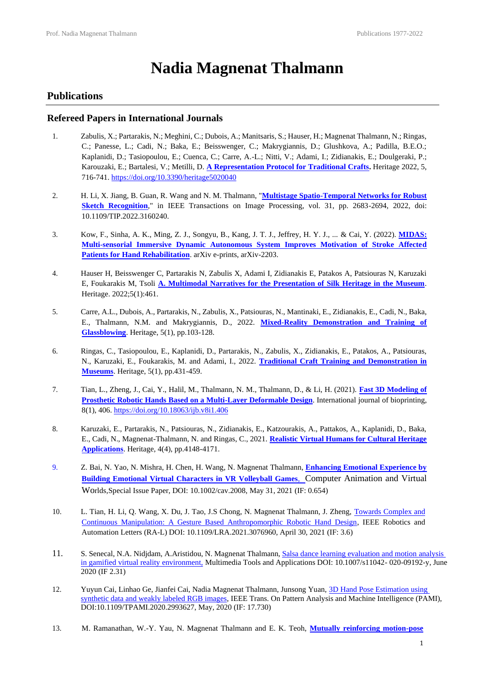# **Nadia Magnenat Thalmann**

## **Publications**

## **Refereed Papers in International Journals**

- 1. Zabulis, X.; Partarakis, N.; Meghini, C.; Dubois, A.; Manitsaris, S.; Hauser, H.; Magnenat Thalmann, N.; Ringas, C.; Panesse, L.; Cadi, N.; Baka, E.; Beisswenger, C.; Makrygiannis, D.; Glushkova, A.; Padilla, B.E.O.; Kaplanidi, D.; Tasiopoulou, E.; Cuenca, C.; Carre, A.-L.; Nitti, V.; Adami, I.; Zidianakis, E.; Doulgeraki, P.; Karouzaki, E.; Bartalesi, V.; Metilli, D. **[A Representation Protocol for Traditional Crafts.](https://www.mdpi.com/2571-9408/5/2/40)** Heritage 2022, 5, 716-741[. https://doi.org/10.3390/heritage5020040](https://doi.org/10.3390/heritage5020040)
- 2. H. Li, X. Jiang, B. Guan, R. Wang and N. M. Thalmann, "**[Multistage Spatio-Temporal Networks for Robust](https://ieeexplore.ieee.org/abstract/document/9740528)  [Sketch Recognition](https://ieeexplore.ieee.org/abstract/document/9740528)**," in IEEE Transactions on Image Processing, vol. 31, pp. 2683-2694, 2022, doi: 10.1109/TIP.2022.3160240.
- 3. Kow, F., Sinha, A. K., Ming, Z. J., Songyu, B., Kang, J. T. J., Jeffrey, H. Y. J., ... & Cai, Y. (2022). **[MIDAS:](https://arxiv.org/abs/2203.10536)  [Multi-sensorial Immersive Dynamic Autonomous System Improves Motivation of Stroke Affected](https://arxiv.org/abs/2203.10536)  [Patients for Hand Rehabilitation](https://arxiv.org/abs/2203.10536)**. arXiv e-prints, arXiv-2203.
- 4. Hauser H, Beisswenger C, Partarakis N, Zabulis X, Adami I, Zidianakis E, Patakos A, Patsiouras N, Karuzaki E, Foukarakis M, Tsoli **[A. Multimodal Narratives for the Presentation of Silk Heritage in the Museum](https://www.mdpi.com/2571-9408/5/1/27)**. Heritage. 2022;5(1):461.
- 5. Carre, A.L., Dubois, A., Partarakis, N., Zabulis, X., Patsiouras, N., Mantinaki, E., Zidianakis, E., Cadi, N., Baka, E., Thalmann, N.M. and Makrygiannis, D., 2022. **[Mixed-Reality Demonstration and Training of](https://www.mdpi.com/2571-9408/5/1/6)  [Glassblowing](https://www.mdpi.com/2571-9408/5/1/6)**. Heritage, 5(1), pp.103-128.
- 6. Ringas, C., Tasiopoulou, E., Kaplanidi, D., Partarakis, N., Zabulis, X., Zidianakis, E., Patakos, A., Patsiouras, N., Karuzaki, E., Foukarakis, M. and Adami, I., 2022. **[Traditional Craft Training and Demonstration in](https://www.mdpi.com/2571-9408/5/1/25)  [Museums](https://www.mdpi.com/2571-9408/5/1/25)**. Heritage, 5(1), pp.431-459.
- 7. Tian, L., Zheng, J., Cai, Y., Halil, M., Thalmann, N. M., Thalmann, D., & Li, H. (2021). **[Fast 3D Modeling of](https://www.ncbi.nlm.nih.gov/pmc/articles/PMC8851945/)  [Prosthetic Robotic Hands Based on a Multi-Layer Deformable Design](https://www.ncbi.nlm.nih.gov/pmc/articles/PMC8851945/)**. International journal of bioprinting, 8(1), 406.<https://doi.org/10.18063/ijb.v8i1.406>
- 8. Karuzaki, E., Partarakis, N., Patsiouras, N., Zidianakis, E., Katzourakis, A., Pattakos, A., Kaplanidi, D., Baka, E., Cadi, N., Magnenat-Thalmann, N. and Ringas, C., 2021. **[Realistic Virtual Humans for Cultural Heritage](https://www.mdpi.com/2571-9408/4/4/228)  [Applications](https://www.mdpi.com/2571-9408/4/4/228)**. Heritage, 4(4), pp.4148-4171.
- 9. Z. Bai, N. Yao, N. Mishra, H. Chen, H. Wang, N. Magnenat Thalmann, **Enhancing Emotional Experience by [Building Emotional Virtual Characters in VR Volleyball Games](https://onlinelibrary.wiley.com/doi/pdf/10.1002/cav.2008)**, [Computer Animation and Virtual](https://onlinelibrary.wiley.com/doi/pdf/10.1002/cav.2008)  [Wo](https://onlinelibrary.wiley.com/doi/pdf/10.1002/cav.2008)rlds,Special Issue Paper, DOI: [10.1002/cav.2008,](https://doi.org/10.1002/cav.2008) May 31, 2021 (IF: 0.654)
- 10. L. Tian, H. Li, Q. Wang, X. Du, J. Tao, J.S Chong, N. Magnenat Thalmann, J. Zheng, Towards Complex and [Continuous Manipulation: A Gesture Based Anthropomorphic Robotic Hand Design,](https://ieeexplore.ieee.org/stamp/stamp.jsp?arnumber=9420232) IEEE Robotics and Automation Letters (RA-L) DOI: [10.1109/LRA.2021.3076960,](https://doi.org/10.1109/LRA.2021.3076960) April 30, 2021 (IF: 3.6)
- 11. S. Senecal, N.A. Nidjdam, A.Aristidou, N. Magnenat Thalmann, [Salsa dance learning evaluation and motion](https://dl.acm.org/doi/abs/10.1007/s11042-020-09192-y) analysis [in gamified virtual reality environment,](https://dl.acm.org/doi/abs/10.1007/s11042-020-09192-y) Multimedia Tools and Applications DOI: 10.1007/s11042- 020-09192-y, June 2020 (IF 2.31)
- 12. Yuyun Cai, Linhao Ge, Jianfei Cai, Nadia Magnenat Thalmann, Junsong Yuan[, 3D Hand Pose Estimation using](https://www.computer.org/csdl/journal/tp/2021/11/09091090/1jLOJKgqXGU)  [synthetic data and weakly labeled RGB images,](https://www.computer.org/csdl/journal/tp/2021/11/09091090/1jLOJKgqXGU) IEEE Trans. On Pattern Analysis and Machine Intelligence (PAMI), DOI:10.1109/TPAMI.2020.2993627, May, 2020 (IF: 17.730)
- 13. M. Ramanathan, W.-Y. Yau, N. Magnenat Thalmann and E. K. Teoh, **[Mutually reinforcing motion-pose](https://www.inderscience.com/info/inarticle.php?artid=99014)**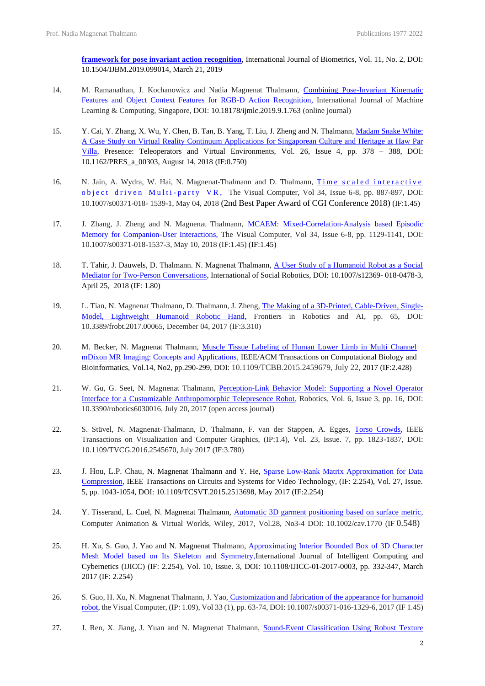**[framework for pose invariant action recognition](https://www.inderscience.com/info/inarticle.php?artid=99014)**, International Journal of Biometrics, Vol. 11, No. 2, DOI: 10.1504/IJBM.2019.099014, March 21, 2019

- 14. M. Ramanathan, J. Kochanowicz and Nadia Magnenat Thalmann, Combining Pose-Invariant Kinematic [Features and Object Context Features for RGB-D Action Recognition,](http://www.ijmlc.org/vol9/763-SG035.pdf) International Journal of Machine Learning & Computing, Singapore, DOI: 10.18178/ijmlc.2019.9.1.763 (online journal)
- 15. Y. Cai, Y. Zhang, X. Wu, Y. Chen, B. Tan, B. Yang, T. Liu, J. Zheng and N. Thalmann, [Madam Snake White:](https://ieeexplore.ieee.org/document/8637197)  [A Case Study on Virtual Reality Continuum Applications for Singaporean Culture and Heritage at Haw Par](https://ieeexplore.ieee.org/document/8637197)  [Villa,](https://ieeexplore.ieee.org/document/8637197) Presence: Teleoperators and Virtual Environments, Vol. 26, Issue 4, pp. 378 – 388, DOI: 10.1162/PRES\_a\_00303, August 14, 2018 (IF:0.750)
- 16. N. Jain, A. Wydra, W. Hai, N. Magnenat-Thalmann and D. Thalmann, Time scaled interactive object driven Multi-party VR, The Visual Computer, Vol 34, Issue 6-8, pp. 887-897, DOI: 10.1007/s00371-018- 1539-1, May 04, 2018 (2nd Best Paper Award of CGI Conference 2018) (IF:1.45)
- 17. J. Zhang, J. Zheng and N. Magnenat Thalmann, [MCAEM: Mixed-Correlation-Analysis based Episodic](https://link.springer.com/article/10.1007/s00371-018-1537-3)  [Memory for Companion-User Interactions,](https://link.springer.com/article/10.1007/s00371-018-1537-3) The Visual Computer, Vol 34, Issue 6-8, pp. 1129-1141, DOI: 10.1007/s00371-018-1537-3, May 10, 2018 (IF:1.45) (IF:1.45)
- 18. T. Tahir, J. Dauwels, D. Thalmann. N. Magnenat Thalmann, [A User Study of a Humanoid Robot as a Social](https://link.springer.com/article/10.1007/s12369-018-0478-3)  [Mediator for Two-Person Conversations,](https://link.springer.com/article/10.1007/s12369-018-0478-3) International of Social Robotics, DOI: [10.1007/s12369-](https://doi.org/10.1007/s12369-018-0478-3) [018-0478-3,](https://doi.org/10.1007/s12369-018-0478-3)  April 25, 2018 (IF: 1.80)
- 19. L. Tian, N. Magnenat Thalmann, D. Thalmann, J. Zheng, [The Making of a 3D-Printed, Cable-Driven, Single-](https://www.frontiersin.org/articles/10.3389/frobt.2017.00065/full)[Model, Lightweight Humanoid Robotic Hand,](https://www.frontiersin.org/articles/10.3389/frobt.2017.00065/full) Frontiers in Robotics and AI, pp. 65, DOI: 10.3389/frobt.2017.00065, December 04, 2017 (IF:3.310)
- 20. M. Becker, N. Magnenat Thalmann, Muscle Tissue Labeling of Human Lower Limb in Multi Channel [mDixon MR Imaging: Concepts and Applications,](https://pubmed.ncbi.nlm.nih.gov/28368807/) IEEE/ACM Transactions on Computational Biology and Bioinformatics, Vol.14, No2, pp.290-299, DOI: 10.1109/TCBB.2015.2459679, July 22, 2017 (IF:2.428)
- 21. W. Gu, G. Seet, N. Magnenat Thalmann, [Perception-Link Behavior Model: Supporting a Novel Operator](https://dr.ntu.edu.sg/handle/10356/89320)  [Interface for a Customizable Anthropomorphic Telepresence Robot,](https://dr.ntu.edu.sg/handle/10356/89320) Robotics, Vol. 6, Issue 3, pp. 16, DOI: 10.3390/robotics6030016, July 20, 2017 (open access journal)
- 22. S. Stüvel, N. Magnenat-Thalmann, D. Thalmann, F. van der Stappen, A. Egges, [Torso Crowds,](https://ieeexplore.ieee.org/document/7439844?reload=true) IEEE Transactions on Visualization and Computer Graphics, (IP:1.4), Vol. 23, Issue. 7, pp. 1823-1837, DOI: [10.1109/TVCG.2016.2545670,](http://dx.doi.org/10.1109/TVCG.2016.2545670) July 2017 (IF:3.780)
- 23. J. Hou, L.P. Chau, N. Magnenat Thalmann and Y. He, Sparse Low-Rank Matrix Approximation for Data [Compression,](https://arxiv.org/pdf/1507.01673.pdf) IEEE Transactions on Circuits and Systems for Video Technology, (IF: 2.254), Vol. 27, Issue. 5, pp. 1043-1054, DOI: 10.1109/TCSVT.2015.2513698, May 2017 (IF:2.254)
- 24. Y. Tisserand, L. Cuel, N. Magnenat Thalmann, [Automatic 3D garment positioning based on surface metric,](https://onlinelibrary.wiley.com/doi/full/10.1002/cav.1770) Computer Animation & Virtual Worlds, Wiley, 2017, Vol.28, No3-4 DOI: [10.1002/cav.1770](https://doi.org/10.1002/cav.1770) (IF 0.548)
- 25. H. Xu, S. Guo, J. Yao and N. Magnenat Thalmann, [Approximating Interior Bounded Box of 3D Character](https://www.sciencegate.app/document/10.1108/ijicc-01-2017-0003)  [Mesh Model based on Its Skeleton and Symmetry,I](https://www.sciencegate.app/document/10.1108/ijicc-01-2017-0003)nternational Journal of Intelligent Computing and Cybernetics (IJICC) (IF: 2.254), Vol. 10, Issue. 3, DOI: 10.1108/IJICC-01-2017-0003, pp. 332-347, March 2017 (IF: 2.254)
- 26. S. Guo, H. Xu, N. Magnenat Thalmann, J. Yao, Customization and fabrication of the appearance for humanoid [robot,](https://link.springer.com/article/10.1007/s00371-016-1329-6) the Visual Computer, (IP: 1.09), Vol 33 (1), pp. 63-74, DOI[: 10.1007/s00371-016-1329-6,](https://doi.org/10.1007/s00371-016-1329-6) 2017 (IF 1.45)
- 27. J. Ren, X. Jiang, J. Yuan and N. Magnenat Thalmann, Sound-Event Classification Using Robust Texture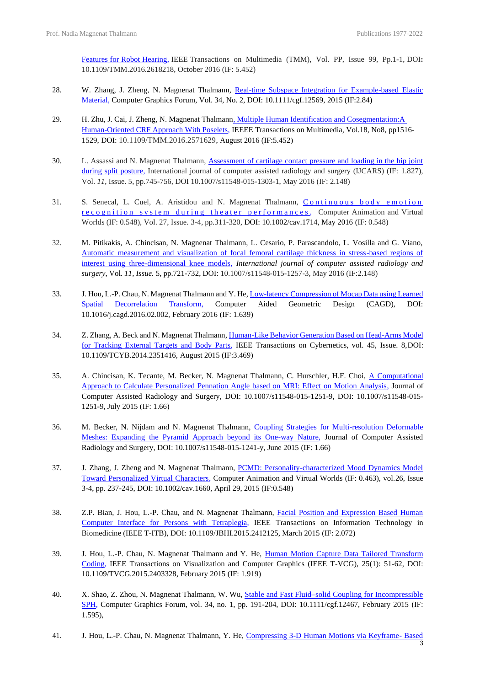[Features for Robot Hearing,](https://ieeexplore.ieee.org/document/7592459) IEEE Transactions on Multimedia (TMM), Vol. PP, Issue 99, Pp.1-1, DOI**:** 10.1109/TMM.2016.2618218, October 2016 (IF: 5.452)

- 28. W. Zhang, J. Zheng, N. Magnenat Thalmann, Real-time Subspace Integration for Example-based Elastic [Material,](https://dl.acm.org/doi/10.1111/cgf.12569) Computer Graphics Forum, Vol. 34, No. 2, DOI: [10.1111/cgf.12569, 2](https://doi.org/10.1111/cgf.12569)015 (IF:2.84)
- 29. H. Zhu, J. Cai, J. Zheng, N. Magnenat Thalmann, Multiple Human Identification and Cosegmentation: A [Human-Oriented CRF Approach With Poselets,](https://ieeexplore.ieee.org/document/7475951) IEEEE Transactions on Multimedia, Vol.18, No8, pp1516- 1529, DOI: 10.1109/TMM.2016.2571629, August 2016 (IF:5.452)
- 30. L. Assassi and N. Magnenat Thalmann, [Assessment of cartilage contact pressure and loading in the hip joint](https://pubmed.ncbi.nlm.nih.gov/26450106/)  [during split posture,](https://pubmed.ncbi.nlm.nih.gov/26450106/) International journal of computer assisted radiology and surgery (IJCARS) (IF: 1.827), Vol. *11*, Issue. 5, pp.745-756, DOI 10.1007/s11548-015-1303-1, May 2016 (IF: 2.148)
- 31. S. Senecal, L. Cuel, A. Aristidou and N. Magnenat Thalmann, Continuous body emotion recognition system during theater performances, Computer Animation and Virtual Worlds (IF: 0.548), Vol. 27, Issue. 3-4, pp.311-320, DOI: 10.1002/cav.1714, May 2016 (IF: 0.548)
- 32. M. Pitikakis, A. Chincisan, N. Magnenat Thalmann, L. Cesario, P. Parascandolo, L. Vosilla and G. Viano, [Automatic measurement and visualization of focal femoral cartilage thickness in stress-based regions of](https://pubmed.ncbi.nlm.nih.gov/26194486/)  [interest using three-dimensional knee models,](https://pubmed.ncbi.nlm.nih.gov/26194486/) *International journal of computer assisted radiology and surgery*, Vol. *11, Issue.* 5, pp.721-732, DOI: [10.1007/s11548-015-1257-3, M](https://doi.org/10.1007/s11548-015-1257-3)ay 2016 (IF:2.148)
- 33. J. Hou, L.-P. Chau, N. Magnenat Thalmann and Y. He, Low-latency Compression of Mocap Data using Learned [Spatial Decorrelation Transform,](https://www.sciencedirect.com/science/article/pii/S0167839616300036) Computer Aided Geometric Design (CAGD), DOI: 10.1016/j.cagd.2016.02.002, February 2016 (IF: 1.639)
- 34. Z. Zhang, A. Beck and N. Magnenat Thalmann, [Human-Like Behavior Generation Based on Head-Arms Model](https://pubmed.ncbi.nlm.nih.gov/25252290/)  [for Tracking External Targets and Body Parts,](https://pubmed.ncbi.nlm.nih.gov/25252290/) IEEE Transactions on Cybernetics, vol. 45, Issue. 8,DOI: [10.1109/TCYB.2014.2351416,](https://doi.org/10.1109/TCYB.2014.2351416) August 2015 (IF:3.469)
- 35. A. Chincisan, K. Tecante, M. Becker, N. Magnenat Thalmann, C. Hurschler, H.F. Choi, [A Computational](https://pubmed.ncbi.nlm.nih.gov/26137896/)  [Approach to Calculate Personalized Pennation Angle based on MRI: Effect on Motion Analysis,](https://pubmed.ncbi.nlm.nih.gov/26137896/) Journal of Computer Assisted Radiology and Surgery, DOI: 10.1007/s11548-015-1251-9, DOI: [10.1007/s11548-015-](https://doi.org/10.1007/s11548-015-1251-9) [1251-9,](https://doi.org/10.1007/s11548-015-1251-9) July 2015 (IF: 1.66)
- 36. M. Becker, N. Nijdam and N. Magnenat Thalmann, [Coupling Strategies for Multi-resolution Deformable](https://pubmed.ncbi.nlm.nih.gov/26092661/)  [Meshes: Expanding the Pyramid Approach beyond its One-way Nature,](https://pubmed.ncbi.nlm.nih.gov/26092661/) Journal of Computer Assisted Radiology and Surgery, DOI: 10.1007/s11548-015-1241-y, June 2015 (IF: 1.66)
- 37. J. Zhang, J. Zheng and N. Magnenat Thalmann, PCMD: Personality-characterized Mood Dynamics Model [Toward Personalized Virtual Characters,](https://onlinelibrary.wiley.com/doi/10.1002/cav.1660) Computer Animation and Virtual Worlds (IF: 0.463), vol.26, Issue 3-4, pp. 237-245, DOI: [10.1002/cav.1660, A](https://doi.org/10.1002/cav.1660)pril 29, 2015 (IF:0.548)
- 38. Z.P. Bian, J. Hou, L.-P. Chau, and N. Magnenat Thalmann, [Facial Position and Expression Based Human](https://ieeexplore.ieee.org/document/7058374)  [Computer Interface for Persons with Tetraplegia,](https://ieeexplore.ieee.org/document/7058374) IEEE Transactions on Information Technology in Biomedicine (IEEE T-ITB), DOI: 10.1109/JBHI.2015.2412125, March 2015 (IF: 2.072)
- 39. J. Hou, L.-P. Chau, N. Magnenat Thalmann and Y. He, [Human Motion Capture Data Tailored Transform](https://dblp.org/rec/journals/corr/HouCM014.html)  [Coding,](https://dblp.org/rec/journals/corr/HouCM014.html) IEEE Transactions on Visualization and Computer Graphics (IEEE T-VCG), 25(1): 51-62, DOI: [10.1109/TVCG.2015.2403328,](https://doi.org/10.1109/TVCG.2015.2403328) February 2015 (IF: 1.919)
- 40. X. Shao, Z. Zhou, N. Magnenat Thalmann, W. Wu, [Stable and Fast Fluid–solid Coupling for Incompressible](https://onlinelibrary.wiley.com/doi/full/10.1111/cgf.12467)  [SPH,](https://onlinelibrary.wiley.com/doi/full/10.1111/cgf.12467) Computer Graphics Forum, vol. 34, no. 1, pp. 191-204, DOI: [10.1111/cgf.12467,](https://doi.org/10.1111/cgf.12467) February 2015 (IF: 1.595),
- 41. J. Hou, L.-P. Chau, N. Magnenat Thalmann, Y. He, [Compressing 3-D Human Motions via Keyframe-](https://ieeexplore.ieee.org/document/6826514) Based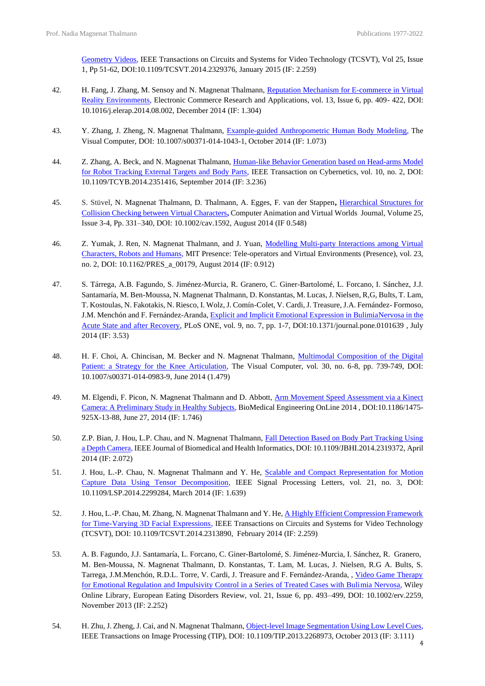[Geometry Videos,](https://ieeexplore.ieee.org/document/6826514) IEEE Transactions on Circuits and Systems for Video Technology (TCSVT), Vol 25, Issue 1, Pp 51-62, DOI:10.1109/TCSVT.2014.2329376, January 2015 (IF: 2.259)

- 42. H. Fang, J. Zhang, M. Sensoy and N. Magnenat Thalmann, Reputation Mechanism for E-commerce in Virtual [Reality Environments,](https://www.sciencedirect.com/science/article/pii/S1567422314000490) Electronic Commerce Research and Applications, vol. 13, Issue 6, pp. 409- 422, DOI: [10.1016/j.elerap.2014.08.002, D](https://doi.org/10.1016/j.elerap.2014.08.002)ecember 2014 (IF: 1.304)
- 43. Y. Zhang, J. Zheng, N. Magnenat Thalmann, [Example-guided Anthropometric Human Body Modeling,](https://link.springer.com/article/10.1007/s00371-014-1043-1) The Visual Computer, DOI: 10.1007/s00371-014-1043-1, October 2014 (IF: 1.073)
- 44. Z. Zhang, A. Beck, and N. Magnenat Thalmann, *Human-like Behavior Generation based on Head-arms Model* [for Robot Tracking External Targets and Body Parts,](https://ieeexplore.ieee.org/document/6902763) IEEE Transaction on Cybernetics, vol. 10, no. 2, DOI: 10.1109/TCYB.2014.2351416, September 2014 (IF: 3.236)
- 45. S. Stüvel, N. Magnenat Thalmann, D. Thalmann, A. Egges, F. van der Stappen**,** [Hierarchical Structures for](https://onlinelibrary.wiley.com/doi/10.1002/cav.1592)  [Collision Checking between Virtual Characters](https://onlinelibrary.wiley.com/doi/10.1002/cav.1592)**,** Computer Animation and Virtual Worlds Journal, Volume 25, Issue 3-4, Pp. 331–340, DOI: [10.1002/cav.1592, A](https://doi.org/10.1002/cav.1592)ugust 2014 (IF 0.548)
- 46. Z. Yumak, J. Ren, N. Magnenat Thalmann, and J. Yuan, Modelling Multi-party Interactions among Virtual [Characters, Robots and Humans,](https://dl.acm.org/doi/10.5555/2812348.2812353) MIT Presence: Tele-operators and Virtual Environments (Presence), vol. 23, no. 2, DOI: [10.1162/PRES\\_a\\_00179,](https://doi.org/10.1162/PRES_a_00179) August 2014 (IF: 0.912)
- 47. S. Tárrega, A.B. Fagundo, S. Jiménez-Murcia, R. Granero, C. Giner-Bartolomé, L. Forcano, I. Sánchez, J.J. Santamaría, M. Ben-Moussa, N. Magnenat Thalmann, D. Konstantas, M. Lucas, J. Nielsen, R,G, Bults, T. Lam, T. Kostoulas, N. Fakotakis, N. Riesco, I. Wolz, J. Comín-Colet, V. Cardi, J. Treasure, J.A. Fernández- Formoso, J.M. Menchón and F. Fernández-Aranda, [Explicit and Implicit Emotional Expression in BulimiaNervosa](https://pubmed.ncbi.nlm.nih.gov/24987853/) in the Acute State and after [Recovery,](https://pubmed.ncbi.nlm.nih.gov/24987853/) PLoS ONE, vol. 9, no. 7, pp. 1-7, DOI[:10.1371/journal.pone.0101639](https://doi.org/10.1371/journal.pone.0101639) , July 2014 (IF: 3.53)
- 48. H. F. Choi, A. Chincisan, M. Becker and N. Magnenat Thalmann, Multimodal Composition of the Digital [Patient: a Strategy for the Knee Articulation,](https://dl.acm.org/doi/10.1007/s00371-014-0983-9) The Visual Computer, vol. 30, no. 6-8, pp. 739-749, DOI: 10.1007/s00371-014-0983-9, June 2014 (1.479)
- 49. M. Elgendi, F. Picon, N. Magnenat Thalmann and D. Abbott, Arm Movement Speed Assessment via a Kinect [Camera: A Preliminary Study in Healthy Subjects,](https://pubmed.ncbi.nlm.nih.gov/24968711/) BioMedical Engineering OnLine 2014 , DOI:10.1186/1475- 925X-13-88, June 27, 2014 (IF: 1.746)
- 50. Z.P. Bian, J. Hou, L.P. Chau, and N. Magnenat Thalmann, [Fall Detection Based on Body Part Tracking Using](https://ieeexplore.ieee.org/document/6804646)  [a Depth Camera,](https://ieeexplore.ieee.org/document/6804646) IEEE Journal of Biomedical and Health Informatics, DOI: 10.1109/JBHI.2014.2319372, April 2014 (IF: 2.072)
- 51. J. Hou, L.-P. Chau, N. Magnenat Thalmann and Y. He, Scalable and Compact Representation for Motion [Capture Data Using Tensor Decomposition,](https://ieeexplore.ieee.org/document/6708414) IEEE Signal Processing Letters, vol. 21, no. 3, DOI: 10.1109/LSP.2014.2299284, March 2014 (IF: 1.639)
- 52. J. Hou, L.-P. Chau, M. Zhang, N. Magnenat Thalmann and Y. He, A Highly Efficient Compression Framework [for Time-Varying 3D Facial Expressions,](https://ieeexplore.ieee.org/stamp/stamp.jsp?arnumber=6778752) IEEE Transactions on Circuits and Systems for Video Technology (TCSVT), DOI: 10.1109/TCSVT.2014.2313890, February 2014 (IF: 2.259)
- 53. A. B. Fagundo, J.J. Santamaría, L. Forcano, C. Giner-Bartolomé, S. Jiménez-Murcia, I. Sánchez, R. Granero, M. Ben-Moussa, N. Magnenat Thalmann, D. Konstantas, T. Lam, M. Lucas, J. Nielsen, R.G A. Bults, S. Tarrega, J.M.Menchón, R.D.L. Torre, V. Cardi, J. Treasure and F. Fernández-Aranda, , [Video Game Therapy](https://onlinelibrary.wiley.com/doi/full/10.1002/erv.2259)  [for Emotional Regulation and Impulsivity Control in a Series of Treated Cases with Bulimia Nervosa,](https://onlinelibrary.wiley.com/doi/full/10.1002/erv.2259) Wiley Online Library, European Eating Disorders Review, vol. 21, Issue 6, pp. 493–499, DOI: 10.1002/erv.2259, November 2013 (IF: 2.252)
- 54. H. Zhu, J. Zheng, J. Cai, and N. Magnenat Thalmann, Object-level Image Segmentation Using Low Level Cues, IEEE Transactions on Image Processing (TIP), DOI: 10.1109/TIP.2013.2268973, October 2013 (IF: 3.111)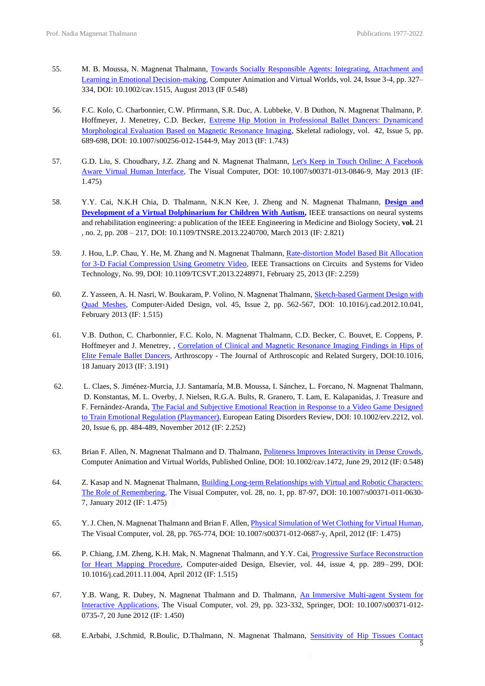- 55. M. B. Moussa, N. Magnenat Thalmann, [Towards Socially Responsible Agents: Integrating, Attachment and](https://onlinelibrary.wiley.com/doi/full/10.1002/cav.1515)  [Learning in Emotional Decision-making,](https://onlinelibrary.wiley.com/doi/full/10.1002/cav.1515) Computer Animation and Virtual Worlds, vol. 24, Issue 3-4, pp. 327– 334, DOI: [10.1002/cav.1515, A](https://doi.org/10.1002/cav.1515)ugust 2013 (IF 0.548)
- 56. F.C. Kolo, C. Charbonnier, C.W. Pfirrmann, S.R. Duc, A. Lubbeke, V. B Duthon, N. Magnenat Thalmann, P. Hoffmeyer, J. Menetrey, C.D. Becker, Extreme Hip Motion in Professional Ballet Dancers: Dynamicand [Morphological Evaluation Based on Magnetic Resonance Imaging,](https://link.springer.com/article/10.1007/s00256-012-1544-9) Skeletal radiology, vol. 42, Issue 5, pp. 689-698, DOI[: 10.1007/s00256-012-1544-9, M](https://doi.org/10.1007/s00256-012-1544-9)ay 2013 (IF: 1.743)
- 57. G.D. Liu, S. Choudhary, J.Z. Zhang and N. Magnenat Thalmann, Let's Keep in Touch Online: A Facebook [Aware Virtual Human Interface,](https://link.springer.com/article/10.1007/s00371-013-0846-9) The Visual Computer, DOI: 10.1007/s00371-013-0846-9, May 2013 (IF: 1.475)
- 58. Y.Y. Cai, N.K.H Chia, D. Thalmann, N.K.N Kee, J. Zheng and N. Magnenat Thalmann, **[Design and](https://ieeexplore.ieee.org/stamp/stamp.jsp?arnumber=6419839) [Development of a Virtual Dolphinarium for Children With Autism,](https://ieeexplore.ieee.org/stamp/stamp.jsp?arnumber=6419839) IEEE transactions on neural systems** and rehabilitation engineering: a publication of the IEEE Engineering in Medicine and Biology Society, **vol.** 21 , no. 2, pp. 208 – 217, DOI: 10.1109/TNSRE.2013.2240700, March 2013 (IF: 2.821)
- 59. J. Hou, L.P. Chau, Y. He, M. Zhang and N. Magnenat Thalmann, [Rate-distortion Model Based Bit Allocation](https://ieeexplore.ieee.org/document/6470663)  [for 3-D Facial Compression Using Geometry Video,](https://ieeexplore.ieee.org/document/6470663) IEEE Transactions on Circuits and Systems for Video Technology, No. 99, DOI: 10.1109/TCSVT.2013.2248971, February 25, 2013 (IF: 2.259)
- 60. Z. Yasseen, A. H. Nasri, W. Boukaram, P. Volino, N. Magnenat Thalmann, [Sketch-based Garment Design with](https://www.sciencedirect.com/science/article/pii/S0010448512002461)  [Quad Meshes,](https://www.sciencedirect.com/science/article/pii/S0010448512002461) Computer-Aided Design, vol. 45, Issue 2, pp. 562-567, DOI: [10.1016/j.cad.2012.10.041,](https://doi.org/10.1016/j.cad.2012.10.041) February 2013 (IF: 1.515)
- 61. V.B. Duthon, C. Charbonnier, F.C. Kolo, N. Magnenat Thalmann, C.D. Becker, C. Bouvet, E. Coppens, P. Hoffmeyer and J. Menetrey, , [Correlation of Clinical and Magnetic Resonance Imaging Findings in Hips of](https://www.researchgate.net/publication/234697786_Correlation_of_Clinical_and_Magnetic_Resonance_Imaging_Findings_in_Hips_of_Elite_Female_Ballet_Dancers)  [Elite Female Ballet Dancers,](https://www.researchgate.net/publication/234697786_Correlation_of_Clinical_and_Magnetic_Resonance_Imaging_Findings_in_Hips_of_Elite_Female_Ballet_Dancers) Arthroscopy - The Journal of Arthroscopic and Related Surgery, DOI:10.1016, 18 January 2013 (IF: 3.191)
- 62. L. Claes, S. Jiménez-Murcia, J.J. Santamaría, M.B. Moussa, I. Sánchez, L. Forcano, N. Magnenat Thalmann, D. Konstantas, M. L. Overby, J. Nielsen, R.G.A. Bults, R. Granero, T. Lam, E. Kalapanidas, J. Treasure and F. Fernández-Aranda, [The Facial and Subjective Emotional Reaction in Response to a Video Game Designed](https://onlinelibrary.wiley.com/doi/full/10.1002/erv.2212)  [to Train Emotional Regulation \(Playmancer\),](https://onlinelibrary.wiley.com/doi/full/10.1002/erv.2212) European Eating Disorders Review, DOI: 10.1002/erv.2212, vol. 20, Issue 6, pp. 484-489, November 2012 (IF: 2.252)
- 63. Brian F. Allen, N. Magnenat Thalmann and D. Thalmann, [Politeness Improves Interactivity in Dense Crowds,](https://onlinelibrary.wiley.com/doi/full/10.1002/cav.1472) Computer Animation and Virtual Worlds, Published Online, DOI[: 10.1002/cav.1472, J](https://doi.org/10.1002/cav.1472)une 29, 2012 (IF: 0.548)
- 64. Z. Kasap and N. Magnenat Thalmann, [Building Long-term Relationships with Virtual and Robotic Characters:](https://link.springer.com/article/10.1007/s00371-011-0630-7)  [The Role of Remembering,](https://link.springer.com/article/10.1007/s00371-011-0630-7) The Visual Computer, vol. 28, no. 1, pp. 87-97, DOI: 10.1007/s00371-011-0630- 7, January 2012 (IF: 1.475)
- 65. Y. J. Chen, N. Magnenat Thalmann and Brian F. Allen, [Physical Simulation of Wet Clothing for Virtual Human,](https://link.springer.com/article/10.1007/s00371-012-0687-y)  The Visual Computer, vol. 28, pp. 765-774, DOI: 10.1007/s00371-012-0687-y, April, 2012 (IF: 1.475)
- 66. P. Chiang, J.M. Zheng, K.H. Mak, N. Magnenat Thalmann, and Y.Y. Cai, [Progressive Surface Reconstruction](https://www.sciencedirect.com/science/article/pii/S0010448511003071)  [for Heart Mapping Procedure,](https://www.sciencedirect.com/science/article/pii/S0010448511003071) Computer-aided Design, Elsevier, vol. 44, issue 4, pp. 289– 299, DOI: [10.1016/j.cad.2011.11.004, A](https://doi.org/10.1016/j.cad.2011.11.004)pril 2012 (IF: 1.515)
- 67. Y.B. Wang, R. Dubey, N. Magnenat Thalmann and D. Thalmann, [An Immersive Multi-agent System for](https://link.springer.com/article/10.1007/s00371-012-0735-7)  [Interactive Applications,](https://link.springer.com/article/10.1007/s00371-012-0735-7) The Visual Computer, vol. 29, pp. 323-332, Springer, DOI: 10.1007/s00371-012- 0735-7, 20 June 2012 (IF: 1.450)
- 68. E.Arbabi, J.Schmid, R.Boulic, D.Thalmann, N. Magnenat Thalmann, [Sensitivity of Hip Tissues Contact](https://pubmed.ncbi.nlm.nih.gov/22374310/)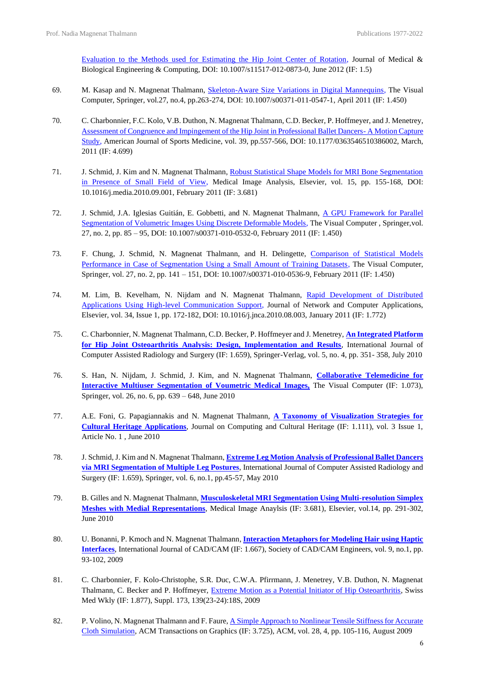[Evaluation to the Methods used for Estimating the Hip Joint Center of Rotation,](https://pubmed.ncbi.nlm.nih.gov/22374310/) Journal of Medical & Biological Engineering & Computing, DOI: 10.1007/s11517-012-0873-0, June 2012 (IF: 1.5)

- 69. M. Kasap and N. Magnenat Thalmann, [Skeleton-Aware Size Variations in Digital Mannequins,](https://www.researchgate.net/publication/225119090_Skeleton-aware_size_variations_in_digital_mannequins) The Visual Computer, Springer, vol.27, no.4, pp.263-274, DOI: [10.1007/s00371-011-0547-1,](https://doi.org/10.1007/s00371-011-0547-1) April 2011 (IF: 1.450)
- 70. C. Charbonnier, F.C. Kolo, V.B. Duthon, N. Magnenat Thalmann, C.D. Becker, P. Hoffmeyer, and J. Menetrey, [Assessment of Congruence and Impingement of the Hip Joint in Professional Ballet Dancers-](https://pubmed.ncbi.nlm.nih.gov/21160017/) A Motion Capture [Study,](https://pubmed.ncbi.nlm.nih.gov/21160017/) American Journal of Sports Medicine, vol. 39, pp.557-566, DOI: [10.1177/0363546510386002, M](https://doi.org/10.1177%2F0363546510386002)arch, 2011 (IF: 4.699)
- 71. J. Schmid, J. Kim and N. Magnenat Thalmann, Robust Statistical Shape Models for MRI Bone Segmentation [in Presence of Small Field of View,](https://www.sciencedirect.com/science/article/pii/S1361841510001118) Medical Image Analysis, Elsevier, vol. 15, pp. 155-168, DOI: [10.1016/j.media.2010.09.001,](https://doi.org/10.1016/j.media.2010.09.001) February 2011 (IF: 3.681)
- 72. J. Schmid, J.A. Iglesias Guitián, E. Gobbetti, and N. Magnenat Thalmann, [A GPU Framework for Parallel](https://link.springer.com/article/10.1007/s00371-010-0532-0)  [Segmentation of Volumetric Images Using Discrete Deformable Models,](https://link.springer.com/article/10.1007/s00371-010-0532-0) The Visual Computer , Springer,vol. 27, no. 2, pp. 85 – 95, DOI: [10.1007/s00371-010-0532-0, F](https://doi.org/10.1007/s00371-010-0532-0)ebruary 2011 (IF: 1.450)
- 73. F. Chung, J. Schmid, N. Magnenat Thalmann, and H. Delingette, Comparison of Statistical Models [Performance in Case of Segmentation Using a Small Amount of Training Datasets,](https://link.springer.com/article/10.1007/s00371-010-0536-9) The Visual Computer, Springer, vol. 27, no. 2, pp. 141 – 151, DOI: 10.1007/s00371-010-0536-9, February 2011 (IF: 1.450)
- 74. M. Lim, B. Kevelham, N. Nijdam and N. Magnenat Thalmann, [Rapid Development of Distributed](https://www.sciencedirect.com/science/article/pii/S1084804510001426)  [Applications Using High-level Communication Support,](https://www.sciencedirect.com/science/article/pii/S1084804510001426) Journal of Network and Computer Applications, Elsevier, vol. 34, Issue 1, pp. 172-182, DOI: [10.1016/j.jnca.2010.08.003, J](https://doi.org/10.1016/j.jnca.2010.08.003)anuary 2011 (IF: 1.772)
- 75. C. Charbonnier, N. Magnenat Thalmann, C.D. Becker, P. Hoffmeyer and J. Menetrey, **[An Integrated Platform](https://pubmed.ncbi.nlm.nih.gov/20411346/)  [for Hip Joint Osteoarthritis Analysis: Design, Implementation and Results](https://pubmed.ncbi.nlm.nih.gov/20411346/)**, International Journal of Computer Assisted Radiology and Surgery (IF: 1.659), Springer-Verlag, vol. 5, no. 4, pp. 351- 358, July 2010
- 76. S. Han, N. Nijdam, J. Schmid, J. Kim, and N. Magnenat Thalmann, **[Collaborative Telemedicine for](https://link.springer.com/article/10.1007/s00371-010-0445-y)  [Interactive Multiuser Segmentation of Voumetric](https://link.springer.com/article/10.1007/s00371-010-0445-y) Medical Images,** The Visual Computer (IF: 1.073), Springer, vol. 26, no. 6, pp. 639 – 648, June 2010
- 77. A.E. Foni, G. Papagiannakis and N. Magnenat Thalmann, **[A Taxonomy of Visualization Strategies for](https://dl.acm.org/doi/10.1145/1805961.1805962)  [Cultural Heritage Applications](https://dl.acm.org/doi/10.1145/1805961.1805962)**, Journal on Computing and Cultural Heritage (IF: 1.111), vol. 3 Issue 1, Article No. 1 , June 2010
- 78. J. Schmid, J. Kim and N. Magnenat Thalmann, **[Extreme Leg Motion Analysis of Professional Ballet Dancers](https://pubmed.ncbi.nlm.nih.gov/20461557/)  [via MRI Segmentation of Multiple Leg Postures](https://pubmed.ncbi.nlm.nih.gov/20461557/)**, International Journal of Computer Assisted Radiology and Surgery (IF: 1.659), Springer, vol. 6, no.1, pp.45-57, May 2010
- 79. B. Gilles and N. Magnenat Thalmann, **[Musculoskeletal MRI Segmentation Using Multi-resolution Simplex](https://pubmed.ncbi.nlm.nih.gov/20461557/)  [Meshes with Medial Representations](https://pubmed.ncbi.nlm.nih.gov/20461557/)**, Medical Image Anaylsis (IF: 3.681), Elsevier, vol.14, pp. 291-302, June 2010
- 80. U. Bonanni, P. Kmoch and N. Magnenat Thalmann, **[Interaction Metaphors for Modeling Hair using Haptic](https://www.researchgate.net/publication/228354532_Interaction_Metaphors_for_Modeling_Hair_using_Haptic_Interfaces)  [Interfaces](https://www.researchgate.net/publication/228354532_Interaction_Metaphors_for_Modeling_Hair_using_Haptic_Interfaces)**, International Journal of CAD/CAM (IF: 1.667), Society of CAD/CAM Engineers, vol. 9, no.1, pp. 93-102, 2009
- 81. C. Charbonnier, F. Kolo-Christophe, S.R. Duc, C.W.A. Pfirrmann, J. Menetrey, V.B. Duthon, N. Magnenat Thalmann, C. Becker and P. Hoffmeyer, [Extreme Motion as a Potential Initiator of Hip Osteoarthritis,](https://www.researchgate.net/publication/235548790_Extreme_Motion_as_a_Potential_Initiator_of_Hip_Osteoarthritis) Swiss Med Wkly (IF: 1.877), Suppl. 173, 139(23-24):18S, 2009
- 82. P. Volino, N. Magnenat Thalmann and F. Faure, A Simple Approach to Nonlinear Tensile Stiffness for Accurate [Cloth Simulation,](https://www.researchgate.net/publication/43002700_A_Simple_Approach_to_Nonlinear_Tensile_Stiffness_for_Accurate_Cloth_Simulation) ACM Transactions on Graphics (IF: 3.725), ACM, vol. 28, 4, pp. 105-116, August 2009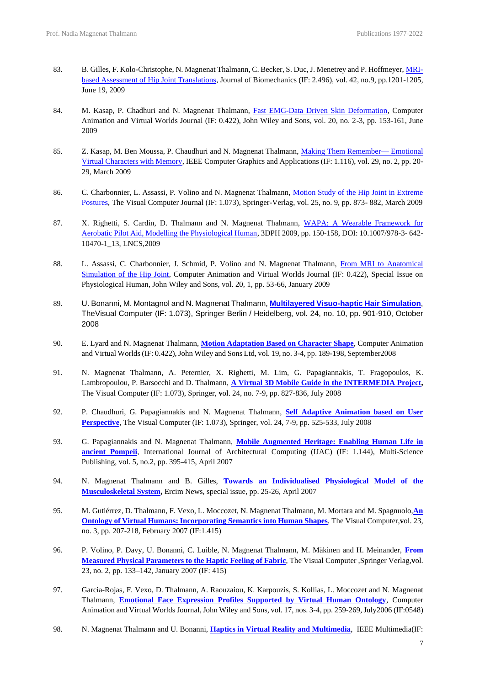- 83. B. Gilles, F. Kolo-Christophe, N. Magnenat Thalmann, C. Becker, S. Duc, J. Menetrey and P. Hoffmeyer[, MRI](https://archive-ouverte.unige.ch/unige:5414)[based Assessment of Hip Joint Translations,](https://archive-ouverte.unige.ch/unige:5414) Journal of Biomechanics (IF: 2.496), vol. 42, no.9, pp.1201-1205, June 19, 2009
- 84. M. Kasap, P. Chadhuri and N. Magnenat Thalmann, [Fast EMG-Data Driven Skin Deformation,](https://onlinelibrary.wiley.com/doi/10.1002/cav.296) Computer Animation and Virtual Worlds Journal (IF: 0.422), John Wiley and Sons, vol. 20, no. 2-3, pp. 153-161, June 2009
- 85. Z. Kasap, M. Ben Moussa, P. Chaudhuri and N. Magnenat Thalmann, [Making Them Remember—](https://www.researchgate.net/publication/26234302_Making_Them_Remember-Emotional_Virtual_Characters_with_Memory) Emotional [Virtual Characters with Memory,](https://www.researchgate.net/publication/26234302_Making_Them_Remember-Emotional_Virtual_Characters_with_Memory) IEEE Computer Graphics and Applications (IF: 1.116), vol. 29, no. 2, pp. 20- 29, March 2009
- 86. C. Charbonnier, L. Assassi, P. Volino and N. Magnenat Thalmann, [Motion Study of the Hip Joint in Extreme](https://www.researchgate.net/publication/225260552_Motion_study_of_the_hip_joint_in_extreme_postures)  [Postures,](https://www.researchgate.net/publication/225260552_Motion_study_of_the_hip_joint_in_extreme_postures) The Visual Computer Journal (IF: 1.073), Springer-Verlag, vol. 25, no. 9, pp. 873- 882, March 2009
- 87. X. Righetti, S. Cardin, D. Thalmann and N. Magnenat Thalmann, [WAPA: A Wearable Framework for](https://infoscience.epfl.ch/record/142727?ln=fr)  [Aerobatic Pilot Aid, Modelling the Physiological Human,](https://infoscience.epfl.ch/record/142727?ln=fr) 3DPH 2009, pp. 150-158, DOI: 10.1007/978-3- 642- 10470-1\_13, LNCS,2009
- 88. L. Assassi, C. Charbonnier, J. Schmid, P. Volino and N. Magnenat Thalmann, From MRI to Anatomical [Simulation of the Hip Joint,](https://onlinelibrary.wiley.com/doi/10.1002/cav.266) Computer Animation and Virtual Worlds Journal (IF: 0.422), Special Issue on Physiological Human, John Wiley and Sons, vol. 20, 1, pp. 53-66, January 2009
- 89. U. Bonanni, M. Montagnol and N. Magnenat Thalmann, **[Multilayered Visuo-haptic Hair Simulation](https://www.dropbox.com/s/vl47etk9mqrp5j8/Multilayered%20visuo-haptic%20hair%20simulation%20-%20TVC%202008.pdf?dl=0)**, TheVisual Computer (IF: 1.073), Springer Berlin / Heidelberg, vol. 24, no. 10, pp. 901-910, October 2008
- 90. E. Lyard and N. Magnenat Thalmann, **[Motion Adaptation Based](https://www.dropbox.com/s/o5qjn4oj30txi6b/Motion%20Adaptation%20-%20CAVW%202008.pdf?dl=0) on Character Shape**, Computer Animation and Virtual Worlds (IF: 0.422), John Wiley and Sons Ltd, vol. 19, no. 3-4, pp. 189-198, September2008
- 91. N. Magnenat Thalmann, A. Peternier, X. Righetti, M. Lim, G. Papagiannakis, T. Fragopoulos, K. Lambropoulou, P. Barsocchi and D. Thalmann, **[A Virtual 3D Mobile Guide in the INTERMEDIA Project,](https://www.dropbox.com/s/ba1b7nr6dwoi4iw/A%20Virtual%203D%20Mobile%20Guide%20-%20TVC%202008.pdf?dl=0)** The Visual Computer (IF: 1.073), Springer, **v**ol. 24, no. 7-9, pp. 827-836, July 2008
- 92. P. Chaudhuri, G. Papagiannakis and N. Magnenat Thalmann, **[Self Adaptive Animation based on User](https://www.dropbox.com/s/k8vehknj26n1gh2/Self%20Adaptive%20Animation%20-%20TVC%202008.pdf?dl=0)** [Perspective](https://www.dropbox.com/s/k8vehknj26n1gh2/Self%20Adaptive%20Animation%20-%20TVC%202008.pdf?dl=0), The Visual Computer (IF: 1.073), Springer, vol. 24, 7-9, pp. 525-533, July 2008
- 93. G. Papagiannakis and N. Magnenat Thalmann, **[Mobile Augmented Heritage: Enabling Human Life in](https://www.dropbox.com/s/mfheucwjtpv99ny/Mobile%20Augmented%20Heritage%20-%20Int.%20J.%20Architectural%20Computing%202007.pdf?dl=0) ancient [Pompeii](https://www.dropbox.com/s/mfheucwjtpv99ny/Mobile%20Augmented%20Heritage%20-%20Int.%20J.%20Architectural%20Computing%202007.pdf?dl=0)**, International Journal of Architectural Computing (IJAC) (IF: 1.144), Multi-Science Publishing, vol. 5, no.2, pp. 395-415, April 2007
- 94. N. Magnenat Thalmann and B. Gilles, **Towards an [Individualised](https://www.dropbox.com/s/dpav45kzu4mducp/An%20Individualised%20Physiological%20Model%20-%20ERCIM%20New%202007.pdf?dl=0) Physiological Model of the [Musculoskeletal](https://www.dropbox.com/s/dpav45kzu4mducp/An%20Individualised%20Physiological%20Model%20-%20ERCIM%20New%202007.pdf?dl=0) System,** Ercim News, special issue, pp. 25-26, April 2007
- 95. M. Gutiérrez, D. Thalmann, F. Vexo, L. Moccozet, N. Magnenat Thalmann, M. Mortara and M. Spagnuolo,**[An](https://www.dropbox.com/s/a3h2kzue2un6n1m/Presence%20and%20Interaction%20-%20TVC%202007.pdf?dl=0) Ontology of Virtual Humans: [Incorporating](https://www.dropbox.com/s/a3h2kzue2un6n1m/Presence%20and%20Interaction%20-%20TVC%202007.pdf?dl=0) Semantics into Human Shapes**, The Visual Computer,**v**ol. 23, no. 3, pp. 207-218, February 2007 (IF:1.415)
- 96. P. Volino, P. Davy, U. Bonanni, C. Luible, N. Magnenat Thalmann, M. Mäkinen and H. Meinander, **[From](https://www.dropbox.com/s/fds3m9soyogmht7/From%20Measured%20Physical%20-%20TVC%202007.pdf?dl=0) Measured Physical [Parameters](https://www.dropbox.com/s/fds3m9soyogmht7/From%20Measured%20Physical%20-%20TVC%202007.pdf?dl=0) to the Haptic Feeling of Fabric**, The Visual Computer ,Springer Verlag,**v**ol. 23, no. 2, pp. 133–142, January 2007 (IF: 415)
- 97. Garcia-Rojas, F. Vexo, D. Thalmann, A. Raouzaiou, K. Karpouzis, S. Kollias, L. Moccozet and N. Magnenat Thalmann, **[Emotional Face Expression Profiles Supported by Virtual Human Ontology](https://www.dropbox.com/s/zxr38k7exq72h6j/Emotional%20face%20expression%20pro%EF%AC%81les%20-%20CAVW%202006.pdf?dl=0)**, Computer Animation and Virtual Worlds Journal, John Wiley and Sons, vol. 17, nos. 3-4, pp. 259-269, July2006 (IF:0548)
- 98. N. Magnenat Thalmann and U. Bonanni, **Haptics in Virtual Reality and [Multimedia](https://www.dropbox.com/s/k8nakjnhefmnf2m/Haptics%20in%20Virtual%20Reality%20-%20IEEE%20Multimedia%202006.pdf?dl=0)**, IEEE Multimedia(IF: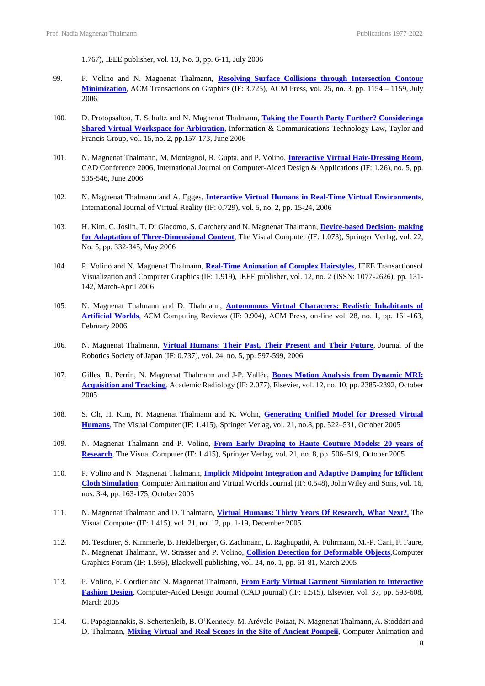1.767), IEEE publisher, vol. 13, No. 3, pp. 6-11, July 2006

- 99. P. Volino and N. Magnenat Thalmann, **Resolving Surface Collisions through Intersection Contour Minimization**, ACM Transactions on Graphics (IF: 3.725), ACM Press, **v**ol. 25, no. 3, pp. 1154 – 1159, July 2006
- 100. D. Protopsaltou, T. Schultz and N. Magnenat Thalmann, **[Taking the Fourth Party Further? Consideringa](https://www.dropbox.com/s/mq8slaa5uojeak1/Taking%20the%20Fourth%20Party%20Further%20-%20Information%20%26%20Communications%20Technology%20Law%202006.pdf?dl=0) Shared Virtual Workspace for [Arbitration](https://www.dropbox.com/s/mq8slaa5uojeak1/Taking%20the%20Fourth%20Party%20Further%20-%20Information%20%26%20Communications%20Technology%20Law%202006.pdf?dl=0)**, Information & Communications Technology Law, Taylor and Francis Group, vol. 15, no. 2, pp.157-173, June 2006
- 101. N. Magnenat Thalmann, M. Montagnol, R. Gupta, and P. Volino, **Interactive Virtual [Hair-Dressing](https://www.dropbox.com/s/zgprvckhsdsjb2r/Interactive_Virtual_Hair-Dressing_Room%20-%20Int.%20J.%20of%20CAD%202006.pdf?dl=0) Room**, CAD Conference 2006, International Journal on Computer-Aided Design & Applications (IF: 1.26), no. 5, pp. 535-546, June 2006
- 102. N. Magnenat Thalmann and A. Egges, **[Interactive Virtual Humans in Real-Time Virtual Environments](https://www.dropbox.com/s/4cvy6kj4i60gioe/Interactive%20Virtual%20Humans%20-%20Int.%20J.%20VR%202006.pdf?dl=0)**, International Journal of Virtual Reality (IF: 0.729), vol. 5, no. 2, pp. 15-24, 2006
- 103. H. Kim, C. Joslin, T. Di Giacomo, S. Garchery and N. Magnenat Thalmann, **[Device-based Decision-](https://www.dropbox.com/s/4go0i5j6zj89611/Device-based%20Decision%20-%20TVC%202006.pdf?dl=0) [making](https://www.dropbox.com/s/4go0i5j6zj89611/Device-based%20Decision%20-%20TVC%202006.pdf?dl=0)  [for Adaptation of Three-Dimensional Content](https://www.dropbox.com/s/4go0i5j6zj89611/Device-based%20Decision%20-%20TVC%202006.pdf?dl=0)**, The Visual Computer (IF: 1.073), Springer Verlag, vol. 22, No. 5, pp. 332-345, May 2006
- 104. P. Volino and N. Magnenat Thalmann, **[Real-Time Animation of Complex Hairstyles](https://www.dropbox.com/s/3s5yn0h4a6hr3mx/Real-Time%20Animation%20of%20Complex%20Hairstyles%20-%20IEEE%20Tr.%20TVCG%202006.pdf?dl=0)**, IEEE Transactionsof Visualization and Computer Graphics (IF: 1.919), IEEE publisher, vol. 12, no. 2 (ISSN: 1077-2626), pp. 131- 142, March-April 2006
- 105. N. Magnenat Thalmann and D. Thalmann, **[Autonomous Virtual Characters: Realistic Inhabitants of](https://www.dropbox.com/s/6co3hrp0hybc2av/Autonomous%20Virtual%20%26%20Artificial%20Characters%20-%20ACM%20Computing%20Reviews%202006.pdf?dl=0) [Artificial Worlds](https://www.dropbox.com/s/6co3hrp0hybc2av/Autonomous%20Virtual%20%26%20Artificial%20Characters%20-%20ACM%20Computing%20Reviews%202006.pdf?dl=0)**, *A*CM Computing Reviews (IF: 0.904), ACM Press, on-line vol. 28, no. 1, pp. 161-163, February 2006
- 106. N. Magnenat Thalmann, **[Virtual Humans: Their Past, Their Present and Their Future](https://www.dropbox.com/s/pvv6jqmw37qwnkq/Virtual%20Humans%20-%20Their%20Past%20-%20J.%20of%20Robotics%20Soc.%20of%20Japan%202006.pdf?dl=0)**, Journal of the Robotics Society of Japan (IF: 0.737), vol. 24, no. 5, pp. 597-599, 2006
- 107. Gilles, R. Perrin, N. Magnenat Thalmann and J-P. Vallée, **Bones Motion Analysis from [Dynamic](https://www.dropbox.com/s/x467sy6uks485ae/Bone%20Motion%20Analysis%20from%20Dynamic%20MRI%20-%20Academic%20Radiology%20%202005.pdf?dl=0) MRI: [Acquisition and Tracking](https://www.dropbox.com/s/x467sy6uks485ae/Bone%20Motion%20Analysis%20from%20Dynamic%20MRI%20-%20Academic%20Radiology%20%202005.pdf?dl=0)**, Academic Radiology (IF: 2.077), Elsevier, vol. 12, no. 10, pp. 2385-2392, October 2005
- 108. S. Oh, H. Kim, N. Magnenat Thalmann and K. Wohn, **[Generating Unified Model for Dressed Virtual](https://www.dropbox.com/s/tjucsx3lycw4v67/Generating%20Unified%20Model%20-%20TVC%202005.pdf?dl=0) [Humans](https://www.dropbox.com/s/tjucsx3lycw4v67/Generating%20Unified%20Model%20-%20TVC%202005.pdf?dl=0)**, The Visual Computer (IF: 1.415), Springer Verlag, vol. 21, no.8, pp. 522–531, October 2005
- 109. N. Magnenat Thalmann and P. Volino, **From Early Draping to Haute [Couture](https://www.dropbox.com/s/okn67vwranw5evd/From%20early%20draping%20to%20haute%20couture%20models%20-%20TVC%202005.pdf?dl=0) Models: 20 years of [Research](https://www.dropbox.com/s/okn67vwranw5evd/From%20early%20draping%20to%20haute%20couture%20models%20-%20TVC%202005.pdf?dl=0)**, The Visual Computer (IF: 1.415), Springer Verlag, vol. 21, no. 8, pp. 506–519, October 2005
- 110. P. Volino and N. Magnenat Thalmann, **Implicit Midpoint [Integration](https://www.dropbox.com/s/ayfemsrrbt3ebxm/Implicit%20Midpoint%20Integration%20-%20CAVW%202005.pdf?dl=0) and Adaptive Damping for Efficient [Cloth Simulation](https://www.dropbox.com/s/ayfemsrrbt3ebxm/Implicit%20Midpoint%20Integration%20-%20CAVW%202005.pdf?dl=0)**, Computer Animation and Virtual Worlds Journal (IF: 0.548), John Wiley and Sons, vol. 16, nos. 3-4, pp. 163-175, October 2005
- 111. N. Magnenat Thalmann and D. Thalmann, **Virtual Humans: Thirty Years Of [Research,](https://www.dropbox.com/s/dhha6kq7vu6dkbo/Virtual%20Humans.pdf?dl=0) What Next?**, The Visual Computer (IF: 1.415), vol. 21, no. 12, pp. 1-19, December 2005
- 112. M. Teschner, S. Kimmerle, B. Heidelberger, G. Zachmann, L. Raghupathi, A. Fuhrmann, M.-P. Cani, F. Faure, N. Magnenat Thalmann, W. Strasser and P. Volino, **[Collision Detection for Deformable Objects](https://www.dropbox.com/s/mf0y15dduf366nc/Collision%20Detection%20for%20Deformable%20Objects%20-%20EG%20Star%202004.pdf?dl=0)**,Computer Graphics Forum (IF: 1.595), Blackwell publishing, vol. 24, no. 1, pp. 61-81, March 2005
- 113. P. Volino, F. Cordier and N. Magnenat Thalmann, **From Early Virtual Garment [Simulation](https://www.dropbox.com/s/wc8a98ijwc1j973/From%20Early%20Virtual%20Garments%20-%20Computer-aided%20Design%202005.pdf?dl=0) to Interactive [Fashion](https://www.dropbox.com/s/wc8a98ijwc1j973/From%20Early%20Virtual%20Garments%20-%20Computer-aided%20Design%202005.pdf?dl=0) Design**, Computer-Aided Design Journal (CAD journal) (IF: 1.515), Elsevier, vol. 37, pp. 593-608, March 2005
- 114. G. Papagiannakis, S. Schertenleib, B. O'Kennedy, M. Arévalo-Poizat, N. Magnenat Thalmann, A. Stoddart and D. Thalmann, **Mixing Virtual and Real Scenes in the Site of Ancient [Pompeii](https://www.dropbox.com/s/z1943tn90egkii0/Mixing%20virtual%20and%20real%20scenes%20-%20CAVW%202005.pdf?dl=0)**, Computer Animation and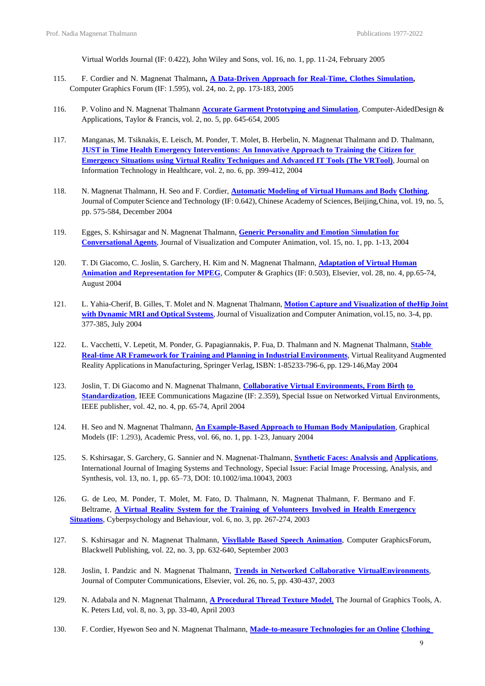Virtual Worlds Journal (IF: 0.422), John Wiley and Sons, vol. 16, no. 1, pp. 11-24, February 2005

- 115. F. Cordier and N. Magnenat Thalmann**, A [Data-Driven](https://www.dropbox.com/s/yeyux66758m1a9y/A%20Data-Driven%20Approach%20for%20Real-Time%20Clothes%20Simulation%20-%20CGF%202004%20Nadia.pdf?dl=0) Approach for Real-Time, Clothes Simulation,** Computer Graphics Forum (IF: 1.595), vol. 24, no. 2, pp. 173-183, 2005
- 116. P. Volino and N. Magnenat Thalmann **[Accurate Garment Prototyping and Simulation](https://www.dropbox.com/s/vjr9pkxc5zsvx20/Accurate%20Garment%20Prototyping%20and%20Simulation%20-%20Computer-aided%20Design%20%26%20Applications%202005.pdf?dl=0)**, Computer-AidedDesign & Applications, Taylor & Francis, vol. 2, no. 5, pp. 645-654, 2005
- 117. Manganas, M. Tsiknakis, E. Leisch, M. Ponder, T. Molet, B. Herbelin, N. Magnenat Thalmann and D. Thalmann, **[JUST in Time Health Emergency Interventions: An Innovative Approach to Training the](http://ebooks.iospress.nl/publication/20845) [Citizen for](http://ebooks.iospress.nl/publication/20845)  [Emergency Situations using Virtual Reality Techniques and Advanced IT Tools \(The VRTool\)](http://ebooks.iospress.nl/publication/20845)***,* Journal on Information Technology in Healthcare, vol. 2, no. 6, pp. 399-412, 2004
- 118. N. Magnenat Thalmann, H. Seo and F. Cordier, **[Automatic Modeling of Virtual Humans and Body](https://www.dropbox.com/s/etedcf7dgdchmsu/Automatic_modeling_of_virtual_humans%20-%20J.%20Comp.%20Sc.%20%26%20Tech%202004.pdf?dl=0) [Clothing](https://www.dropbox.com/s/etedcf7dgdchmsu/Automatic_modeling_of_virtual_humans%20-%20J.%20Comp.%20Sc.%20%26%20Tech%202004.pdf?dl=0)**, Journal of Computer Science and Technology (IF: 0.642), Chinese Academy of Sciences, Beijing,China, vol. 19, no. 5, pp. 575-584, December 2004
- 119. Egges, S. Kshirsagar and N. Magnenat Thalmann, **[Generic Personality and Emotion](https://www.dropbox.com/s/kklzaeszu99jbwz/Generic%20personality%20and%20emotion%20-%20CAVW%202004.pdf?dl=0)** S**imulation for [Conversational](https://www.dropbox.com/s/kklzaeszu99jbwz/Generic%20personality%20and%20emotion%20-%20CAVW%202004.pdf?dl=0) Agents**, Journal of Visualization and Computer Animation, vol. 15, no. 1, pp. 1-13, 2004
- 120. T. Di Giacomo, C. Joslin, S. Garchery, H. Kim and N. Magnenat Thalmann, **[Adaptation](https://www.dropbox.com/s/ppvuuhtu06lp7a0/Adaptation%20of%20Virtual%20Human%20Animation%20-%20C%26G%202004.pdf?dl=0) of Virtual Human [Animation and Representation for MPEG](https://www.dropbox.com/s/ppvuuhtu06lp7a0/Adaptation%20of%20Virtual%20Human%20Animation%20-%20C%26G%202004.pdf?dl=0)**, Computer & Graphics (IF: 0.503), Elsevier, vol. 28, no. 4, pp.65-74, August 2004
- 121. L. Yahia-Cherif, B. Gilles, T. Molet and N. Magnenat Thalmann, **Motion Capture and [Visualization](https://www.dropbox.com/s/o4b45qed6s9082d/Motion%20capture%20and%20visualization%20-%20CAVW%202004.pdf?dl=0) of theHip [Joint](https://www.dropbox.com/s/o4b45qed6s9082d/Motion%20capture%20and%20visualization%20-%20CAVW%202004.pdf?dl=0) with [Dynamic](https://www.dropbox.com/s/o4b45qed6s9082d/Motion%20capture%20and%20visualization%20-%20CAVW%202004.pdf?dl=0) MRI and Optical Systems**, Journal of Visualization and Computer Animation, vol.15, no. 3-4, pp. 377-385, July 2004
- 122. L. Vacchetti, V. Lepetit, M. Ponder, G. Papagiannakis, P. Fua, D. Thalmann and N. Magnenat Thalmann, **[Stable](https://www.dropbox.com/s/10gwlb1jj64msrp/A%20Stable%20Real-time%20AR%20-%20Virtual%20%26%20Augmented%20Reality%202004.pdf?dl=0) Real-time AR Framework for Training and Planning in Industrial [Environments](https://www.dropbox.com/s/10gwlb1jj64msrp/A%20Stable%20Real-time%20AR%20-%20Virtual%20%26%20Augmented%20Reality%202004.pdf?dl=0)**, Virtual Realityand Augmented Reality Applications in Manufacturing*,* Springer Verlag, ISBN: 1-85233-796-6, pp. 129-146,May 2004
- 123. Joslin, T. Di Giacomo and N. Magnenat Thalmann, **[Collaborative Virtual Environments, From Birth](https://www.dropbox.com/s/qmygpwbsdvakzra/Collaborative%20Virtual%20Environments%20-%20IEEE%20Communications%20Magazine%202004.pdf?dl=0) [to](https://www.dropbox.com/s/qmygpwbsdvakzra/Collaborative%20Virtual%20Environments%20-%20IEEE%20Communications%20Magazine%202004.pdf?dl=0)  [Standardization](https://www.dropbox.com/s/qmygpwbsdvakzra/Collaborative%20Virtual%20Environments%20-%20IEEE%20Communications%20Magazine%202004.pdf?dl=0)**, IEEE Communications Magazine (IF: 2.359), Special Issue on Networked Virtual Environments, IEEE publisher, vol. 42, no. 4, pp. 65-74, April 2004
- 124. H. Seo and N. Magnenat Thalmann, **[An Example-Based Approach to Human Body Manipulation](https://www.dropbox.com/s/mzojbpty4k7xt35/An%20Example-based%20Approach%20-%20Graphical%20Models%202003.pdf?dl=0)**, Graphical Models (IF: 1.293), Academic Press, vol. 66, no. 1, pp. 1-23, January 2004
- 125. S. Kshirsagar, S. Garchery, G. Sannier and N. Magnenat‐Thalmann, **[Synthetic Faces: Analysis and](https://www.dropbox.com/s/rsb56jutt7phrfm/Synthetic%20Faces%20-%20Analysis%20and%20Applications%20-%20International%20Journal%20of%20Imaging%20Systems%20and%20Technology%202003.pdf?dl=0) [Applications](https://www.dropbox.com/s/rsb56jutt7phrfm/Synthetic%20Faces%20-%20Analysis%20and%20Applications%20-%20International%20Journal%20of%20Imaging%20Systems%20and%20Technology%202003.pdf?dl=0)**, International Journal of Imaging Systems and Technology, Special Issue: Facial Image Processing, Analysis, and Synthesis, vol. 13, no. 1, pp. 65–73, DOI: 10.1002/ima.10043, 2003
- 126. G. de Leo, M. Ponder, T. Molet, M. Fato, D. Thalmann, N. Magnenat Thalmann, F. Bermano and F. Beltrame, **A Virtual Reality System for the Training of Volunteers Involved in Health [Emergency](https://www.dropbox.com/s/xfrrojbyrbqfxmy/A%20Virtual%20Reality%20System%20for%20the%20Training%20of%20Volunteers%20-%20Cyberpsychology%20and%20Behaviour%202003.pdf?dl=0) [Situations](https://www.dropbox.com/s/xfrrojbyrbqfxmy/A%20Virtual%20Reality%20System%20for%20the%20Training%20of%20Volunteers%20-%20Cyberpsychology%20and%20Behaviour%202003.pdf?dl=0)**, Cyberpsychology and Behaviour, vol. 6, no. 3, pp. 267-274, 2003
- 127. S. Kshirsagar and N. Magnenat Thalmann, **Visyllable Based Speech [Animation](https://www.dropbox.com/s/72ytz5qk6i12lnb/Visyllable%20Based%20Speech%20Animation%20-%20CGF%202003%20Nadia.pdf?dl=0)**, Computer GraphicsForum, Blackwell Publishing, vol. 22, no. 3, pp. 632-640, September 2003
- 128. Joslin, I. Pandzic and N. Magnenat Thalmann, **Trends in Networked [Collaborative](https://www.dropbox.com/s/462zi3wuwcc00wb/Trends%20In%20Network%20Collaborative%20-%20Computer%20Communications%202003.pdf?dl=0) Virtua[lEnvironments](https://www.dropbox.com/s/462zi3wuwcc00wb/Trends%20In%20Network%20Collaborative%20-%20Computer%20Communications%202003.pdf?dl=0)**, Journal of Computer Communications, Elsevier, vol. 26, no. 5, pp. 430-437, 2003
- 129. N. Adabala and N. Magnenat Thalmann, **[A Procedural Thread Texture Model](https://www.dropbox.com/s/mifpsq3njs7a58k/A_Procedural_Thread_Texture_Model%20-%20J.%20of%20Graphics%20Tools%202003.pdf?dl=0)**, The Journal of Graphics Tools, A. K. Peters Ltd, vol. 8, no. 3, pp. 33-40, April 2003
- 130. F. Cordier, Hyewon Seo and N. Magnenat Thalmann, **[Made-to-measure Technologies for an Online](https://www.dropbox.com/s/0v7m7ztx0lmjsv3/Made-to-Measure%20Technologies%20-%20IEEE%20CGA%202003.pdf?dl=0) [Clothing](https://www.dropbox.com/s/0v7m7ztx0lmjsv3/Made-to-Measure%20Technologies%20-%20IEEE%20CGA%202003.pdf?dl=0)**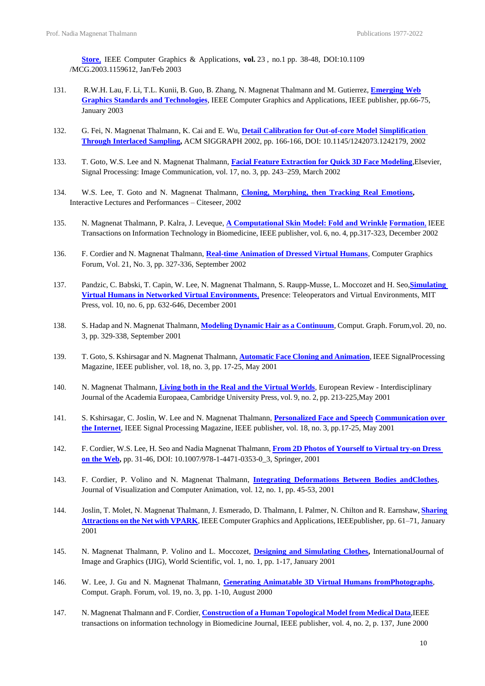**[Store](https://www.dropbox.com/s/0v7m7ztx0lmjsv3/Made-to-Measure%20Technologies%20-%20IEEE%20CGA%202003.pdf?dl=0)**, IEEE Computer Graphics & Applications, **vol.** 23 , [no.1](http://ieeexplore.ieee.org/xpl/tocresult.jsp?isnumber=25981) pp. 38-48, DOI:10.1109 /MCG.2003.1159612, Jan/Feb 2003

- 131. R.W.H. Lau, F. Li, T.L. Kunii, B. Guo, B. Zhang, N. Magnenat Thalmann and M. Gutierrez, **[Emerging](https://www.dropbox.com/s/761gszewo7cqtyl/Emerging%20Web%20-%20IEEE%20CGA%202003.pdf?dl=0) Web [Graphics Standards and Technologies](https://www.dropbox.com/s/761gszewo7cqtyl/Emerging%20Web%20-%20IEEE%20CGA%202003.pdf?dl=0)**, IEEE Computer Graphics and Applications, IEEE publisher, pp.66-75, January 2003
- 132. G. Fei, N. Magnenat Thalmann, K. Cai and E. Wu, **Detail Calibration for [Out-of-core](https://www.dropbox.com/s/1vvucjjmmazls0q/Detail%20Calibration%20for%20Out-of-Core%20-%20SIGGRAPH%202002.pdf?dl=0) Model [Simplification](https://www.dropbox.com/s/1vvucjjmmazls0q/Detail%20Calibration%20for%20Out-of-Core%20-%20SIGGRAPH%202002.pdf?dl=0) Through [Interlaced](https://www.dropbox.com/s/1vvucjjmmazls0q/Detail%20Calibration%20for%20Out-of-Core%20-%20SIGGRAPH%202002.pdf?dl=0) Sampling,** ACM SIGGRAPH 2002, pp. 166-166, DOI: 10.1145/1242073.1242179, 2002
- 133. T. Goto, W.S. Lee and N. Magnenat Thalmann, **[Facial Feature Extraction for Quick 3D Face Modeling](https://www.dropbox.com/s/ybndvwuleu9j6jb/Facial%20Feature%20Extraction%20-%20Signal%20Processing%20Communication%202002.pdf?dl=0)**,Elsevier, Signal Processing: Image [Communication, v](http://www.sciencedirect.com/science/journal/09235965)ol. 17, no. 3, pp. 243–259, March 2002
- 134. W.S. Lee, T. Goto and N. Magnenat Thalmann, **Cloning, [Morphing,](https://www.dropbox.com/s/qogvcywhhvpzwld/Cloning%2C%20Morphing%2C%20then%20Tracking%20Real%20Emotions%20-%20Citeseer%202002.pdf?dl=0) then Tracking Real Emotions,** Interactive Lectures and Performances – Citeseer, 2002
- 135. N. Magnenat Thalmann, P. Kalra, J. Leveque, **A [Computational](https://www.dropbox.com/s/oddse0hye3bg2su/A%20Computational%20Skin%20Model%20-%20IEEE%20Trans.%20on%20Onformation%20Tech.%20in%20Biomedicine%202002.pdf?dl=0) Skin Model: Fold and Wrinkle [Formation](https://www.dropbox.com/s/oddse0hye3bg2su/A%20Computational%20Skin%20Model%20-%20IEEE%20Trans.%20on%20Onformation%20Tech.%20in%20Biomedicine%202002.pdf?dl=0)**, IEEE Transactions on Information Technology in Biomedicine, IEEE publisher, vol. 6, no. 4, pp.317-323, December 2002
- 136. F. Cordier and N. Magnenat Thalmann, **[Real-time Animation of Dressed Virtual Humans](https://www.dropbox.com/s/aairkwtxwjqbzas/Real-time%20Animation%20of%20Dressed%20Virtual%20Humans%20-%20CGF%202002.pdf?dl=0)**, Computer Graphics Forum, Vol. 21, No. 3, pp. 327-336, September 2002
- 137. Pandzic, C. Babski, T. Capin, W. Lee, N. Magnenat Thalmann, S. Raupp-Musse, L. Moccozet and H. Seo,**[Simulating](https://www.dropbox.com/s/1ifxyueqy12hhv1/Simulating%20Virtual%20Environments%20-%20Presence%202001.pdf?dl=0)  [Virtual Humans in Networked Virtual Environments](https://www.dropbox.com/s/1ifxyueqy12hhv1/Simulating%20Virtual%20Environments%20-%20Presence%202001.pdf?dl=0)**, Presence: Teleoperators and Virtual Environments, MIT Press, vol. 10, no. 6, pp. 632-646, December 2001
- 138. S. Hadap and N. Magnenat Thalmann, **Modeling Dynamic Hair as a [Continuum](https://www.dropbox.com/s/zho8a9x3nfbh1yj/Modeling%20Dynamic%20Hair%20as%20a%20Continuum%20-%20CGF%202001.pdf?dl=0)**, Comput. Graph. Forum,vol. 20, no. 3, pp. 329-338, September 2001
- 139. T. Goto, S. Kshirsagar and N. Magnenat Thalmann, **Automatic Face Cloning and [Animation](https://www.dropbox.com/s/m96u7i2098i7t7g/Automatic%20Face%20Cloning%20-%20IEEE%20Signal%20Processing%20Magazine%202001.pdf?dl=0)**, IEEE SignalProcessing Magazine*,* IEEE publisher, vol. 18, no. 3, pp. 17-25, May 2001
- 140. N. Magnenat Thalmann, **Living both in the Real and the Virtual [Worlds](https://www.dropbox.com/s/zfb6vcf1b6n2r2y/Living%20in%20both%20the%20Real%20%26%20Virtual%20-%20European%20review%202001.pdf?dl=0)***,* European Review Interdisciplinary Journal of the Academia Europaea*,* Cambridge University Press, vol. 9, no. 2, pp. 213-225,May 2001
- 141. S. Kshirsagar, C. Joslin, W. Lee and N. Magnenat Thalmann, **[Personalized](https://www.dropbox.com/s/4aifa9ia2kyzdmb/Personalized%20Face%20and%20Speech%20-%20IEEE%20Signal%20Processing%20Magazine%202001.pdf?dl=0) Face and Speech [Communication over](https://www.dropbox.com/s/4aifa9ia2kyzdmb/Personalized%20Face%20and%20Speech%20-%20IEEE%20Signal%20Processing%20Magazine%202001.pdf?dl=0)  [the Internet](https://www.dropbox.com/s/4aifa9ia2kyzdmb/Personalized%20Face%20and%20Speech%20-%20IEEE%20Signal%20Processing%20Magazine%202001.pdf?dl=0)**, IEEE Signal Processing Magazine, IEEE publisher, vol. 18, no. 3, pp.17-25, May 2001
- 142. F. Cordier, W.S. Lee, H. Seo and Nadia Magnenat Thalmann, **From 2D Photos of [Yourself](https://www.dropbox.com/s/m8dh8m5kvfdm3lv/From%202D%20Photos%20of%20Yourself%20-%20People%20and%20Computers%20XV%E2%80%94Interaction%20without%20Frontiers%202001.pdf?dl=0) to Virtual try-on [Dress](https://www.dropbox.com/s/m8dh8m5kvfdm3lv/From%202D%20Photos%20of%20Yourself%20-%20People%20and%20Computers%20XV%E2%80%94Interaction%20without%20Frontiers%202001.pdf?dl=0)  on the [Web,](https://www.dropbox.com/s/m8dh8m5kvfdm3lv/From%202D%20Photos%20of%20Yourself%20-%20People%20and%20Computers%20XV%E2%80%94Interaction%20without%20Frontiers%202001.pdf?dl=0)** pp. 31-46, DOI: 10.1007/978-1-4471-0353-0\_3, Springer, 2001
- 143. F. Cordier, P. Volino and N. Magnenat Thalmann, **Integrating [Deformations](https://www.dropbox.com/s/4ceb9tqko4ler5m/Integrating%20Deformations%20-%20CAVW%202001.pdf?dl=0) Between Bodies an[dClothes](https://www.dropbox.com/s/4ceb9tqko4ler5m/Integrating%20Deformations%20-%20CAVW%202001.pdf?dl=0)**, Journal of Visualization and Computer Animation, vol. 12, no. 1, pp. 45-53, 2001
- 144. Joslin, T. Molet, N. Magnenat Thalmann, J. Esmerado, D. Thalmann, I. Palmer, N. Chilton and R. Earnshaw, **[Sharing](https://www.dropbox.com/s/v8grwe9hacah08q/Sharing%20Attractions%20-%20IEEE%20CGA%202001.pdf?dl=0) [Attractions](https://www.dropbox.com/s/v8grwe9hacah08q/Sharing%20Attractions%20-%20IEEE%20CGA%202001.pdf?dl=0) on the Net with VPARK**, IEEE Computer Graphics and Applications, IEEEpublisher, pp. 61–71, January 2001
- 145. N. Magnenat Thalmann, P. Volino and L. Moccozet, **Designing and [Simulating](https://www.dropbox.com/s/ftfnqh04bqgks8d/Designing%20%26%20Simulating%20Clothes%20-%20J.%20Image%20%26%20Graphics%202001.pdf?dl=0) Clothes,** InternationalJournal of Image and Graphics (IJIG)*,* World Scientific, vol. 1, no. 1, pp. 1-17, January 2001
- 146. W. Lee, J. Gu and N. Magnenat Thalmann, **Generating [Animatable](https://www.dropbox.com/s/zalt8sqvdwj50ja/Generating%20Animatable%203D%20Virtual%20Humans%20from%20Photographs%20-%20CGF%202000%20Nadia.pdf?dl=0) 3D Virtual Humans fro[mPhotographs](https://www.dropbox.com/s/zalt8sqvdwj50ja/Generating%20Animatable%203D%20Virtual%20Humans%20from%20Photographs%20-%20CGF%202000%20Nadia.pdf?dl=0)**, Comput. Graph. Forum, vol. 19, no. 3, pp. 1-10, August 2000
- 147. N. Magnenat Thalmann and F. Cordier, **[Construction](https://www.dropbox.com/s/nfwsy76v0okzrme/Construction%20of%20a%20Human%20Topological%20Model%20-%20IEEE%20Tr.%20on%20Information%20Tech.%20in%20Biomedicine%202000.pdf?dl=0) of a Human Topological Model from Medical Data**,IEEE transactions on information technology in Biomedicine Journal, IEEE publisher, vol. 4, no. 2, p. 137, June 2000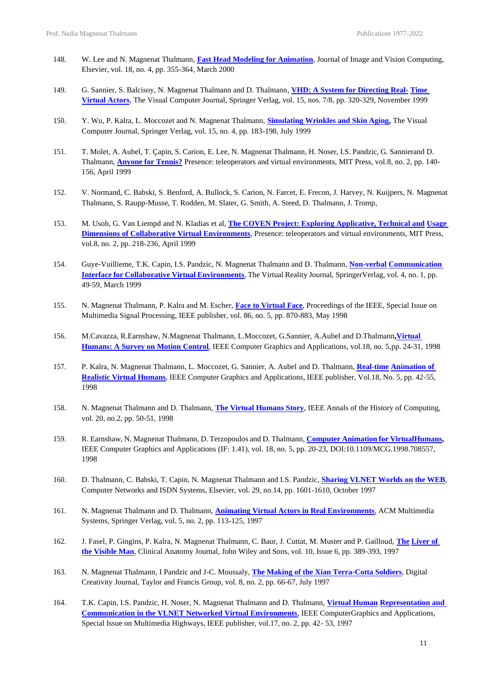- 148. W. Lee and N. Magnenat Thalmann, **[Fast Head Modeling for Animation](https://www.dropbox.com/s/15jcca5h5waazjy/Fast%20Head%20Modeling%20-%20Image%20and%20Vision%20Computing%202000.pdf?dl=0)**, Journal of Image and Vision Computing, Elsevier, vol. 18, no. 4, pp. 355-364, March 2000
- 149. G. Sannier, S. Balcisoy, N. Magnenat Thalmann and D. Thalmann*,* **[VHD: A System for Directing Real-](https://www.dropbox.com/s/5amgeg8rw88xkbj/VHD.pdf?dl=0) [Time](https://www.dropbox.com/s/5amgeg8rw88xkbj/VHD.pdf?dl=0)  [Virtual Actors](https://www.dropbox.com/s/5amgeg8rw88xkbj/VHD.pdf?dl=0)**, The Visual Computer Journal, Springer Verlag, vol. 15, nos. 7/8, pp. 320-329, November 1999
- 150. Y. Wu, P. Kalra, L. Moccozet and N. Magnenat Thalmann, **[Simulating Wrinkles and Skin Aging,](https://www.dropbox.com/s/mqoz34um5mezr8s/Simulating%20Wrinkles%20-%20TVC%201999.pdf?dl=0)** The Visual Computer Journal, Springer Verlag, vol. 15, no. 4, pp. 183-198, July 1999
- 151. T. Molet, A. Aubel, T. Çapin, S. Carion, E. Lee, N. Magnenat Thalmann, H. Noser, I.S. Pandzic, G. Sannierand D. Thalmann, **[Anyone for Tennis?](https://www.dropbox.com/s/mhuulp77s7dwstv/Anyone%20for%20tennis%20-%20Presence%201999.pdf?dl=0)** Presence: teleoperators and virtual environments, MIT Press, vol.8, no. 2, pp. 140- 156, April 1999
- 152. V. Normand, C. Babski, S. Benford, A. Bullock, S. Carion, N. Farcet, E. Frecon, J. Harvey, N. Kuijpers, N. Magnenat Thalmann, S. Raupp-Musse, T. Rodden, M. Slater, G. Smith, A. Steed, D. Thalmann, J. Tromp,
- 153. M. Usoh, G. Van Liempd and N. Kladias et al, **[The COVEN Project: Exploring Applicative, Technical and](https://www.dropbox.com/s/5pldj9dk8czkdxx/The%20Coven%20Project%20-%20Presence%201999.pdf?dl=0) [Usage](https://www.dropbox.com/s/5pldj9dk8czkdxx/The%20Coven%20Project%20-%20Presence%201999.pdf?dl=0) Dimensions of Collaborative Virtual [Environments](https://www.dropbox.com/s/5pldj9dk8czkdxx/The%20Coven%20Project%20-%20Presence%201999.pdf?dl=0)**, Presence: teleoperators and virtual environments, MIT Press, vol.8, no. 2, pp. 218-236, April 1999
- 154. Guye-Vuillieme, T.K. Capin, I.S. Pandzic, N. Magnenat Thalmann and D. Thalmann, **[Non-verbal](https://www.dropbox.com/s/tlkzdj45ekx5fcq/Nonverbal%20Communication%20Interface%20-%20Virtual%20Reality%201999.pdf?dl=0) [Communication](https://www.dropbox.com/s/tlkzdj45ekx5fcq/Nonverbal%20Communication%20Interface%20-%20Virtual%20Reality%201999.pdf?dl=0) Interface for Collaborative Virtual [Environments](https://www.dropbox.com/s/tlkzdj45ekx5fcq/Nonverbal%20Communication%20Interface%20-%20Virtual%20Reality%201999.pdf?dl=0)**, The Virtual Reality Journal, SpringerVerlag, vol. 4, no. 1, pp. 49-59, March 1999
- 155. N. Magnenat Thalmann, P. Kalra and M. Escher, **[Face to Virtual Face](https://www.dropbox.com/s/iktzhw8dk7cj9jc/Face%20to%20Virtual%20Face%20-%20Proc.%20IEEEE%201998.pdf?dl=0)**, Proceedings of the IEEE, Special Issue on Multimedia Signal Processing, IEEE publisher, vol. 86, no. 5, pp. 870-883, May 1998
- 156. M.Cavazza, R.Earnshaw, N.Magnenat Thalmann, L.Moccozet, G.Sannier, A.Aubel and D.Thalmann**[,Virtual](https://www.dropbox.com/s/ifal8zx8cfunqn8/Motion%20Control%20-%20IEEE%20CGA%201998.pdf?dl=0)  [Humans: A Survey on Motion Control](https://www.dropbox.com/s/ifal8zx8cfunqn8/Motion%20Control%20-%20IEEE%20CGA%201998.pdf?dl=0)**, IEEE Computer Graphics and Applications, vol.18, no. 5,pp. 24-31, 1998
- 157. P. Kalra, N. Magnenat Thalmann, L. Moccozet, G. Sannier, A. Aubel and D. Thalmann, **[Real-time](https://www.dropbox.com/s/a1mgrgm4bhb9dwp/Real-Time%20Animation%20-%20IEEE%20CGA%201998.pdf?dl=0) [Animation](https://www.dropbox.com/s/a1mgrgm4bhb9dwp/Real-Time%20Animation%20-%20IEEE%20CGA%201998.pdf?dl=0) of [Realistic](https://www.dropbox.com/s/a1mgrgm4bhb9dwp/Real-Time%20Animation%20-%20IEEE%20CGA%201998.pdf?dl=0) Virtual Humans**, IEEE Computer Graphics and Applications, IEEE publisher, Vol.18, No. 5, pp. 42-55, 1998
- 158. N. Magnenat Thalmann and D. Thalmann, **[The Virtual Humans Story](https://www.dropbox.com/s/s8wqzds965uikj4/The%20Virtual%20Humans%20story%20-%20IEEE%20%20Annals%201998.pdf?dl=0)**, IEEE Annals of the History of Computing, vol. 20, no.2, pp. 50-51, 1998
- 159. R. Earnshaw, N. Magnenat Thalmann, D. Terzopoulos and D. Thalmann, **Computer [Animation](https://www.dropbox.com/s/6eixu08ozgsyntr/Computer%20Animation%20for%20Virtual%20Humans%20-%20IEEE%20CGA%201998.pdf?dl=0) for Virtua[lHumans,](https://www.dropbox.com/s/6eixu08ozgsyntr/Computer%20Animation%20for%20Virtual%20Humans%20-%20IEEE%20CGA%201998.pdf?dl=0)** IEEE Computer Graphics and Applications (IF: 1.41), vol. 18, no. 5, pp. 20-23, DOI:10.1109/MCG.1998.708557, 1998
- 160. D. Thalmann, C. Babski, T. Capin, N. Magnenat Thalmann and I.S. Pandzic, **[Sharing VLNET Worlds on](https://www.dropbox.com/s/qj4glclt2ktqtmo/Sharing%20VLNET%20Worlds%20on%20the%20Web%20-%20Computer%20Networks%20%26%20ISDN%20Systems%201997.pdf?dl=0) the [WEB](https://www.dropbox.com/s/qj4glclt2ktqtmo/Sharing%20VLNET%20Worlds%20on%20the%20Web%20-%20Computer%20Networks%20%26%20ISDN%20Systems%201997.pdf?dl=0)**, Computer Networks and ISDN Systems, Elsevier, vol. 29, no.14, pp. 1601-1610, October 1997
- 161. N. Magnenat Thalmann and D. Thalmann, **[Animating Virtual Actors in Real Environments](https://www.dropbox.com/s/8opbz0hsgqce8jn/Animating%20Virtual%20Actors%20-%20Multimedia%20Systems%201997.pdf?dl=0)**, ACM Multimedia Systems, Springer Verlag, vol. 5, no. 2, pp. 113-125, 1997
- 162. J. Fasel, P. Gingins, P. Kalra, N. Magnenat Thalmann, C. Baur, J. Cuttat, M. Muster and P. Gailloud, **[The](https://www.dropbox.com/s/93ir4napzr7xujt/The%20Liver%20of%20the%20Visible%20Man%20-%20Clinical%20Anatomy%20Journal%201997.pdf?dl=0) [Liver of](https://www.dropbox.com/s/93ir4napzr7xujt/The%20Liver%20of%20the%20Visible%20Man%20-%20Clinical%20Anatomy%20Journal%201997.pdf?dl=0)  [the Visible Man](https://www.dropbox.com/s/93ir4napzr7xujt/The%20Liver%20of%20the%20Visible%20Man%20-%20Clinical%20Anatomy%20Journal%201997.pdf?dl=0)**, Clinical Anatomy Journal, John Wiley and Sons, vol. 10, Issue 6, pp. 389-393, 1997
- 163. N. Magnenat Thalmann, I Pandzic and J-C. Moussaly*,* **[The Making of the Xian Terra-Cotta Soldiers](https://www.dropbox.com/s/q3e6gauy11z2g0x/The%20Making%20of%20the%20Xian%20Terra-Cotta%20Soldiers%20-%20Digital%20Creativity%202002.pdf?dl=0)**, Digital Creativity Journal, Taylor and Francis Group, vol. 8, no. 2, pp. 66-67, July 1997
- 164. T.K. Capin, I.S. Pandzic, H. Noser, N. Magnenat Thalmann and D. Thalmann, **Virtual [Human](https://www.dropbox.com/s/1hmklv8ksbard8i/Virtual%20Human%20Representation%20-%20IEEE%20CGA%201997.pdf?dl=0) [Representation and](https://www.dropbox.com/s/1hmklv8ksbard8i/Virtual%20Human%20Representation%20-%20IEEE%20CGA%201997.pdf?dl=0)  [Communication in the VLNET Networked Virtual Environments](https://www.dropbox.com/s/1hmklv8ksbard8i/Virtual%20Human%20Representation%20-%20IEEE%20CGA%201997.pdf?dl=0)**, IEEE ComputerGraphics and Applications, Special Issue on Multimedia Highways, IEEE publisher, vol.17, no. 2, pp. 42- 53, 1997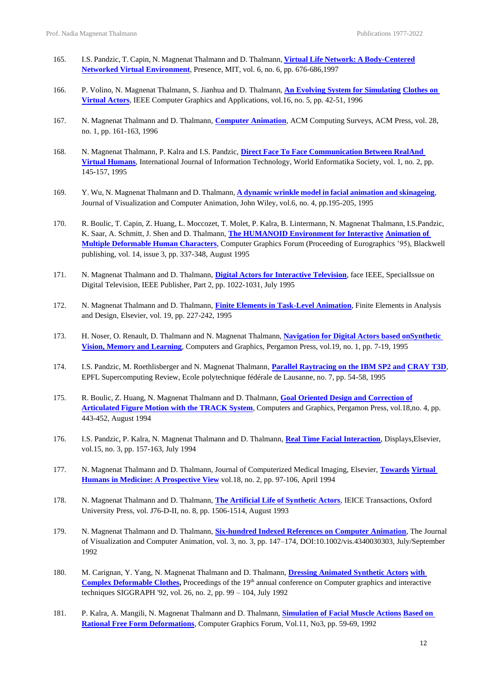- 165. I.S. Pandzic, T. Capin, N. Magnenat Thalmann and D. Thalmann, **Virtual Life Network: A [Body-Centered](https://www.dropbox.com/s/8v1hnvqgdo0tfcz/Virtual%20Life%20Network%20-%20Presence%201997.pdf?dl=0) Networked Virtual [Environment](https://www.dropbox.com/s/8v1hnvqgdo0tfcz/Virtual%20Life%20Network%20-%20Presence%201997.pdf?dl=0)**, Presence, MIT, vol. 6, no. 6, pp. 676-686,1997
- 166. P. Volino, N. Magnenat Thalmann, S. Jianhua and D. Thalmann, **[An Evolving System for Simulating](https://www.dropbox.com/s/6wpa23qmtvbpy55/An%20Evolving%20System%20-%20IEEE%20CGA%201996.pdf?dl=0) [Clothes on](https://www.dropbox.com/s/6wpa23qmtvbpy55/An%20Evolving%20System%20-%20IEEE%20CGA%201996.pdf?dl=0) [Virtual](https://www.dropbox.com/s/6wpa23qmtvbpy55/An%20Evolving%20System%20-%20IEEE%20CGA%201996.pdf?dl=0) Actors**, IEEE Computer Graphics and Applications, vol.16, no. 5, pp. 42-51, 1996
- 167. N. Magnenat Thalmann and D. Thalmann, **[Computer Animation](https://www.dropbox.com/s/vxdv1paep0jw2l5/Computer%20Animation%20-%20ACM%20Surveys%201996.pdf?dl=0)**, ACM Computing Surveys, ACM Press, vol. 28, no. 1, pp. 161-163, 1996
- 168. N. Magnenat Thalmann, P. Kalra and I.S. Pandzic, **[Direct Face To Face Communication Between RealAnd](https://www.dropbox.com/s/l9s1i1fc4d8xao6/Direct%20Face%20To%20Face%20Communication%20Between%20Real%20And%20Virtual%20Humans%20-%20Int.%20J.%20Information%201995.pdf?dl=0)  [Virtual Humans](https://www.dropbox.com/s/l9s1i1fc4d8xao6/Direct%20Face%20To%20Face%20Communication%20Between%20Real%20And%20Virtual%20Humans%20-%20Int.%20J.%20Information%201995.pdf?dl=0)**, International Journal of Information Technology, World Enformatika Society, vol. 1, no. 2, pp. 145-157, 1995
- 169. Y. Wu, N. Magnenat Thalmann and D. Thalmann, **A dynamic wrinkle model in facial [animation](https://www.dropbox.com/s/3scs4dj5dx6xut1/A%20dynamic%20wrinkle%20model%20-%20CAVW%201995.pdf?dl=0) and ski[nageing](https://www.dropbox.com/s/3scs4dj5dx6xut1/A%20dynamic%20wrinkle%20model%20-%20CAVW%201995.pdf?dl=0)**, Journal of Visualization and Computer Animation, John Wiley, vol.6, no. 4, pp.195-205, 1995
- 170. R. Boulic, T. Capin, Z. Huang, L. Moccozet, T. Molet, P. Kalra, B. Lintermann, N. Magnenat Thalmann, I.S.Pandzic, K. Saar, A. Schmitt, J. Shen and D. Thalmann, **[The HUMANOID Environment for Interactive](https://www.dropbox.com/s/lygao4vej1geb43/The%20HUMANOID%20Environment%20-%20CGF%201995.pdf?dl=0) [Animation of](https://www.dropbox.com/s/lygao4vej1geb43/The%20HUMANOID%20Environment%20-%20CGF%201995.pdf?dl=0)  [Multiple Deformable Human Characters](https://www.dropbox.com/s/lygao4vej1geb43/The%20HUMANOID%20Environment%20-%20CGF%201995.pdf?dl=0)**, Computer Graphics Forum (Proceeding of Eurographics '95), Blackwell publishing, vol. 14, issue 3, pp. 337-348, August 1995
- 171. N. Magnenat Thalmann and D. Thalmann, **[Digital Actors for Interactive Television](https://www.dropbox.com/s/ranb7rfbqnq0bb1/Digital%20Actors%20for%20Interactive%20Television%20-Proceedings%20of%20the%20IEEE%201995.pdf?dl=0)**, face IEEE, SpecialIssue on Digital Television, IEEE Publisher, Part 2, pp. 1022-1031, July 1995
- 172. N. Magnenat Thalmann and D. Thalmann, **[Finite Elements in Task-Level Animation](https://www.dropbox.com/s/0ok3k7z1en7wlyf/Finite%20Elements%20in%20Task-Level%20Animation%20-%20Finite%20Elements%20in%20Analysis%20%26%20Design%201995.pdf?dl=0)**, Finite Elements in Analysis and Design, Elsevier, vol. 19, pp. 227-242, 1995
- 173. H. Noser, O. Renault, D. Thalmann and N. Magnenat Thalmann, **Navigation for [Digital Actors](https://www.dropbox.com/s/dl3j84r6q9mkjzg/Navigation%20for%20Digital%20Actors%20-%20C%26G%201995.pdf?dl=0) based o[nSynthetic](https://www.dropbox.com/s/dl3j84r6q9mkjzg/Navigation%20for%20Digital%20Actors%20-%20C%26G%201995.pdf?dl=0)  [Vision, Memory and Learning](https://www.dropbox.com/s/dl3j84r6q9mkjzg/Navigation%20for%20Digital%20Actors%20-%20C%26G%201995.pdf?dl=0)**, Computers and Graphics, Pergamon Press, vol.19, no. 1, pp. 7-19, 1995
- 174. I.S. Pandzic, M. Roethlisberger and N. Magnenat Thalmann, **[Parallel Raytracing on the IBM SP2 and](https://www.dropbox.com/s/5d08fus19vb1lwp/Parallel_Raytracing_on_the_IBM_SP2_and_CRAY_T3D%20-%20Supercomputing%20Review%201995.pdf?dl=0) [CRAY T3D](https://www.dropbox.com/s/5d08fus19vb1lwp/Parallel_Raytracing_on_the_IBM_SP2_and_CRAY_T3D%20-%20Supercomputing%20Review%201995.pdf?dl=0)**, EPFL Supercomputing Review, Ecole polytechnique fédérale de Lausanne, no. 7, pp. 54-58, 1995
- 175. R. Boulic, Z. Huang, N. Magnenat Thalmann and D. Thalmann, **Goal Oriented Design and [Correction](https://www.dropbox.com/s/r5ymnnobq3vc25n/Goal-oriented%20Design%20-%20C%26G%201994.pdf?dl=0) of [Articulated](https://www.dropbox.com/s/r5ymnnobq3vc25n/Goal-oriented%20Design%20-%20C%26G%201994.pdf?dl=0) Figure Motion with the TRACK System**, Computers and Graphics, Pergamon Press, vol.18,no. 4, pp. 443-452, August 1994
- 176. I.S. Pandzic, P. Kalra, N. Magnenat Thalmann and D. Thalmann, **[Real Time Facial Interaction](https://www.dropbox.com/s/0yyjqb4fj24dnc6/Real-time%20Facial%20Interaction%20-%20Displays%201994.pdf?dl=0)**, Displays,Elsevier, vol.15, no. 3, pp. 157-163, July 1994
- 177. N. Magnenat Thalmann and D. Thalmann, Journal of Computerized Medical Imaging, Elsevier, **[Towards](https://www.dropbox.com/s/gjue0setwbm4819/Towards%20Virtual%20Humans%20in%20Medicine%20-%20Computerized%20Medical%20Imaging%20%26%20Graphics%201994.pdf?dl=0) [Virtual](https://www.dropbox.com/s/gjue0setwbm4819/Towards%20Virtual%20Humans%20in%20Medicine%20-%20Computerized%20Medical%20Imaging%20%26%20Graphics%201994.pdf?dl=0) Humans in Medicine: [A Prospective](https://www.dropbox.com/s/gjue0setwbm4819/Towards%20Virtual%20Humans%20in%20Medicine%20-%20Computerized%20Medical%20Imaging%20%26%20Graphics%201994.pdf?dl=0) View** vol.18, no. 2, pp. 97-106, April 1994
- 178. N. Magnenat Thalmann and D. Thalmann, **[The Artificial Life of Synthetic Actors](https://www.dropbox.com/s/4cflfwq9mmkd96b/The%20Artificial%20Life%20of%20Synthetic%20Actors%20-%20IEICE%20Transactions%201993.pdf?dl=0)**, IEICE Transactions, Oxford University Press, vol. J76-D-II, no. 8, pp. 1506-1514, August 1993
- 179. N. Magnenat Thalmann and D. Thalmann, **Six-[hundred Indexed References on Computer Animation](https://www.dropbox.com/s/wuxfxekut3zc1zo/Six-hundred%20-%20%20CAVW%201992.pdf?dl=0)**, The Journal of Visualization and Computer Animation, vol. 3, no. 3, pp. 147–174, DOI:10.1002/vis.4340030303, July/September 1992
- 180. M. Carignan, Y. Yang, N. Magnenat Thalmann and D. Thalmann, **[Dressing Animated Synthetic Actors](https://www.dropbox.com/s/gaozh7ok0exjez1/Dressing%20Synthetic%20Animated%20Actors%20-%20SIGGRAPH%201992.pdf?dl=0) [with](https://www.dropbox.com/s/gaozh7ok0exjez1/Dressing%20Synthetic%20Animated%20Actors%20-%20SIGGRAPH%201992.pdf?dl=0)  Complex Deformable Clothes,** Proceedings of the 19<sup>th</sup> annual conference on Computer graphics and interactive techniques SIGGRAPH '92, vol. 26, no. 2, pp. 99 – 104, July 1992
- 181. P. Kalra, A. Mangili, N. Magnenat Thalmann and D. Thalmann, **[Simulation of Facial Muscle Actions](https://www.dropbox.com/s/cstv43dyks4ybz9/Simulation%20of%20Facial%20Muscle%20Actions%20-%20CGF%201992.pdf?dl=0) [Based](https://www.dropbox.com/s/cstv43dyks4ybz9/Simulation%20of%20Facial%20Muscle%20Actions%20-%20CGF%201992.pdf?dl=0) on Rational Free Form [Deformations](https://www.dropbox.com/s/cstv43dyks4ybz9/Simulation%20of%20Facial%20Muscle%20Actions%20-%20CGF%201992.pdf?dl=0)**, Computer Graphics Forum, Vol.11, No3, pp. 59-69, 1992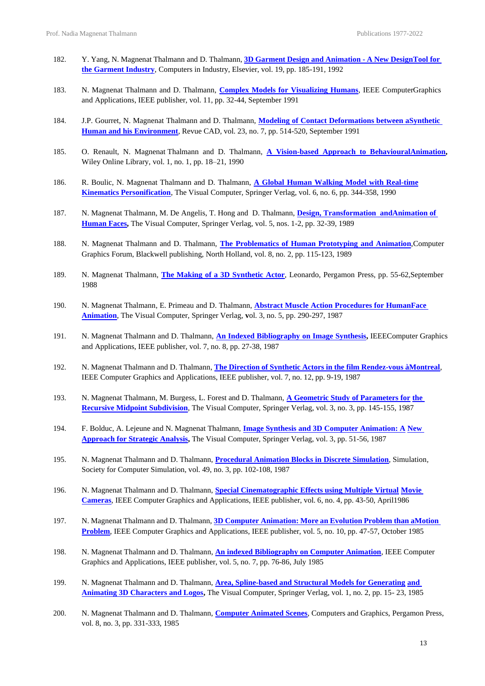- 182. Y. Yang, N. Magnenat Thalmann and D. Thalmann, **3D Garment Design and [Animation](https://www.dropbox.com/s/kp3zm4keqff5yl4/Three%20Dimensional%20Garment%20-%20Computers%20in%20Industry%201992.pdf?dl=0) - A New Desig[nTool](https://www.dropbox.com/s/kp3zm4keqff5yl4/Three%20Dimensional%20Garment%20-%20Computers%20in%20Industry%201992.pdf?dl=0) for the [Garment](https://www.dropbox.com/s/kp3zm4keqff5yl4/Three%20Dimensional%20Garment%20-%20Computers%20in%20Industry%201992.pdf?dl=0) Industry**, Computers in Industry, Elsevier, vol. 19, pp. 185-191, 1992
- 183. N. Magnenat Thalmann and D. Thalmann, **Complex Models for [Visualizing](https://www.dropbox.com/s/jl5ua96s390sxsw/Complex%20Models%20for%20Animating%20Synthetic%20Actors%20-%20IEEE%20CGA%201991.pdf?dl=0) Humans**, IEEE ComputerGraphics and Applications, IEEE publisher, vol. 11, pp. 32-44, September 1991
- 184. J.P. Gourret, N. Magnenat Thalmann and D. Thalmann, **Modeling of Contact [Deformations](https://www.dropbox.com/s/w9snacan0d02xzi/Modeling%20of%20Contact%20Deformations%20-%20Computer-aided%20Design%201991.pdf?dl=0) between [aSynthetic](https://www.dropbox.com/s/w9snacan0d02xzi/Modeling%20of%20Contact%20Deformations%20-%20Computer-aided%20Design%201991.pdf?dl=0) Human and his [Environment](https://www.dropbox.com/s/w9snacan0d02xzi/Modeling%20of%20Contact%20Deformations%20-%20Computer-aided%20Design%201991.pdf?dl=0)**, Revue CAD*,* vol. 23, no. 7, pp. 514-520, September 1991
- 185. O. Renault, N. Magnenat Thalmann and D. Thalmann, **A [Vision-based](http://doi.org.remotexs.ntu.edu.sg/10.1002/vis.4340010106) Approach to Behavioura[lAnimation,](http://doi.org.remotexs.ntu.edu.sg/10.1002/vis.4340010106)** Wiley Online Library, vol. 1, no. 1, pp. 18–21, 1990
- 186. R. Boulic, N. Magnenat Thalmann and D. Thalmann, **A Global Human Walking Model with [Real-time](https://www.dropbox.com/s/f2z7zqvqzmnuvys/A%20global%20human%20walking%20model.pdf?dl=0) Kinematics [Personification](https://www.dropbox.com/s/f2z7zqvqzmnuvys/A%20global%20human%20walking%20model.pdf?dl=0)**, The Visual Computer, Springer Verlag, vol. 6, no. 6, pp. 344-358, 1990
- 187. N. Magnenat Thalmann, M. De Angelis, T. Hong and D. Thalmann, **Design, [Transformation andAnimation](https://www.dropbox.com/s/gycuzp49nub8qze/Design%2C%20transformation.pdf?dl=0) of [Human](https://www.dropbox.com/s/gycuzp49nub8qze/Design%2C%20transformation.pdf?dl=0) Faces,** The Visual Computer, Springer Verlag, vol. 5, nos. 1-2, pp. 32-39, 1989
- 188. N. Magnenat Thalmann and D. Thalmann, **The [Problematics](https://www.dropbox.com/s/iolnbbfz5lbn1lq/The%20Problematics%20of%20Human%20Prototyping%20and%20Animation%20-%20CGF%201989.pdf?dl=0) of Human Prototyping and Animation**,Computer Graphics Forum, Blackwell publishing, North Holland, vol. 8, no. 2, pp. 115-123, 1989
- 189. N. Magnenat Thalmann, **The Making of a 3D [Synthetic](https://www.mitpressjournals.org/loi/leon) Actor**, Leonardo, Pergamon Press, pp. 55-62,September 1988
- 190. N. Magnenat Thalmann, E. Primeau and D. Thalmann, **Abstract Muscle Action [Procedures](https://www.dropbox.com/s/y7u35ayx972s84d/Abstract%20Muscle.pdf?dl=0) for Huma[nFace](https://www.dropbox.com/s/y7u35ayx972s84d/Abstract%20Muscle.pdf?dl=0) [Animation](https://www.dropbox.com/s/y7u35ayx972s84d/Abstract%20Muscle.pdf?dl=0)**, The Visual Computer, Springer Verlag, **v**ol. 3, no. 5, pp. 290-297, 1987
- 191. N. Magnenat Thalmann and D. Thalmann, **An Indexed [Bibliography](https://www.dropbox.com/s/l343v6yuc04pb2u/An%20Indexed%20Bibliography%20on%20Image%20Synthesis%20-%20IEEE%20CGA%201987.pdf?dl=0) on Image Synthesis,** IEEEComputer Graphics and Applications, IEEE publisher, vol. 7, no. 8, pp. 27-38, 1987
- 192. N. Magnenat Thalmann and D. Thalmann, **The Direction of Synthetic Actors in the film [Rendez-vous](https://www.dropbox.com/s/vdsiwa61qvxgvwi/The%20Direction%20of%20Synthetic%20Actors%20%20IEEE%20CGA%201987.pdf?dl=0) [àMontreal](https://www.dropbox.com/s/vdsiwa61qvxgvwi/The%20Direction%20of%20Synthetic%20Actors%20%20IEEE%20CGA%201987.pdf?dl=0)**, IEEE Computer Graphics and Applications, IEEE publisher, vol. 7, no. 12, pp. 9-19, 1987
- 193. N. Magnenat Thalmann, M. Burgess, L. Forest and D. Thalmann, **[A Geometric Study of Parameters for](https://www.dropbox.com/s/pq70e2oy1zuu4nd/A%20geometric%20study.pdf?dl=0) [the](https://www.dropbox.com/s/pq70e2oy1zuu4nd/A%20geometric%20study.pdf?dl=0)  [Recursive Midpoint Subdivision](https://www.dropbox.com/s/pq70e2oy1zuu4nd/A%20geometric%20study.pdf?dl=0)**, The Visual Computer, Springer Verlag, vol. 3, no. 3, pp. 145-155, 1987
- 194. F. Bolduc, A. Lejeune and N. Magnenat Thalmann, **[Image Synthesis and 3D Computer Animation: A](https://www.dropbox.com/s/wi7xo15h1quhzoo/Image%20synthesis%20and%203-D%20computer%20animation%20-%20TVC%201987%20Nadia.pdf?dl=0) [New](https://www.dropbox.com/s/wi7xo15h1quhzoo/Image%20synthesis%20and%203-D%20computer%20animation%20-%20TVC%201987%20Nadia.pdf?dl=0) [Approach](https://www.dropbox.com/s/wi7xo15h1quhzoo/Image%20synthesis%20and%203-D%20computer%20animation%20-%20TVC%201987%20Nadia.pdf?dl=0) for Strategic Analysis,** The Visual Computer, Springer Verlag, vol. 3, pp. 51-56, 1987
- 195. N. Magnenat Thalmann and D. Thalmann, **[Procedural Animation Blocks in](https://www.dropbox.com/s/r5imqdtg9ciki52/Procedural%20Animation%20Blocks%20-%20Simulation%201987.pdf?dl=0) Discrete Simulation**, Simulation*,* Society for Computer Simulation, vol. 49, no. 3, pp. 102-108, 1987
- 196. N. Magnenat Thalmann and D. Thalmann, **[Special Cinematographic Effects using Multiple Virtual](https://www.dropbox.com/s/9vhnult375retlp/Special%20Cinematographic%20Effects%20-%20IEEE%20CGA%201986.pdf?dl=0) [Movie](https://www.dropbox.com/s/9vhnult375retlp/Special%20Cinematographic%20Effects%20-%20IEEE%20CGA%201986.pdf?dl=0) [Cameras](https://www.dropbox.com/s/9vhnult375retlp/Special%20Cinematographic%20Effects%20-%20IEEE%20CGA%201986.pdf?dl=0)**, IEEE Computer Graphics and Applications, IEEE publisher, vol. 6, no. 4, pp. 43-50, April1986
- 197. N. Magnenat Thalmann and D. Thalmann, **3D Computer [Animation:](https://www.dropbox.com/s/zggy41926fnq8ll/Three-Dimensional%20Computer%20Animation%20-%20IEEE%20CGA%201985.pdf?dl=0) More an Evolution Problem than [aMotion](https://www.dropbox.com/s/zggy41926fnq8ll/Three-Dimensional%20Computer%20Animation%20-%20IEEE%20CGA%201985.pdf?dl=0)  [Problem](https://www.dropbox.com/s/zggy41926fnq8ll/Three-Dimensional%20Computer%20Animation%20-%20IEEE%20CGA%201985.pdf?dl=0)**, IEEE Computer Graphics and Applications, IEEE publisher, vol. 5, no. 10, pp. 47-57, October 1985
- 198. N. Magnenat Thalmann and D. Thalmann, **[An indexed Bibliography on Computer Animation](https://www.dropbox.com/s/uru36hku4fwvfqq/An%20Indexed%20Bibliography%20on%20Computer%20Animation%20-%20IEEE%20CGA.pdf?dl=0)**, IEEE Computer Graphics and Applications, IEEE publisher, vol. 5, no. 7, pp. 76-86, July 1985
- 199. N. Magnenat Thalmann and D. Thalmann, **[Area, Spline-based and Structural Models for Generating](https://www.dropbox.com/s/ps4xb8xcgkuelms/area%2C%20spline.pdf?dl=0) [and](https://www.dropbox.com/s/ps4xb8xcgkuelms/area%2C%20spline.pdf?dl=0)  [Animating 3D Characters and Logos,](https://www.dropbox.com/s/ps4xb8xcgkuelms/area%2C%20spline.pdf?dl=0)** The Visual Computer, Springer Verlag, vol. 1, no. 2, pp. 15- 23, 1985
- 200. N. Magnenat Thalmann and D. Thalmann, **[Computer Animated Scenes](https://www.dropbox.com/s/8gpduo9bgak1ccb/Computer%20Animated%20Scenes%20-%20C%26G%201984.pdf?dl=0)**, Computers and Graphics, Pergamon Press, vol. 8, no. 3, pp. 331-333, 1985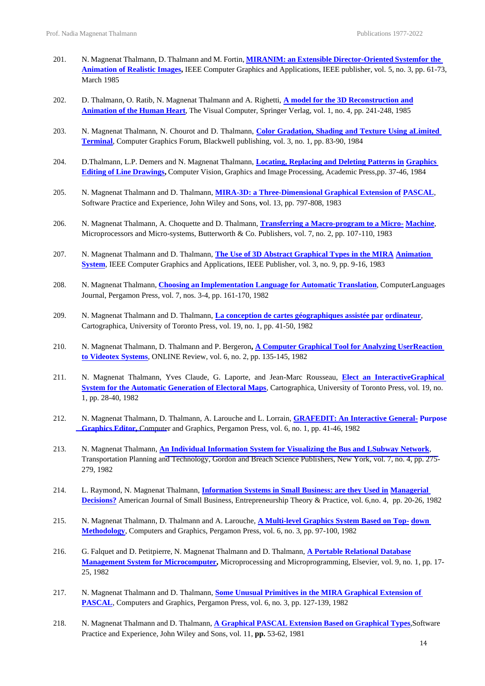- 201. N. Magnenat Thalmann, D. Thalmann and M. Fortin, **MIRANIM: an Extensible [Director-Oriented](https://www.dropbox.com/s/rjopn1ws892vplp/MIRANIM%20IEEE%20CGA%201985.pdf?dl=0) Syste[mfor the](https://www.dropbox.com/s/rjopn1ws892vplp/MIRANIM%20IEEE%20CGA%201985.pdf?dl=0)  [Animation of Realistic Images,](https://www.dropbox.com/s/rjopn1ws892vplp/MIRANIM%20IEEE%20CGA%201985.pdf?dl=0)** IEEE Computer Graphics and Applications, IEEE publisher, vol. 5, no. 3, pp. 61-73, March 1985
- 202. D. Thalmann, O. Ratib, N. Magnenat Thalmann and A. Righetti, **[A model for the 3D Reconstruction and](https://www.dropbox.com/s/86fg4mat7uyc5e1/A%20model%20for%20the%203D%20Reconstruction%20and%20Animation%20of%20the%20Human%20Heart.pdf?dl=0) [Animation](https://www.dropbox.com/s/86fg4mat7uyc5e1/A%20model%20for%20the%203D%20Reconstruction%20and%20Animation%20of%20the%20Human%20Heart.pdf?dl=0) of the Human Heart**, The Visual Computer, Springer Verlag, vol. 1, no. 4, pp. 241-248, 1985
- 203. N. Magnenat Thalmann, N. Chourot and D. Thalmann, **Color [Gradation,](https://onlinelibrary.wiley.com/doi/abs/10.1111/j.1467-8659.1984.tb00092.x) Shading and Texture Using [aLimited](https://onlinelibrary.wiley.com/doi/abs/10.1111/j.1467-8659.1984.tb00092.x) [Terminal](https://onlinelibrary.wiley.com/doi/abs/10.1111/j.1467-8659.1984.tb00092.x)**, Computer Graphics Forum, Blackwell publishing, vol. 3, no. 1, pp. 83-90, 1984
- 204. D.Thalmann, L.P. Demers and N. Magnenat Thalmann, **[Locating, Replacing and Deleting Patterns in](https://www.dropbox.com/s/auk8787iqj6wgg4/Locating%2C%20Replacing%20%26%20Deleting%20-%20Computer%20Vision%2C%20Graphics%201985.pdf?dl=0) [Graphics](https://www.dropbox.com/s/auk8787iqj6wgg4/Locating%2C%20Replacing%20%26%20Deleting%20-%20Computer%20Vision%2C%20Graphics%201985.pdf?dl=0) Editing of Line [Drawings,](https://www.dropbox.com/s/auk8787iqj6wgg4/Locating%2C%20Replacing%20%26%20Deleting%20-%20Computer%20Vision%2C%20Graphics%201985.pdf?dl=0)** Computer Vision, Graphics and Image Processing, Academic Press,pp. 37-46, 1984
- 205. N. Magnenat Thalmann and D. Thalmann, **[MIRA-3D: a Three-Dimensional Graphical Extension of](https://doi.org/10.1002/spe.4380130906) [PASCAL](https://doi.org/10.1002/spe.4380130906)**, Software Practice and Experience, John Wiley and Sons, **v**ol. 13, pp. 797-808, 1983
- 206. N. Magnenat Thalmann, A. Choquette and D. Thalmann, **[Transferring a Macro-program to a Micro-](https://www.dropbox.com/s/b9jbrhors2s76i8/Transferring%20A%20Macro%20Program%20-%20Microprocessors%20and%20Microsystems%201983.pdf?dl=0) [Machine](https://www.dropbox.com/s/b9jbrhors2s76i8/Transferring%20A%20Macro%20Program%20-%20Microprocessors%20and%20Microsystems%201983.pdf?dl=0)**, Microprocessors and Micro-systems, Butterworth & Co. Publishers, vol. 7, no. 2, pp. 107-110, 1983
- 207. N. Magnenat Thalmann and D. Thalmann, **[The Use of 3D Abstract Graphical Types in the MIRA](https://www.dropbox.com/s/8cjmpyjdgucdif6/The%20Use%20Of%20High-Level%203-D%20Graphical%20Types%20-%20IEEE%20CGA%201983.pdf?dl=0) [Animation](https://www.dropbox.com/s/8cjmpyjdgucdif6/The%20Use%20Of%20High-Level%203-D%20Graphical%20Types%20-%20IEEE%20CGA%201983.pdf?dl=0)  [System](https://www.dropbox.com/s/8cjmpyjdgucdif6/The%20Use%20Of%20High-Level%203-D%20Graphical%20Types%20-%20IEEE%20CGA%201983.pdf?dl=0)**, IEEE Computer Graphics and Applications, IEEE Publisher, vol. 3, no. 9, pp. 9-16, 1983
- 208. N. Magnenat Thalmann, **Choosing an [Implementation](https://www.dropbox.com/s/haapwwq26pepu26/Choosing%20An%20Implementation%20Language%20-%20Computer%20Languages%201982.pdf?dl=0) Language for Automatic Translation**, ComputerLanguages Journal, Pergamon Press, vol. 7, nos. 3-4, pp. 161-170, 1982
- 209. N. Magnenat Thalmann and D. Thalmann, **[La conception de cartes géographiques assistée par](https://utpjournals.press/doi/pdf/10.3138/7523-5212-8338-16L7) [ordinateur](https://utpjournals.press/doi/pdf/10.3138/7523-5212-8338-16L7)**, Cartographica, University of Toronto Press, vol. 19, no. 1, pp. 41-50, 1982
- 210. N. Magnenat Thalmann, D. Thalmann and P. Bergeron**, A [Computer](https://www.dropbox.com/s/04quhotkea2pvjq/A%20Computer%20Graphical%20Tool%20-%20Online%20Review%201982.pdf?dl=0) Graphical Tool for Analyzing Use[rReaction](https://www.dropbox.com/s/04quhotkea2pvjq/A%20Computer%20Graphical%20Tool%20-%20Online%20Review%201982.pdf?dl=0)  to [Videotex](https://www.dropbox.com/s/04quhotkea2pvjq/A%20Computer%20Graphical%20Tool%20-%20Online%20Review%201982.pdf?dl=0) Systems**, ONLINE Review, vol. 6, no. 2, pp. 135-145, 1982
- 211. N. Magnenat Thalmann, Yves Claude, G. Laporte, and Jean-Marc Rousseau, **Elect an [InteractiveGraphical](https://utpjournals.press/doi/pdf/10.3138/N2T6-5502-757R-093G)  System for the [Automatic Generation of Electoral Maps](https://utpjournals.press/doi/pdf/10.3138/N2T6-5502-757R-093G)**, Cartographica, University of Toronto Press, vol. 19, no. 1, pp. 28-40, 1982
- 212. N. Magnenat Thalmann, D. Thalmann, A. Larouche and L. Lorrain, **[GRAFEDIT: An Interactive General-](https://www.dropbox.com/s/3tpawykbp63x7vf/GRAFEDIT%20-%20C%26G%201982.pdf?dl=0) [Purpose](https://www.dropbox.com/s/3tpawykbp63x7vf/GRAFEDIT%20-%20C%26G%201982.pdf?dl=0) [Graphics](https://www.dropbox.com/s/3tpawykbp63x7vf/GRAFEDIT%20-%20C%26G%201982.pdf?dl=0) Editor,** Computer and Graphics, Pergamon Press, vol. 6, no. 1, pp. 41-46, 1982
- 213. N. Magnenat Thalmann, **An Individual Information System for Visualizing the Bus and LSubwa[y Network](https://www.dropbox.com/s/mb6bctv27pwhawd/An%20Individual%20Information%20System%20-%20Transportation%20Planning%201982.pdf?dl=0)**, Transportation Planning and Technology, Gordon and Breach Science Publishers, New York, vol. 7, no. 4, pp. 275- 279, 1982
- 214. L. Raymond, N. Magnenat Thalmann, **[Information Systems in Small Business: are they Used in](https://www.dropbox.com/s/qlmrhpv5r6z3myg/Information%20Systems%20-%20American%20Journal%20of%20Small%20Business%201982.pdf?dl=0) [Managerial](https://www.dropbox.com/s/qlmrhpv5r6z3myg/Information%20Systems%20-%20American%20Journal%20of%20Small%20Business%201982.pdf?dl=0)  [Decisions?](https://www.dropbox.com/s/qlmrhpv5r6z3myg/Information%20Systems%20-%20American%20Journal%20of%20Small%20Business%201982.pdf?dl=0)** American Journal of Small Business, Entrepreneurship Theory & Practice, vol. 6,no. 4, pp. 20-26, 1982
- 215. N. Magnenat Thalmann, D. Thalmann and A. Larouche, **[A Multi-level Graphics System Based on Top-](https://www.dropbox.com/s/uz0s0gc4fusk8ek/A%20Multi-level%20Graphics%20System%20-%20C%26G%201982.pdf?dl=0) [down](https://www.dropbox.com/s/uz0s0gc4fusk8ek/A%20Multi-level%20Graphics%20System%20-%20C%26G%201982.pdf?dl=0) [Methodology](https://www.dropbox.com/s/uz0s0gc4fusk8ek/A%20Multi-level%20Graphics%20System%20-%20C%26G%201982.pdf?dl=0)**, Computers and Graphics, Pergamon Press, vol. 6, no. 3, pp. 97-100, 1982
- 216. G. Falquet and D. Petitpierre, N. Magnenat Thalmann and D. Thalmann, **A Portable [Relational](https://www.dropbox.com/s/qqx2mbld657j8z6/A%20Portable%20Relational%20Data%20Base%20-%20Microprocessing%20%26%20Microprogramming%201982.pdf?dl=0) Database [Management System for Microcomputer,](https://www.dropbox.com/s/qqx2mbld657j8z6/A%20Portable%20Relational%20Data%20Base%20-%20Microprocessing%20%26%20Microprogramming%201982.pdf?dl=0)** Microprocessing and Microprogramming, Elsevier, vol. 9, no. 1, pp. 17- 25, 1982
- 217. N. Magnenat Thalmann and D. Thalmann, **[Some Unusual Primitives in the MIRA Graphical Extension](https://www.dropbox.com/s/xbksr0hmr6odscm/Some%20Unusual%20Primitives%20-%20C%26G%201982.pdf?dl=0) [of](https://www.dropbox.com/s/xbksr0hmr6odscm/Some%20Unusual%20Primitives%20-%20C%26G%201982.pdf?dl=0) [PASCAL](https://www.dropbox.com/s/xbksr0hmr6odscm/Some%20Unusual%20Primitives%20-%20C%26G%201982.pdf?dl=0)**, Computers and Graphics, Pergamon Press, vol. 6, no. 3, pp. 127-139, 1982
- 218. N. Magnenat Thalmann and D. Thalmann, **A [Graphical](https://doi.org/10.1002/spe.4380110103) PASCAL Extension Based on Graphical Types**,Software Practice and Experience, John Wiley and Sons, vol. 11, **pp.** 53-62, 1981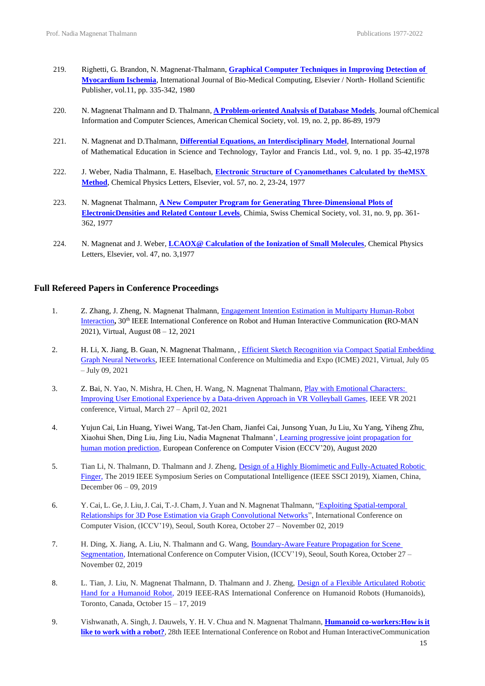- 219. Righetti, G. Brandon, N. Magnenat-Thalmann, **Graphical Computer [Techniques](https://www.dropbox.com/s/cgxew6qqkailn29/Graphical%20Computer%20Techniques%20-%20Int.%20J.%20of%20Biomedical%20Computing%201980.pdf?dl=0) in Improving [Detection of](https://www.dropbox.com/s/cgxew6qqkailn29/Graphical%20Computer%20Techniques%20-%20Int.%20J.%20of%20Biomedical%20Computing%201980.pdf?dl=0)  [Myocardium Ischemia](https://www.dropbox.com/s/cgxew6qqkailn29/Graphical%20Computer%20Techniques%20-%20Int.%20J.%20of%20Biomedical%20Computing%201980.pdf?dl=0)**, International Journal of Bio-Medical Computing, Elsevier / North- Holland Scientific Publisher, vol.11, pp. 335-342, 1980
- 220. N. Magnenat Thalmann and D. Thalmann*,* **A [Problem-oriented](https://www.dropbox.com/s/rpldbp23ia961sr/A%20Problem-Oriented%20Analysis%20Of%20Database%20Models%20-%20J.%20Chem.%20Inf.%20Comput.%20Sci.%201979.pdf?dl=0) Analysis of Database Models**, Journal ofChemical Information and Computer Sciences, American Chemical Society, vol. 19, no. 2, pp. 86-89, 1979
- 221. N. Magnenat and D.Thalmann, **Differential [Equations, an Interdisciplinary](https://www.dropbox.com/s/ux9uxnucg4dly9x/Differential%20equations%2C%20an%20interdisciplinary%20model%20-%20Int.%20J.%20Math.%20Educ.%20Sc.%20Tech.%201978.pdf?dl=0) Model**, International Journal of Mathematical Education in Science and Technology, Taylor and Francis Ltd., vol. 9, no. 1 pp. 35-42,1978
- 222. J. Weber*,* Nadia Thalmann, E. Haselbach, **Electronic Structure of [Cyanomethanes](https://www.dropbox.com/s/nln15kb27xoctox/Electronic%20Structure%20-%20Chemical%20Physics%20Letters%201978.pdf?dl=0) Calculated by th[eMSX](https://www.dropbox.com/s/nln15kb27xoctox/Electronic%20Structure%20-%20Chemical%20Physics%20Letters%201978.pdf?dl=0) [Method](https://www.dropbox.com/s/nln15kb27xoctox/Electronic%20Structure%20-%20Chemical%20Physics%20Letters%201978.pdf?dl=0)**, Chemical Physics Letters, Elsevier, vol. 57, no. 2, 23-24, 1977
- 223. N. Magnenat Thalmann, **A New Computer Program for [Generating Three-Dimensional](http://chimia.ch/) Plots of [ElectronicDensities and Related Contour Levels](http://chimia.ch/)**, Chimia, Swiss Chemical Society, vol. 31, no. 9, pp. 361- 362, 1977
- 224. N. Magnenat and J. Weber*,* **[LCAOX@ Calculation of the Ionization of Small Molecules](https://www.dropbox.com/s/2x0h4w8olzswyui/LCAO%20Xalpha%20-%20Chemical%20Physics%20Letters%201977.pdf?dl=0)**, Chemical Physics Letters, Elsevier, vol. 47, no. 3,1977

#### **Full Refereed Papers in Conference Proceedings**

- 1. Z. Zhang, J. Zheng, N. Magnenat Thalmann, [Engagement Intention Estimation in Multiparty Human-Robot](https://ieeexplore.ieee.org/document/9515373) [Interaction](https://ieeexplore.ieee.org/document/9515373)**,** 30th IEEE International Conference on Robot and Human Interactive Communication **(**RO-MAN 2021), Virtual, August 08 – 12, 2021
- 2. H. Li, X. Jiang, B. Guan, N. Magnenat Thalmann, , [Efficient Sketch Recognition via Compact Spatial Embedding](https://ieeexplore.ieee.org/document/9428180)  [Graph Neural Networks,](https://ieeexplore.ieee.org/document/9428180) IEEE International Conference on Multimedia and Expo (ICME) 2021, Virtual, July 05 – July 09, 2021
- 3. Z. Bai, N. Yao, N. Mishra, H. Chen, H. Wang, N. Magnenat Thalmann, [Play with Emotional Characters:](https://ieeexplore.ieee.org/document/9419186)  [Improving User Emotional Experience by a Data-driven Approach in VR Volleyball Games,](https://ieeexplore.ieee.org/document/9419186) IEEE VR 2021 conference, Virtual, March 27 – April 02, 2021
- 4. Yujun Cai, Lin Huang, Yiwei Wang, Tat-Jen Cham, Jianfei Cai, Junsong Yuan, Ju Liu, Xu Yang, Yiheng Zhu, Xiaohui Shen, Ding Liu, Jing Liu, Nadia Magnenat Thalmann'[, Learning progressive joint propagation for](https://link.springer.com/chapter/10.1007/978-3-030-58571-6_14)  [human motion prediction,](https://link.springer.com/chapter/10.1007/978-3-030-58571-6_14) European Conference on Computer Vision (ECCV'20), August 2020
- 5. Tian Li, N. Thalmann, D. Thalmann and J. Zheng, Design of a Highly Biomimetic and Fully-Actuated Robotic [Finger,](https://ieeexplore.ieee.org/document/9002870) The 2019 IEEE Symposium Series on Computational Intelligence (IEEE SSCI 2019), Xiamen, China, December 06 – 09, 2019
- 6. Y. Cai, L. Ge,J. Liu,J. Cai, T.-J. Cham,J. Yuan and N. Magnenat Thalmann, ["Exploiting Spatial-temporal](https://ieeexplore.ieee.org/document/9009459)  [Relationships for 3D Pose Estimation via Graph Convolutional Networks"](https://ieeexplore.ieee.org/document/9009459), International Conference on Computer Vision, (ICCV'19), Seoul, South Korea, October 27 – November 02, 2019
- 7. H. Ding, X. Jiang, A. Liu, N. Thalmann and G. Wang, [Boundary-Aware Feature Propagation for Scene](https://openaccess.thecvf.com/content_ICCV_2019/papers/Ding_Boundary-Aware_Feature_Propagation_for_Scene_Segmentation_ICCV_2019_paper.pdf)  [Segmentation,](https://openaccess.thecvf.com/content_ICCV_2019/papers/Ding_Boundary-Aware_Feature_Propagation_for_Scene_Segmentation_ICCV_2019_paper.pdf) International Conference on Computer Vision, (ICCV'19), Seoul, South Korea, October 27 – November 02, 2019
- 8. L. Tian, J. Liu, N. Magnenat Thalmann, D. Thalmann and J. Zheng, [Design of a Flexible Articulated Robotic](https://ieeexplore.ieee.org/stamp/stamp.jsp?arnumber=9035025)  [Hand for a Humanoid Robot,](https://ieeexplore.ieee.org/stamp/stamp.jsp?arnumber=9035025) 2019 IEEE-RAS International Conference on Humanoid Robots (Humanoids), Toronto, Canada, October 15 – 17, 2019
- 9. Vishwanath, A. Singh, J. Dauwels, Y. H. V. Chua and N. Magnenat Thalmann, **Humanoid [co-workers:How](https://www.dropbox.com/s/p8zgk62avv94d48/Humanoid%20Co-workers%20-%20Roman%202019.pdf?dl=0) is it like to work with a [robot?](https://www.dropbox.com/s/p8zgk62avv94d48/Humanoid%20Co-workers%20-%20Roman%202019.pdf?dl=0)**, 28th IEEE International Conference on Robot and Human InteractiveCommunication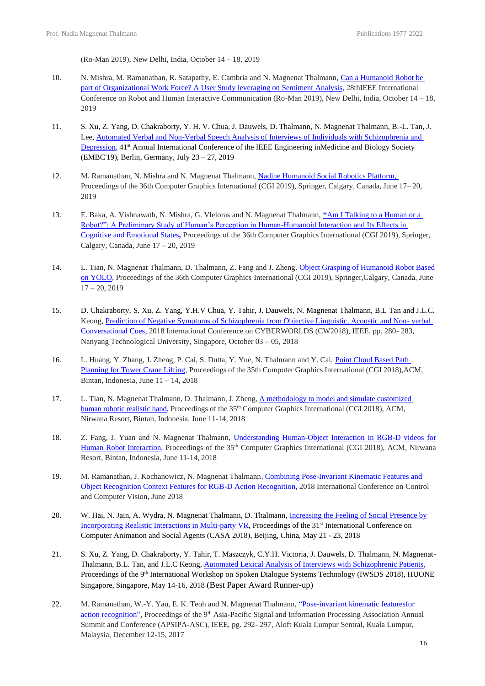(Ro-Man 2019), New Delhi, India, October 14 – 18, 2019

- 10. N. Mishra, M. Ramanathan, R. Satapathy, E. Cambria and N. Magnenat Thalmann, [Can a Humanoid Robot be](https://ieeexplore.ieee.org/document/8956349)  [part of Organizational Work Force? A User Study leveraging on Sentiment](https://ieeexplore.ieee.org/document/8956349) Analysis, 28thIEEE International Conference on Robot and Human Interactive Communication (Ro-Man 2019), New Delhi, India, October 14 – 18, 2019
- 11. S. Xu, Z. Yang, D. Chakraborty, Y. H. V. Chua, J. Dauwels, D. Thalmann, N. Magnenat Thalmann, B.-L. Tan, J. Lee, [Automated Verbal and Non-Verbal Speech Analysis of Interviews of Individuals with Schizophrenia and](https://ieeexplore.ieee.org/document/8857071)  [Depression,](https://ieeexplore.ieee.org/document/8857071) 41<sup>st</sup> Annual International Conference of the IEEE Engineering inMedicine and Biology Society (EMBC'19), Berlin, Germany, July 23 – 27, 2019
- 12. M. Ramanathan, N. Mishra and N. Magnenat Thalmann, [Nadine Humanoid Social Robotics Platform,](https://link.springer.com/chapter/10.1007/978-3-030-22514-8_49) Proceedings of the 36th Computer Graphics International (CGI 2019), Springer, Calgary, Canada, June 17– 20, 2019
- 13. E. Baka, A. Vishnawath, N. Mishra, G. Vleioras and N. Magnenat Thalmann, **"**[Am I Talking to a Human or a](https://link.springer.com/chapter/10.1007/978-3-030-22514-8_20)  [Robot?": A Preliminary Study of Human's Perception in Human-Humanoid Interaction and Its Effects in](https://link.springer.com/chapter/10.1007/978-3-030-22514-8_20)  [Cognitive and Emotional States](https://link.springer.com/chapter/10.1007/978-3-030-22514-8_20)**,** Proceedings of the 36th Computer Graphics International (CGI 2019), Springer, Calgary, Canada, June 17 – 20, 2019
- 14. L. Tian, N. Magnenat Thalmann, D. Thalmann, Z. Fang and J. Zheng, [Object Grasping of Humanoid Robot Based](https://link.springer.com/chapter/10.1007/978-3-030-22514-8_47#:~:text=Full%20size%20image-,Experiments,objects%20autonomously%20in%20real%20time.)  [on YOLO,](https://link.springer.com/chapter/10.1007/978-3-030-22514-8_47#:~:text=Full%20size%20image-,Experiments,objects%20autonomously%20in%20real%20time.) Proceedings of the 36th Computer Graphics International (CGI 2019), Springer,Calgary, Canada, June  $17 - 20, 2019$
- 15. D. Chakraborty, S. Xu, Z. Yang, Y.H.V Chua, Y. Tahir, J. Dauwels, N. Magnenat Thalmann, B.L Tan and J.L.C. Keong, [Prediction of Negative Symptoms of Schizophrenia from Objective Linguistic, Acoustic and Non-](https://ieeexplore.ieee.org/document/8590052) verbal [Conversational Cues,](https://ieeexplore.ieee.org/document/8590052) 2018 International Conference on CYBERWORLDS (CW2018), IEEE, pp. 280- 283, Nanyang Technological University, Singapore, October 03 – 05, 2018
- 16. L. Huang, Y. Zhang, J. Zheng, P. Cai, S. Dutta, Y. Yue, N. Thalmann and Y. Cai, Point Cloud Based Path [Planning for Tower Crane Lifting,](https://dr.ntu.edu.sg/handle/10356/140510) Proceedings of the 35th Computer Graphics International (CGI 2018),ACM, Bintan, Indonesia, June 11 – 14, 2018
- 17. L. Tian, N. Magnenat Thalmann, D. Thalmann, J. Zheng, [A methodology to model and simulate customized](https://dl.acm.org/doi/10.1145/3208159.3208182)  [human robotic realistic hand,](https://dl.acm.org/doi/10.1145/3208159.3208182) Proceedings of the 35<sup>th</sup> Computer Graphics International (CGI 2018), ACM, Nirwana Resort, Bintan, Indonesia, June 11-14, 2018
- 18. Z. Fang, J. Yuan and N. Magnenat Thalmann, Understanding Human-Object Interaction in RGB-D videos for [Human Robot Interaction,](https://dl.acm.org/doi/10.1145/3208159.3208192) Proceedings of the 35<sup>th</sup> Computer Graphics International (CGI 2018), ACM, Nirwana Resort, Bintan, Indonesia, June 11-14, 2018
- 19. M. Ramanathan, J. Kochanowicz, N. Magnenat Thalmann, Combining Pose-Invariant Kinematic Features and [Object Recognition Context Features for RGB-D Action Recognition,](http://www.ijmlc.org/vol9/763-SG035.pdf) 2018 International Conference on Control and Computer Vision, June 2018
- 20. W. Hai, N. Jain, A. Wydra, N. Magnenat Thalmann, D. Thalmann, [Increasing the Feeling of Social Presence by](https://dl.acm.org/doi/10.1145/3205326.3205345) [Incorporating Realistic Interactions in Multi-party VR,](https://dl.acm.org/doi/10.1145/3205326.3205345) Proceedings of the 31<sup>st</sup> International Conference on Computer Animation and Social Agents (CASA 2018), Beijing, China, May 21 - 23, 2018
- 21. S. Xu, Z. Yang, D. Chakraborty, Y. Tahir, T. Maszczyk, C.Y.H. Victoria, J. Dauwels, D. Thalmann, N. Magnenat-Thalmann, B.L. Tan, and J.L.C Keong, [Automated Lexical Analysis of Interviews with Schizophrenic Patients,](https://link.springer.com/chapter/10.1007/978-981-13-9443-0_16)  Proceedings of the 9<sup>th</sup> International Workshop on Spoken Dialogue Systems Technology (IWSDS 2018), HUONE Singapore, Singapore, May 14-16, 2018 (Best Paper Award Runner-up)
- 22. M. Ramanathan, W.-Y. Yau, E. K. Teoh and N. Magnenat Thalmann, ["Pose-invariant kinematic featuresfor](https://ieeexplore.ieee.org/abstract/document/8282038)  [action recognition",](https://ieeexplore.ieee.org/abstract/document/8282038) Proceedings of the 9<sup>th</sup> Asia-Pacific Signal and Information Processing Association Annual Summit and Conference (APSIPA-ASC), IEEE, pg. 292- 297, Aloft Kuala Lumpur Sentral, Kuala Lumpur, Malaysia, December 12-15, 2017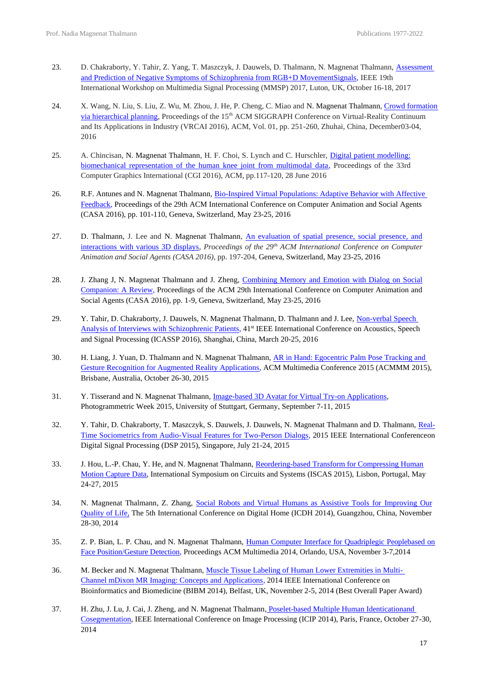- 23. D. Chakraborty, Y. Tahir, Z. Yang, T. Maszczyk, J. Dauwels, D. Thalmann, N. Magnenat Thalmann, Assessment [and Prediction of Negative Symptoms of Schizophrenia from RGB+D MovementSignals,](https://ieeexplore.ieee.org/document/8122218) IEEE 19th International Workshop on Multimedia Signal Processing (MMSP) 2017, Luton, UK, October 16-18, 2017
- 24. X. Wang, N. Liu, S. Liu, Z. Wu, M. Zhou, J. He, P. Cheng, C. Miao and N. Magnenat Thalmann[, Crowd formation](https://dl.acm.org/doi/10.1145/3013971.3013978)  [via hierarchical planning,](https://dl.acm.org/doi/10.1145/3013971.3013978) Proceedings of the 15<sup>th</sup> ACM SIGGRAPH Conference on Virtual-Reality Continuum and Its Applications in Industry (VRCAI 2016), ACM, Vol. 01, pp. 251-260, Zhuhai, China, December03-04, 2016
- 25. A. Chincisan, N. Magnenat Thalmann, H. F. Choi, S. Lynch and C. Hurschler, Digital patient modelling: [biomechanical representation of the human knee joint from multimodal data,](https://www.researchgate.net/publication/304533430_Digital_patient_modelling_biomechanical_representation_of_the_human_knee_joint_from_multimodal_data) Proceedings of the 33rd Computer Graphics International (CGI 2016), ACM, pp.117-120, 28 June 2016
- 26. R.F. Antunes and N. Magnenat Thalmann, [Bio-Inspired Virtual Populations: Adaptive Behavior with Affective](https://dl.acm.org/doi/10.1145/2915926.2915929)  [Feedback,](https://dl.acm.org/doi/10.1145/2915926.2915929) Proceedings of the 29th ACM International Conference on Computer Animation and Social Agents (CASA 2016), pp. 101-110, Geneva, Switzerland, May 23-25, 2016
- 27. D. Thalmann, J. Lee and N. Magnenat Thalmann, [An evaluation of spatial presence, social presence, and](https://dl.acm.org/doi/10.1145/2915926.2915954)  [interactions with various 3D displays,](https://dl.acm.org/doi/10.1145/2915926.2915954) *Proceedings of the 29th ACM International Conference on Computer Animation and Social Agents (CASA 2016),* pp. 197-204, Geneva, Switzerland, May 23-25, 2016
- 28. J. Zhang J, N. Magnenat Thalmann and J. Zheng, Combining Memory and Emotion with Dialog on Social [Companion: A Review,](https://dl.acm.org/doi/10.1145/2915926.2915952) Proceedings of the ACM 29th International Conference on Computer Animation and Social Agents (CASA 2016), pp. 1-9, Geneva, Switzerland, May 23-25, 2016
- 29. Y. Tahir, D. Chakraborty, J. Dauwels, N. Magnenat Thalmann, D. Thalmann and J. Lee, Non-verbal Speech [Analysis of Interviews with Schizophrenic Patients,](https://ieeexplore.ieee.org/document/7472791) 41st IEEE International Conference on Acoustics, Speech and Signal Processing (ICASSP 2016), Shanghai, China, March 20-25, 2016
- 30. H. Liang, J. Yuan, D. Thalmann and N. Magnenat Thalmann, AR in Hand: Egocentric Palm Pose Tracking and [Gesture Recognition for Augmented Reality Applications,](https://www.researchgate.net/publication/280447233_AR_in_Hand_Egocentric_Palm_Pose_Tracking_and_Gesture_Recognition_for_Augmented_Reality_Applications) ACM Multimedia Conference 2015 (ACMMM 2015), Brisbane, Australia, October 26-30, 2015
- 31. Y. Tisserand and N. Magnenat Thalmann, *Image-based 3D Avatar for Virtual Try-on Applications*, Photogrammetric Week 2015, University of Stuttgart, Germany, September 7-11, 2015
- 32. Y. Tahir, D. Chakraborty, T. Maszczyk, S. Dauwels, J. Dauwels, N. Magnenat Thalmann and D. Thalmann, [Real-](https://ieeexplore.ieee.org/document/7251991)[Time Sociometrics from Audio-Visual Features for Two-Person Dialogs,](https://ieeexplore.ieee.org/document/7251991) 2015 IEEE International Conferenceon Digital Signal Processing (DSP 2015), Singapore, July 21-24, 2015
- 33. J. Hou, L.-P. Chau, Y. He, and N. Magnenat Thalmann, [Reordering-based Transform for Compressing Human](https://ieeexplore.ieee.org/document/7169253) [Motion Capture Data,](https://ieeexplore.ieee.org/document/7169253) International Symposium on Circuits and Systems (ISCAS 2015), Lisbon, Portugal, May 24-27, 2015
- 34. N. Magnenat Thalmann, Z. Zhang, [Social Robots and Virtual Humans as Assistive Tools for Improving Our](https://ieeexplore.ieee.org/document/6996703) [Quality of Life,](https://ieeexplore.ieee.org/document/6996703) The 5th International Conference on Digital Home (ICDH 2014), Guangzhou, China, November 28-30, 2014
- 35. Z. P. Bian, L. P. Chau, and N. Magnenat Thalmann, [Human Computer Interface for Quadriplegic Peoplebased on](https://dl.acm.org/doi/10.1145/2647868.2655063)  [Face Position/Gesture Detection,](https://dl.acm.org/doi/10.1145/2647868.2655063) Proceedings ACM Multimedia 2014, Orlando, USA, November 3-7,2014
- 36. M. Becker and N. Magnenat Thalmann, [Muscle Tissue Labeling of Human Lower Extremities in Multi-](https://www.computer.org/csdl/journal/tb/2017/02/07164286/13rRUxAATf9)[Channel mDixon MR Imaging: Concepts and Applications,](https://www.computer.org/csdl/journal/tb/2017/02/07164286/13rRUxAATf9) 2014 IEEE International Conference on Bioinformatics and Biomedicine (BIBM 2014), Belfast, UK, November 2-5, 2014 (Best Overall Paper Award)
- 37. H. Zhu, J. Lu, J. Cai, J. Zheng, and N. Magnenat Thalmann, Poselet-based Multiple Human Identicationand [Cosegmentation,](https://projet.liris.cnrs.fr/imagine/pub/proceedings/ICIP-2014/Papers/1569901365.pdf) IEEE International Conference on Image Processing (ICIP 2014), Paris, France, October 27-30, 2014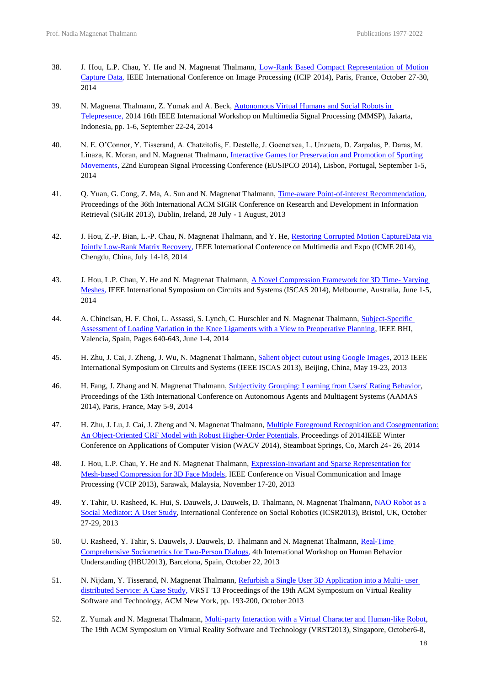- 38. J. Hou, L.P. Chau, Y. He and N. Magnenat Thalmann, [Low-Rank Based Compact Representation of Motion](https://www.researchgate.net/publication/260165742_Low-Rank_Based_Compact_Representation_of_Motion_Capture_Data)  [Capture Data,](https://www.researchgate.net/publication/260165742_Low-Rank_Based_Compact_Representation_of_Motion_Capture_Data) IEEE International Conference on Image Processing (ICIP 2014), Paris, France, October 27-30, 2014
- 39. N. Magnenat Thalmann, Z. Yumak and A. Beck, Autonomous Virtual Humans and Social Robots in [Telepresence,](https://ieeexplore.ieee.org/document/6958836) 2014 16th IEEE International Workshop on Multimedia Signal Processing (MMSP), Jakarta, Indonesia, pp. 1-6, September 22-24, 2014
- 40. N. E. O'Connor, Y. Tisserand, A. Chatzitofis, F. Destelle, J. Goenetxea, L. Unzueta, D. Zarpalas, P. Daras, M. Linaza, K. Moran, and N. Magnenat Thalmann, [Interactive Games for Preservation and Promotion of Sporting](https://ieeexplore.ieee.org/document/6952069) [Movements,](https://ieeexplore.ieee.org/document/6952069) 22nd European Signal Processing Conference (EUSIPCO 2014), Lisbon, Portugal, September 1-5, 2014
- 41. Q. Yuan, G. Cong, Z. Ma, A. Sun and N. Magnenat Thalmann, [Time-aware Point-of-interest Recommendation,](https://personal.ntu.edu.sg/axsun/paper/sun_sigir13quan.pdf) Proceedings of the 36th International ACM SIGIR Conference on Research and Development in Information Retrieval (SIGIR 2013), Dublin, Ireland, 28 July - 1 August, 2013
- 42. J. Hou, Z.-P. Bian, L.-P. Chau, N. Magnenat Thalmann, and Y. He, Restoring Corrupted Motion CaptureData via [Jointly Low-Rank Matrix Recovery,](https://www.researchgate.net/publication/261798650_Restoring_Corrupted_Motion_Capture_Data_via_Jointly_Low-Rank_Matrix_Recovery) IEEE International Conference on Multimedia and Expo (ICME 2014), Chengdu, China, July 14-18, 2014
- 43. J. Hou, L.P. Chau, Y. He and N. Magnenat Thalmann, [A Novel Compression Framework for 3D Time-](https://ieeexplore.ieee.org/document/6865596) Varying [Meshes,](https://ieeexplore.ieee.org/document/6865596) IEEE International Symposium on Circuits and Systems (ISCAS 2014), Melbourne, Australia, June 1-5, 2014
- 44. A. Chincisan, H. F. Choi, L. Assassi, S. Lynch, C. Hurschler and N. Magnenat Thalmann, [Subject-Specific](https://www.researchgate.net/publication/264597888_Subject-specific_assessment_of_loading_variation_in_the_knee_ligaments_with_a_view_to_preoperative_planning) [Assessment of Loading Variation in the Knee Ligaments with a View to Preoperative Planning,](https://www.researchgate.net/publication/264597888_Subject-specific_assessment_of_loading_variation_in_the_knee_ligaments_with_a_view_to_preoperative_planning) IEEE BHI, Valencia, Spain, Pages 640-643, June 1-4, 2014
- 45. H. Zhu, J. Cai, J. Zheng, J. Wu, N. Magnenat Thalmann, [Salient object cutout using Google Images,](https://ieeexplore.ieee.org/document/6571994) 2013 IEEE International Symposium on Circuits and Systems (IEEE ISCAS 2013), Beijing, China, May 19-23, 2013
- 46. H. Fang, J. Zhang and N. Magnenat Thalmann, [Subjectivity Grouping: Learning from Users' Rating Behavior,](https://www.researchgate.net/publication/260165819_Subjectivity_Grouping_Learning_from_Users) Proceedings of the 13th International Conference on Autonomous Agents and Multiagent Systems (AAMAS 2014), Paris, France, May 5-9, 2014
- 47. H. Zhu, J. Lu, J. Cai, J. Zheng and N. Magnenat Thalmann, [Multiple Foreground Recognition and Cosegmentation:](https://ieeexplore.ieee.org/document/6836062)  [An Object-Oriented CRF Model with Robust Higher-Order Potentials,](https://ieeexplore.ieee.org/document/6836062) Proceedings of 2014IEEE Winter Conference on Applications of Computer Vision (WACV 2014), Steamboat Springs, Co, March 24- 26, 2014
- 48. J. Hou, L.P. Chau, Y. He and N. Magnenat Thalmann, [Expression-invariant and Sparse Representation for](https://www.researchgate.net/publication/261150795_Expression-invariant_and_sparse_representation_for_mesh-based_compression_for_3-D_face_models) [Mesh-based Compression for 3D Face Models,](https://www.researchgate.net/publication/261150795_Expression-invariant_and_sparse_representation_for_mesh-based_compression_for_3-D_face_models) IEEE Conference on Visual Communication and Image Processing (VCIP 2013), Sarawak, Malaysia, November 17-20, 2013
- 49. Y. Tahir, U. Rasheed, K. Hui, S. Dauwels, J. Dauwels, D. Thalmann, N. Magnenat Thalmann, [NAO Robot as a](https://link.springer.com/article/10.1007/s12369-018-0478-3) [Social Mediator: A User Study,](https://link.springer.com/article/10.1007/s12369-018-0478-3) International Conference on Social Robotics (ICSR2013), Bristol, UK, October 27-29, 2013
- 50. U. Rasheed, Y. Tahir, S. Dauwels, J. Dauwels, D. Thalmann and N. Magnenat Thalmann, [Real-Time](https://link.springer.com/chapter/10.1007/978-3-319-02714-2_17)  [Comprehensive Sociometrics for Two-Person Dialogs,](https://link.springer.com/chapter/10.1007/978-3-319-02714-2_17) 4th International Workshop on Human Behavior Understanding (HBU2013), Barcelona, Spain, October 22, 2013
- 51. N. Nijdam, Y. Tisserand, N. Magnenat Thalmann, [Refurbish a Single User 3D Application into a Multi-](https://dl.acm.org/doi/pdf/10.1145/2503713.2503721) user [distributed Service: A Case Study,](https://dl.acm.org/doi/pdf/10.1145/2503713.2503721) VRST '13 Proceedings of the 19th ACM Symposium on Virtual Reality Software and Technology, ACM New York, pp. 193-200, October 2013
- 52. Z. Yumak and N. Magnenat Thalmann, [Multi-party Interaction with a Virtual Character and Human-like](https://dl.acm.org/doi/10.1145/2503713.2503736) Robot, The 19th ACM Symposium on Virtual Reality Software and Technology (VRST2013), Singapore, October6-8,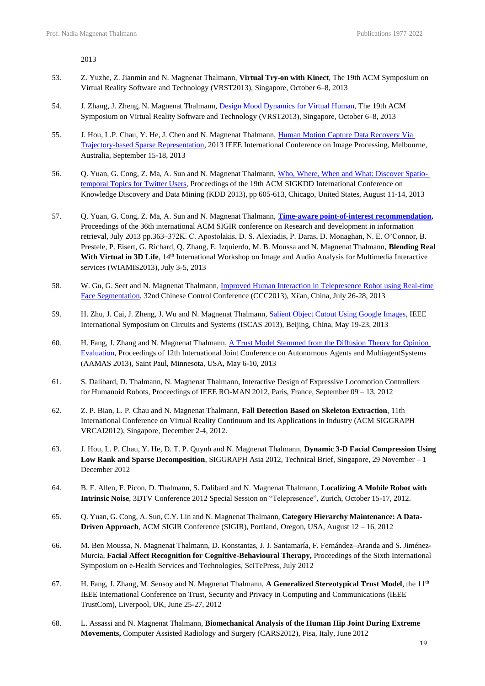2013

- 53. Z. Yuzhe, Z. Jianmin and N. Magnenat Thalmann, **Virtual Try-on with Kinect**, The 19th ACM Symposium on Virtual Reality Software and Technology (VRST2013), Singapore, October 6–8, 2013
- 54. J. Zhang, J. Zheng, N. Magnenat Thalmann, [Design Mood Dynamics for Virtual Human,](https://onlinelibrary.wiley.com/doi/10.1002/cav.1660) The 19th ACM Symposium on Virtual Reality Software and Technology (VRST2013), Singapore, October 6–8, 2013
- 55. J. Hou, L.P. Chau, Y. He, J. Chen and N. Magnenat Thalmann, [Human Motion Capture Data Recovery Via](https://ieeexplore.ieee.org/stamp/stamp.jsp?arnumber=6738146) [Trajectory-based Sparse Representation,](https://ieeexplore.ieee.org/stamp/stamp.jsp?arnumber=6738146) 2013 IEEE International Conference on Image Processing, Melbourne, Australia, September 15-18, 2013
- 56. Q. Yuan, G. Cong, Z. Ma, A. Sun and N. Magnenat Thalmann, [Who, Where, When and What: Discover Spatio](https://dl.acm.org/doi/10.1145/2487575.2487576)[temporal Topics for Twitter Users,](https://dl.acm.org/doi/10.1145/2487575.2487576) Proceedings of the 19th ACM SIGKDD International Conference on Knowledge Discovery and Data Mining (KDD 2013), pp 605-613, Chicago, United States, August 11-14, 2013
- 57. Q. Yuan, G. Cong, Z. Ma, A. Sun and N. Magnenat Thalmann, **[Time-aware point-of-interest recommendation,](https://www.dropbox.com/s/ffix5v7mt3qdzq5/Time%20aware%20-%20SIGIR%202013.pdf?dl=0)** Proceedings of the 36th international ACM SIGIR conference on Research and development in information retrieval, July 2013 pp.363–372K. C. Apostolakis, D. S. Alexiadis, P. Daras, D. Monaghan, N. E. O'Connor, B. Prestele, P. Eisert, G. Richard, Q. Zhang, E. Izquierdo, M. B. Moussa and N. Magnenat Thalmann, **Blending Real**  With Virtual in 3D Life, 14<sup>th</sup> International Workshop on Image and Audio Analysis for Multimedia Interactive services (WIAMIS2013), July 3-5, 2013
- 58. W. Gu, G. Seet and N. Magnenat Thalmann, [Improved Human Interaction in Telepresence Robot using Real-time](https://ieeexplore.ieee.org/document/6640471) Face [Segmentation,](https://ieeexplore.ieee.org/document/6640471) 32nd Chinese Control Conference (CCC2013), Xi'an, China, July 26-28, 2013
- 59. H. Zhu, J. Cai, J. Zheng, J. Wu and N. Magnenat Thalmann[, Salient Object Cutout Using Google Images,](https://ieeexplore.ieee.org/document/6571994) IEEE International Symposium on Circuits and Systems (ISCAS 2013), Beijing, China, May 19-23, 2013
- 60. H. Fang, J. Zhang and N. Magnenat Thalmann, [A Trust Model Stemmed from the Diffusion Theory for](https://personal.ntu.edu.sg/zhangj/paper/aamas13-fang.pdf) Opinion [Evaluation,](https://personal.ntu.edu.sg/zhangj/paper/aamas13-fang.pdf) Proceedings of 12th International Joint Conference on Autonomous Agents and MultiagentSystems (AAMAS 2013), Saint Paul, Minnesota, USA, May 6-10, 2013
- 61. S. Dalibard, D. Thalmann, N. Magnenat Thalmann, Interactive Design of Expressive Locomotion Controllers for Humanoid Robots, Proceedings of IEEE RO-MAN 2012, Paris, France, September 09 – 13, 2012
- 62. Z. P. Bian, L. P. Chau and N. Magnenat Thalmann, **Fall Detection Based on Skeleton Extraction**, 11th International Conference on Virtual Reality Continuum and Its Applications in Industry (ACM SIGGRAPH VRCAI2012), Singapore, December 2-4, 2012.
- 63. J. Hou, L. P. Chau, Y. He, D. T. P. Quynh and N. Magnenat Thalmann, **Dynamic 3-D Facial Compression Using Low Rank and Sparse Decomposition**, SIGGRAPH Asia 2012, Technical Brief, Singapore, 29 November – 1 December 2012
- 64. B. F. Allen, F. Picon, D. Thalmann, S. Dalibard and N. Magnenat Thalmann, **Localizing A Mobile Robot with Intrinsic Noise**, 3DTV Conference 2012 Special Session on "Telepresence", Zurich, October 15-17, 2012.
- 65. Q. Yuan, G. Cong, A. Sun, C.Y. Lin and N. Magnenat Thalmann, **Category Hierarchy Maintenance: A Data-Driven Approach**, ACM SIGIR Conference (SIGIR), Portland, Oregon, USA, August 12 – 16, 2012
- 66. M. Ben Moussa, N. Magnenat Thalmann, D. Konstantas, J. J. Santamaría, F. Fernández–Aranda and S. Jiménez-Murcia, **Facial Affect Recognition for Cognitive-Behavioural Therapy,** Proceedings of the Sixth International Symposium on e-Health Services and Technologies, SciTePress, July 2012
- 67. H. Fang, J. Zhang, M. Sensoy and N. Magnenat Thalmann, **A Generalized Stereotypical Trust Model**, the 11th IEEE International Conference on Trust, Security and Privacy in Computing and Communications (IEEE TrustCom), Liverpool, UK, June 25-27, 2012
- 68. L. Assassi and N. Magnenat Thalmann, **Biomechanical Analysis of the Human Hip Joint During Extreme Movements,** Computer Assisted Radiology and Surgery (CARS2012), Pisa, Italy, June 2012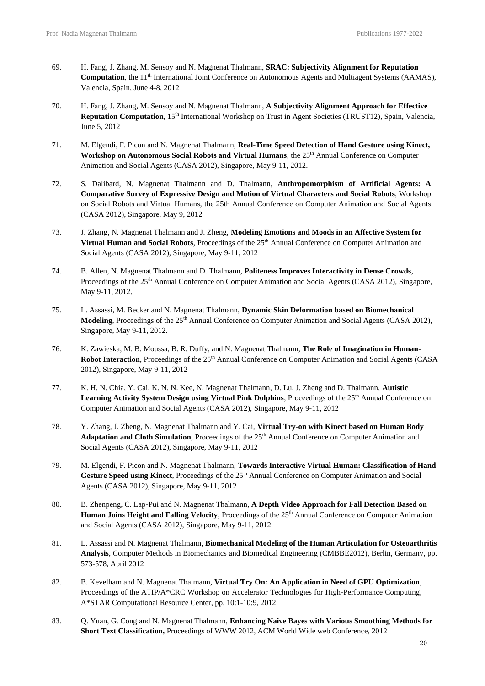- 69. H. Fang, J. Zhang, M. Sensoy and N. Magnenat Thalmann, **SRAC: Subjectivity Alignment for Reputation Computation**, the 11<sup>th</sup> International Joint Conference on Autonomous Agents and Multiagent Systems (AAMAS), Valencia, Spain, June 4-8, 2012
- 70. H. Fang, J. Zhang, M. Sensoy and N. Magnenat Thalmann, **A Subjectivity Alignment Approach for Effective Reputation Computation**, 15<sup>th</sup> International Workshop on Trust in Agent Societies (TRUST12), Spain, Valencia, June 5, 2012
- 71. M. Elgendi, F. Picon and N. Magnenat Thalmann, **Real-Time Speed Detection of Hand Gesture using Kinect, Workshop on Autonomous Social Robots and Virtual Humans**, the 25th Annual Conference on Computer Animation and Social Agents (CASA 2012), Singapore, May 9-11, 2012.
- 72. S. Dalibard, N. Magnenat Thalmann and D. Thalmann, **Anthropomorphism of Artificial Agents: A Comparative Survey of Expressive Design and Motion of Virtual Characters and Social Robots**, Workshop on Social Robots and Virtual Humans, the 25th Annual Conference on Computer Animation and Social Agents (CASA 2012), Singapore, May 9, 2012
- 73. J. Zhang, N. Magnenat Thalmann and J. Zheng, **Modeling Emotions and Moods in an Affective System for** Virtual Human and Social Robots, Proceedings of the 25<sup>th</sup> Annual Conference on Computer Animation and Social Agents (CASA 2012), Singapore, May 9-11, 2012
- 74. B. Allen, N. Magnenat Thalmann and D. Thalmann, **Politeness Improves Interactivity in Dense Crowds**, Proceedings of the 25<sup>th</sup> Annual Conference on Computer Animation and Social Agents (CASA 2012), Singapore, May 9-11, 2012.
- 75. L. Assassi, M. Becker and N. Magnenat Thalmann, **Dynamic Skin Deformation based on Biomechanical Modeling**, Proceedings of the 25<sup>th</sup> Annual Conference on Computer Animation and Social Agents (CASA 2012), Singapore, May 9-11, 2012.
- 76. K. Zawieska, M. B. Moussa, B. R. Duffy, and N. Magnenat Thalmann, **The Role of Imagination in Human-Robot Interaction**, Proceedings of the 25<sup>th</sup> Annual Conference on Computer Animation and Social Agents (CASA 2012), Singapore, May 9-11, 2012
- 77. K. H. N. Chia, Y. Cai, K. N. N. Kee, N. Magnenat Thalmann, D. Lu, J. Zheng and D. Thalmann, **Autistic** Learning Activity System Design using Virtual Pink Dolphins, Proceedings of the 25<sup>th</sup> Annual Conference on Computer Animation and Social Agents (CASA 2012), Singapore, May 9-11, 2012
- 78. Y. Zhang, J. Zheng, N. Magnenat Thalmann and Y. Cai, **Virtual Try-on with Kinect based on Human Body** Adaptation and Cloth Simulation, Proceedings of the 25<sup>th</sup> Annual Conference on Computer Animation and Social Agents (CASA 2012), Singapore, May 9-11, 2012
- 79. M. Elgendi, F. Picon and N. Magnenat Thalmann, **Towards Interactive Virtual Human: Classification of Hand** Gesture Speed using Kinect, Proceedings of the 25<sup>th</sup> Annual Conference on Computer Animation and Social Agents (CASA 2012), Singapore, May 9-11, 2012
- 80. B. Zhenpeng, C. Lap-Pui and N. Magnenat Thalmann, **A Depth Video Approach for Fall Detection Based on Human Joins Height and Falling Velocity**, Proceedings of the 25<sup>th</sup> Annual Conference on Computer Animation and Social Agents (CASA 2012), Singapore, May 9-11, 2012
- 81. L. Assassi and N. Magnenat Thalmann, **Biomechanical Modeling of the Human Articulation for Osteoarthritis Analysis**, Computer Methods in Biomechanics and Biomedical Engineering (CMBBE2012), Berlin, Germany, pp. 573-578, April 2012
- 82. B. Kevelham and N. Magnenat Thalmann, **Virtual Try On: An Application in Need of GPU Optimization**, Proceedings of the ATIP/A\*CRC Workshop on Accelerator Technologies for High-Performance Computing, A\*STAR Computational Resource Center, pp. 10:1-10:9, 2012
- 83. Q. Yuan, G. Cong and N. Magnenat Thalmann, **[Enhancing Naive Bayes with Various Smoothing Methods for](http://www2012.org/proceedings/companion/p645.pdf) Short Text [Classification,](http://www2012.org/proceedings/companion/p645.pdf)** Proceedings of WWW 2012, ACM World Wide web Conference, 2012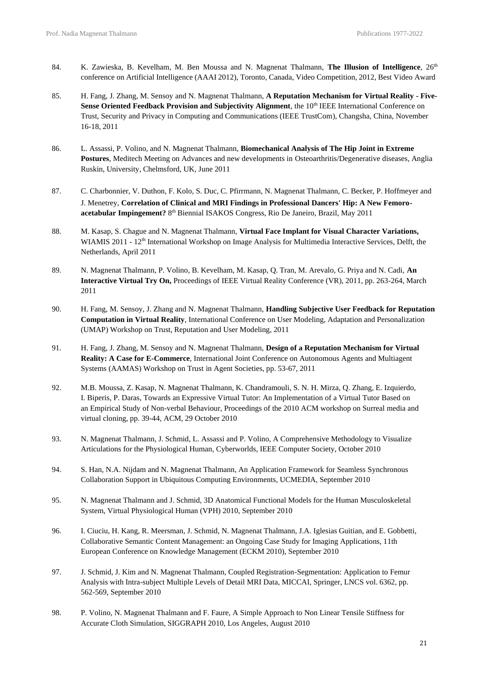- 84. K. Zawieska, B. Kevelham, M. Ben Moussa and N. Magnenat Thalmann, **The Illusion of Intelligence**, 26th conference on Artificial Intelligence (AAAI 2012), Toronto, Canada, Video Competition, 2012, Best Video Award
- 85. H. Fang, J. Zhang, M. Sensoy and N. Magnenat Thalmann, **A Reputation Mechanism for Virtual Reality - Five-Sense Oriented Feedback Provision and Subjectivity Alignment**, the 10<sup>th</sup> IEEE International Conference on Trust, Security and Privacy in Computing and Communications (IEEE TrustCom), Changsha, China, November 16-18, 2011
- 86. L. Assassi, P. Volino, and N. Magnenat Thalmann, **Biomechanical Analysis of The Hip Joint in Extreme Postures**, Meditech Meeting on Advances and new developments in Osteoarthritis/Degenerative diseases, Anglia Ruskin, University, Chelmsford, UK, June 2011
- 87. C. [Charbonnier,](http://www.linkedin.com/profile/view?id=17018953&authType=name&authToken=-kdc&goback=%2Enpp_%2Fcaecilia%2A5charbonnier%2F5%2F848%2Fb21&trk=author) V. Duthon, F. Kolo, S. Duc, C. Pfirrmann, N. Magnenat Thalmann, C. Becker, P. Hoffmeyer and J. Menetrey, **Correlation of Clinical and MRI Findings in Professional Dancers' Hip: A New Femoroacetabular Impingement?** 8 th Biennial ISAKOS Congress, Rio De Janeiro, Brazil, May 2011
- 88. M. Kasap, S. Chague and N. Magnenat Thalmann, **Virtual Face Implant for Visual Character Variations,** WIAMIS 2011 - 12<sup>th</sup> International Workshop on Image Analysis for Multimedia Interactive Services, Delft, the Netherlands, April 2011
- 89. N. Magnenat Thalmann, P. Volino, B. Kevelham, M. Kasap, Q. Tran, M. Arevalo, G. Priya and N. Cadi, **An Interactive Virtual Try On,** Proceedings of IEEE Virtual Reality Conference (VR), 2011, pp. 263-264, March 2011
- 90. H. Fang, M. Sensoy, J. Zhang and N. Magnenat Thalmann, **Handling Subjective User Feedback for Reputation Computation in Virtual Reality**, International Conference on User Modeling, Adaptation and Personalization (UMAP) Workshop on Trust, Reputation and User Modeling, 2011
- 91. H. Fang, J. Zhang, M. Sensoy and N. Magnenat Thalmann, **Design of a Reputation Mechanism for Virtual Reality: A Case for E-Commerce**, International Joint Conference on Autonomous Agents and Multiagent Systems (AAMAS) Workshop on Trust in Agent Societies, pp. 53-67, 2011
- 92. M.B. Moussa, Z. Kasap, N. Magnenat Thalmann, K. Chandramouli, S. N. H. Mirza, Q. Zhang, E. Izquierdo, I. Biperis, P. Daras, Towards an Expressive Virtual Tutor: An Implementation of a Virtual Tutor Based on an Empirical Study of Non-verbal Behaviour, Proceedings of the 2010 ACM workshop on Surreal media and virtual cloning, pp. 39-44, ACM, 29 October 2010
- 93. N. Magnenat Thalmann, J. Schmid, L. Assassi and P. Volino, A Comprehensive Methodology to Visualize Articulations for the Physiological Human, Cyberworlds, IEEE Computer Society, October 2010
- 94. S. Han, N.A. Nijdam and N. Magnenat Thalmann, An Application Framework for Seamless Synchronous Collaboration Support in Ubiquitous Computing Environments, UCMEDIA, September 2010
- 95. N. Magnenat Thalmann and J. Schmid, 3D Anatomical Functional Models for the Human Musculoskeletal System, Virtual Physiological Human (VPH) 2010, September 2010
- 96. I. Ciuciu, H. Kang, R. Meersman, J. Schmid, N. Magnenat Thalmann, J.A. Iglesias Guitian, and E. Gobbetti, Collaborative Semantic Content Management: an Ongoing Case Study for Imaging Applications, 11th European Conference on Knowledge Management (ECKM 2010), September 2010
- 97. J. Schmid, J. Kim and N. Magnenat Thalmann, Coupled Registration-Segmentation: Application to Femur Analysis with Intra-subject Multiple Levels of Detail MRI Data, MICCAI, Springer, LNCS vol. 6362, pp. 562-569, September 2010
- 98. P. Volino, N. Magnenat Thalmann and F. Faure, A Simple Approach to Non Linear Tensile Stiffness for Accurate Cloth Simulation, SIGGRAPH 2010, Los Angeles, August 2010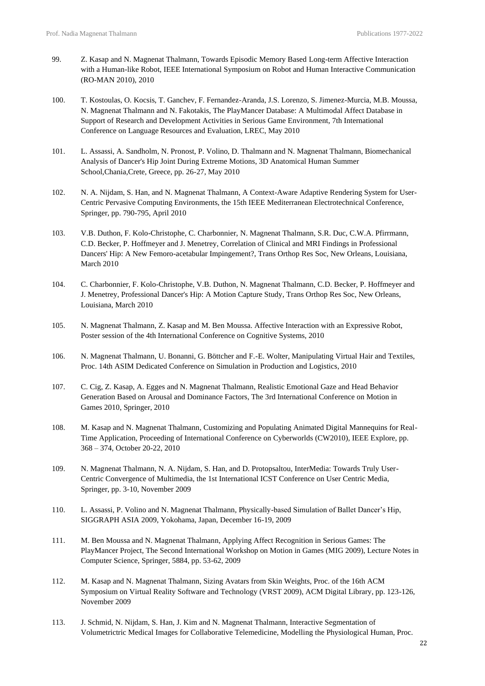- 99. Z. Kasap and N. Magnenat Thalmann, Towards Episodic Memory Based Long-term Affective Interaction with a Human-like Robot, IEEE International Symposium on Robot and Human Interactive Communication (RO-MAN 2010), 2010
- 100. T. Kostoulas, O. Kocsis, T. Ganchev, F. Fernandez-Aranda, J.S. Lorenzo, S. Jimenez-Murcia, M.B. Moussa, N. Magnenat Thalmann and N. Fakotakis, The PlayMancer Database: A Multimodal Affect Database in Support of Research and Development Activities in Serious Game Environment, 7th International Conference on Language Resources and Evaluation, LREC, May 2010
- 101. L. Assassi, A. Sandholm, N. Pronost, P. Volino, D. Thalmann and N. Magnenat Thalmann, Biomechanical Analysis of Dancer's Hip Joint During Extreme Motions, 3D Anatomical Human Summer School,Chania,Crete, Greece, pp. 26-27, May 2010
- 102. N. A. Nijdam, S. Han, and N. Magnenat Thalmann, A Context-Aware Adaptive Rendering System for User-Centric Pervasive Computing Environments, the 15th IEEE Mediterranean Electrotechnical Conference, Springer, pp. 790-795, April 2010
- 103. V.B. Duthon, F. Kolo-Christophe, C. Charbonnier, N. Magnenat Thalmann, S.R. Duc, C.W.A. Pfirrmann, C.D. Becker, P. Hoffmeyer and J. Menetrey, Correlation of Clinical and MRI Findings in Professional Dancers' Hip: A New Femoro-acetabular Impingement?, Trans Orthop Res Soc, New Orleans, Louisiana, March 2010
- 104. C. Charbonnier, F. Kolo-Christophe, V.B. Duthon, N. Magnenat Thalmann, C.D. Becker, P. Hoffmeyer and J. Menetrey, Professional Dancer's Hip: A Motion Capture Study, Trans Orthop Res Soc, New Orleans, Louisiana, March 2010
- 105. N. Magnenat Thalmann, Z. Kasap and M. Ben Moussa. Affective Interaction with an Expressive Robot, Poster session of the 4th International Conference on Cognitive Systems, 2010
- 106. N. Magnenat Thalmann, U. Bonanni, G. Böttcher and F.-E. Wolter, Manipulating Virtual Hair and Textiles, Proc. 14th ASIM Dedicated Conference on Simulation in Production and Logistics, 2010
- 107. C. Cig, Z. Kasap, A. Egges and N. Magnenat Thalmann, Realistic Emotional Gaze and Head Behavior Generation Based on Arousal and Dominance Factors, The 3rd International Conference on Motion in Games 2010, Springer, 2010
- 108. M. Kasap and N. Magnenat Thalmann, Customizing and Populating Animated Digital Mannequins for Real-Time Application, Proceeding of International Conference on Cyberworlds (CW2010), IEEE Explore, pp. 368 – 374, October 20-22, 2010
- 109. N. Magnenat Thalmann, N. A. Nijdam, S. Han, and D. Protopsaltou, InterMedia: Towards Truly User-Centric Convergence of Multimedia, the 1st International ICST Conference on User Centric Media, Springer, pp. 3-10, November 2009
- 110. L. Assassi, P. Volino and N. Magnenat Thalmann, Physically-based Simulation of Ballet Dancer's Hip, SIGGRAPH ASIA 2009, Yokohama, Japan, December 16-19, 2009
- 111. M. Ben Moussa and N. Magnenat Thalmann, Applying Affect Recognition in Serious Games: The PlayMancer Project, The Second International Workshop on Motion in Games (MIG 2009), Lecture Notes in Computer Science, Springer, 5884, pp. 53-62, 2009
- 112. M. Kasap and N. Magnenat Thalmann, Sizing Avatars from Skin Weights, Proc. of the 16th ACM Symposium on Virtual Reality Software and Technology (VRST 2009), ACM Digital Library, pp. 123-126, November 2009
- 113. J. Schmid, N. Nijdam, S. Han, J. Kim and N. Magnenat Thalmann, Interactive Segmentation of Volumetrictric Medical Images for Collaborative Telemedicine, Modelling the Physiological Human, Proc.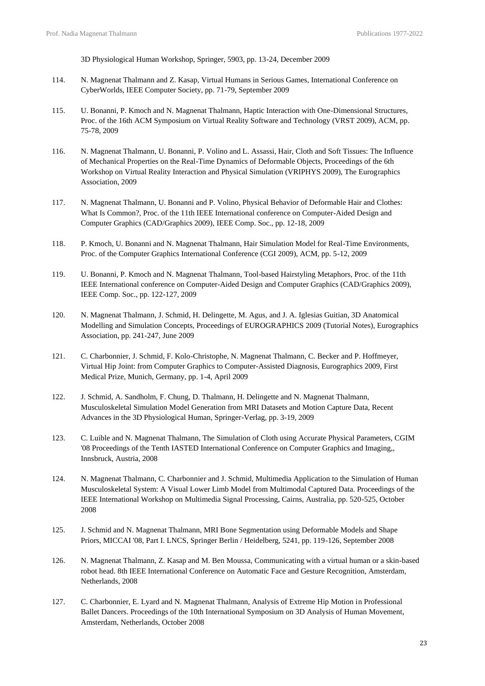3D Physiological Human Workshop, Springer, 5903, pp. 13-24, December 2009

- 114. N. Magnenat Thalmann and Z. Kasap, Virtual Humans in Serious Games, International Conference on CyberWorlds, IEEE Computer Society, pp. 71-79, September 2009
- 115. U. Bonanni, P. Kmoch and N. Magnenat Thalmann, Haptic Interaction with One-Dimensional Structures, Proc. of the 16th ACM Symposium on Virtual Reality Software and Technology (VRST 2009), ACM, pp. 75-78, 2009
- 116. N. Magnenat Thalmann, U. Bonanni, P. Volino and L. Assassi, Hair, Cloth and Soft Tissues: The Influence of Mechanical Properties on the Real-Time Dynamics of Deformable Objects, Proceedings of the 6th Workshop on Virtual Reality Interaction and Physical Simulation (VRIPHYS 2009), The Eurographics Association, 2009
- 117. N. Magnenat Thalmann, U. Bonanni and P. Volino, Physical Behavior of Deformable Hair and Clothes: What Is Common?, Proc. of the 11th IEEE International conference on Computer-Aided Design and Computer Graphics (CAD/Graphics 2009), IEEE Comp. Soc., pp. 12-18, 2009
- 118. P. Kmoch, U. Bonanni and N. Magnenat Thalmann, Hair Simulation Model for Real-Time Environments, Proc. of the Computer Graphics International Conference (CGI 2009), ACM, pp. 5-12, 2009
- 119. U. Bonanni, P. Kmoch and N. Magnenat Thalmann, Tool-based Hairstyling Metaphors, Proc. of the 11th IEEE International conference on Computer-Aided Design and Computer Graphics (CAD/Graphics 2009), IEEE Comp. Soc., pp. 122-127, 2009
- 120. N. Magnenat Thalmann, J. Schmid, H. Delingette, M. Agus, and J. A. Iglesias Guitian, 3D Anatomical Modelling and Simulation Concepts, Proceedings of EUROGRAPHICS 2009 (Tutorial Notes), Eurographics Association, pp. 241-247, June 2009
- 121. C. Charbonnier, J. Schmid, F. Kolo-Christophe, N. Magnenat Thalmann, C. Becker and P. Hoffmeyer, Virtual Hip Joint: from Computer Graphics to Computer-Assisted Diagnosis, Eurographics 2009, First Medical Prize, Munich, Germany, pp. 1-4, April 2009
- 122. J. Schmid, A. Sandholm, F. Chung, D. Thalmann, H. Delingette and N. Magnenat Thalmann, Musculoskeletal Simulation Model Generation from MRI Datasets and Motion Capture Data, Recent Advances in the 3D Physiological Human, Springer-Verlag, pp. 3-19, 2009
- 123. C. Luible and N. Magnenat Thalmann, The Simulation of Cloth using Accurate Physical Parameters, CGIM '08 Proceedings of the Tenth IASTED International Conference on Computer Graphics and Imaging,, Innsbruck, Austria, 2008
- 124. N. Magnenat Thalmann, C. Charbonnier and J. Schmid, Multimedia Application to the Simulation of Human Musculoskeletal System: A Visual Lower Limb Model from Multimodal Captured Data. Proceedings of the IEEE International Workshop on Multimedia Signal Processing, Cairns, Australia, pp. 520-525, October 2008
- 125. J. Schmid and N. Magnenat Thalmann, MRI Bone Segmentation using Deformable Models and Shape Priors, MICCAI '08, Part I. LNCS, Springer Berlin / Heidelberg, 5241, pp. 119-126, September 2008
- 126. N. Magnenat Thalmann, Z. Kasap and M. Ben Moussa, Communicating with a virtual human or a skin-based robot head. 8th IEEE International Conference on Automatic Face and Gesture Recognition, Amsterdam, Netherlands, 2008
- 127. C. Charbonnier, E. Lyard and N. Magnenat Thalmann, Analysis of Extreme Hip Motion in Professional Ballet Dancers. Proceedings of the 10th International Symposium on 3D Analysis of Human Movement, Amsterdam, Netherlands, October 2008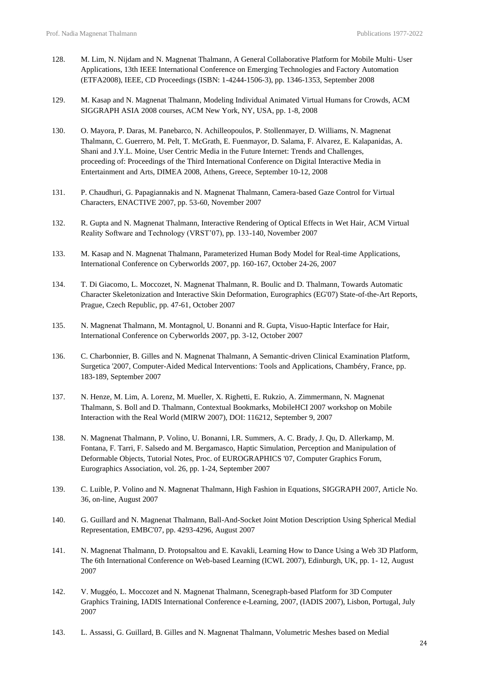- 128. M. Lim, N. Nijdam and N. Magnenat Thalmann, A General Collaborative Platform for Mobile Multi- User Applications, 13th IEEE International Conference on Emerging Technologies and Factory Automation (ETFA2008), IEEE, CD Proceedings (ISBN: 1-4244-1506-3), pp. 1346-1353, September 2008
- 129. M. Kasap and N. Magnenat Thalmann, Modeling Individual Animated Virtual Humans for Crowds, ACM SIGGRAPH ASIA 2008 courses, ACM New York, NY, USA, pp. 1-8, 2008
- 130. O. Mayora, P. Daras, M. Panebarco, N. Achilleopoulos, P. Stollenmayer, D. Williams, N. Magnenat Thalmann, C. Guerrero, M. Pelt, T. McGrath, E. Fuenmayor, D. Salama, F. Alvarez, E. Kalapanidas, A. Shani and J.Y.L. Moine, User Centric Media in the Future Internet: Trends and Challenges, proceeding of: Proceedings of the Third International Conference on Digital Interactive Media in Entertainment and Arts, DIMEA 2008, Athens, Greece, September 10-12, 2008
- 131. P. Chaudhuri, G. Papagiannakis and N. Magnenat Thalmann, Camera-based Gaze Control for Virtual Characters, ENACTIVE 2007, pp. 53-60, November 2007
- 132. R. Gupta and N. Magnenat Thalmann, Interactive Rendering of Optical Effects in Wet Hair, ACM Virtual Reality Software and Technology (VRST'07), pp. 133-140, November 2007
- 133. M. Kasap and N. Magnenat Thalmann, Parameterized Human Body Model for Real-time Applications, International Conference on Cyberworlds 2007, pp. 160-167, October 24-26, 2007
- 134. T. Di Giacomo, L. Moccozet, N. Magnenat Thalmann, R. Boulic and D. Thalmann, Towards Automatic Character Skeletonization and Interactive Skin Deformation, Eurographics (EG'07) State-of-the-Art Reports, Prague, Czech Republic, pp. 47-61, October 2007
- 135. N. Magnenat Thalmann, M. Montagnol, U. Bonanni and R. Gupta, Visuo-Haptic Interface for Hair, International Conference on Cyberworlds 2007, pp. 3-12, October 2007
- 136. C. Charbonnier, B. Gilles and N. Magnenat Thalmann, A Semantic-driven Clinical Examination Platform, Surgetica '2007, Computer-Aided Medical Interventions: Tools and Applications, Chambéry, France, pp. 183-189, September 2007
- 137. N. Henze, M. Lim, A. Lorenz, M. Mueller, X. Righetti, E. Rukzio, A. Zimmermann, N. Magnenat Thalmann, S. Boll and D. Thalmann, Contextual Bookmarks, MobileHCI 2007 workshop on Mobile Interaction with the Real World (MIRW 2007), DOI: 116212, September 9, 2007
- 138. N. Magnenat Thalmann, P. Volino, U. Bonanni, I.R. Summers, A. C. Brady, J. Qu, D. Allerkamp, M. Fontana, F. Tarri, F. Salsedo and M. Bergamasco, Haptic Simulation, Perception and Manipulation of Deformable Objects, Tutorial Notes, Proc. of EUROGRAPHICS '07, Computer Graphics Forum, Eurographics Association, vol. 26, pp. 1-24, September 2007
- 139. C. Luible, P. Volino and N. Magnenat Thalmann, High Fashion in Equations, SIGGRAPH 2007, Article No. 36, on-line, August 2007
- 140. G. Guillard and N. Magnenat Thalmann, Ball-And-Socket Joint Motion Description Using Spherical Medial Representation, EMBC'07, pp. 4293-4296, August 2007
- 141. N. Magnenat Thalmann, D. Protopsaltou and E. Kavakli, Learning How to Dance Using a Web 3D Platform, The 6th International Conference on Web-based Learning (ICWL 2007), Edinburgh, UK, pp. 1- 12, August 2007
- 142. V. Muggéo, L. Moccozet and N. Magnenat Thalmann, Scenegraph-based Platform for 3D Computer Graphics Training, IADIS International Conference e-Learning, 2007, (IADIS 2007), Lisbon, Portugal, July 2007
- 143. L. Assassi, G. Guillard, B. Gilles and N. Magnenat Thalmann, Volumetric Meshes based on Medial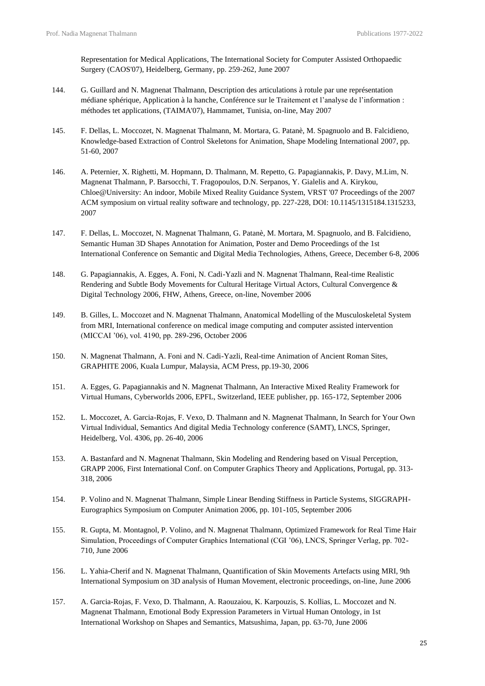Representation for Medical Applications, The International Society for Computer Assisted Orthopaedic Surgery (CAOS'07), Heidelberg, Germany, pp. 259-262, June 2007

- 144. G. Guillard and N. Magnenat Thalmann, Description des articulations à rotule par une représentation médiane sphérique, Application à la hanche, Conférence sur le Traitement et l'analyse de l'information : méthodes tet applications, (TAIMA'07), Hammamet, Tunisia, on-line, May 2007
- 145. F. Dellas, L. Moccozet, N. Magnenat Thalmann, M. Mortara, G. Patanè, M. Spagnuolo and B. Falcidieno, Knowledge-based Extraction of Control Skeletons for Animation, Shape Modeling International 2007, pp. 51-60, 2007
- 146. A. Peternier, X. Righetti, M. Hopmann, D. Thalmann, M. Repetto, G. Papagiannakis, P. Davy, M.Lim, N. Magnenat Thalmann, P. Barsocchi, T. Fragopoulos, D.N. Serpanos, Y. Gialelis and A. Kirykou, Chloe@University: An indoor, Mobile Mixed Reality Guidance System, VRST '07 Proceedings of the 2007 ACM symposium on virtual reality software and technology, pp. 227-228, DOI: 10.1145/1315184.1315233, 2007
- 147. F. Dellas, L. Moccozet, N. Magnenat Thalmann, G. Patanè, M. Mortara, M. Spagnuolo, and B. Falcidieno, Semantic Human 3D Shapes Annotation for Animation, Poster and Demo Proceedings of the 1st International Conference on Semantic and Digital Media Technologies, Athens, Greece, December 6-8, 2006
- 148. G. Papagiannakis, A. Egges, A. Foni, N. Cadi-Yazli and N. Magnenat Thalmann, Real-time Realistic Rendering and Subtle Body Movements for Cultural Heritage Virtual Actors, Cultural Convergence & Digital Technology 2006, FHW, Athens, Greece, on-line, November 2006
- 149. B. Gilles, L. Moccozet and N. Magnenat Thalmann, Anatomical Modelling of the Musculoskeletal System from MRI, International conference on medical image computing and computer assisted intervention (MICCAI '06), vol. 4190, pp. 289-296, October 2006
- 150. N. Magnenat Thalmann, A. Foni and N. Cadi-Yazli, Real-time Animation of Ancient Roman Sites, GRAPHITE 2006, Kuala Lumpur, Malaysia, ACM Press, pp.19-30, 2006
- 151. A. Egges, G. Papagiannakis and N. Magnenat Thalmann, An Interactive Mixed Reality Framework for Virtual Humans, Cyberworlds 2006, EPFL, Switzerland, IEEE publisher, pp. 165-172, September 2006
- 152. L. Moccozet, A. Garcia-Rojas, F. Vexo, D. Thalmann and N. Magnenat Thalmann, In Search for Your Own Virtual Individual, Semantics And digital Media Technology conference (SAMT), LNCS, Springer, Heidelberg, Vol. 4306, pp. 26-40, 2006
- 153. A. Bastanfard and N. Magnenat Thalmann, Skin Modeling and Rendering based on Visual Perception, GRAPP 2006, First International Conf. on Computer Graphics Theory and Applications, Portugal, pp. 313- 318, 2006
- 154. P. Volino and N. Magnenat Thalmann, Simple Linear Bending Stiffness in Particle Systems, SIGGRAPH-Eurographics Symposium on Computer Animation 2006, pp. 101-105, September 2006
- 155. R. Gupta, M. Montagnol, P. Volino, and N. Magnenat Thalmann, Optimized Framework for Real Time Hair Simulation, Proceedings of Computer Graphics International (CGI '06), LNCS, Springer Verlag, pp. 702- 710, June 2006
- 156. L. Yahia-Cherif and N. Magnenat Thalmann, Quantification of Skin Movements Artefacts using MRI, 9th International Symposium on 3D analysis of Human Movement, electronic proceedings, on-line, June 2006
- 157. A. Garcia-Rojas, F. Vexo, D. Thalmann, A. Raouzaiou, K. Karpouzis, S. Kollias, L. Moccozet and N. Magnenat Thalmann, Emotional Body Expression Parameters in Virtual Human Ontology, in 1st International Workshop on Shapes and Semantics, Matsushima, Japan, pp. 63-70, June 2006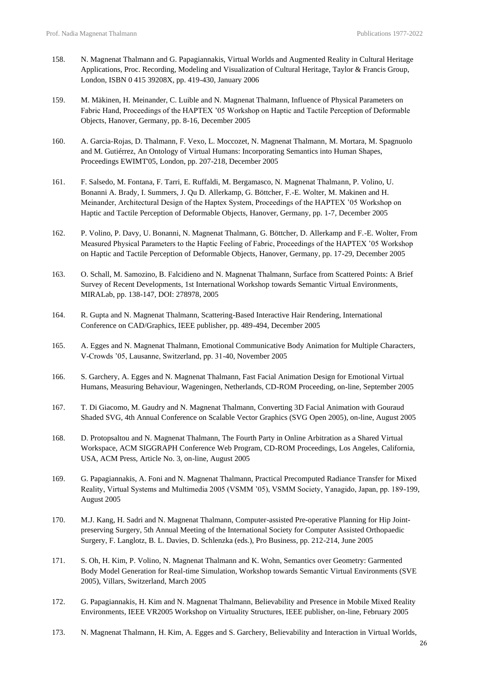- 158. N. Magnenat Thalmann and G. Papagiannakis, Virtual Worlds and Augmented Reality in Cultural Heritage Applications, Proc. Recording, Modeling and Visualization of Cultural Heritage, Taylor & Francis Group, London, ISBN 0 415 39208X, pp. 419-430, January 2006
- 159. M. Mäkinen, H. Meinander, C. Luible and N. Magnenat Thalmann, Influence of Physical Parameters on Fabric Hand, Proceedings of the HAPTEX '05 Workshop on Haptic and Tactile Perception of Deformable Objects, Hanover, Germany, pp. 8-16, December 2005
- 160. A. Garcia-Rojas, D. Thalmann, F. Vexo, L. Moccozet, N. Magnenat Thalmann, M. Mortara, M. Spagnuolo and M. Gutiérrez, An Ontology of Virtual Humans: Incorporating Semantics into Human Shapes, Proceedings EWIMT'05, London, pp. 207-218, December 2005
- 161. F. Salsedo, M. Fontana, F. Tarri, E. Ruffaldi, M. Bergamasco, N. Magnenat Thalmann, P. Volino, U. Bonanni A. Brady, I. Summers, J. Qu D. Allerkamp, G. Böttcher, F.-E. Wolter, M. Makinen and H. Meinander, Architectural Design of the Haptex System, Proceedings of the HAPTEX '05 Workshop on Haptic and Tactile Perception of Deformable Objects, Hanover, Germany, pp. 1-7, December 2005
- 162. P. Volino, P. Davy, U. Bonanni, N. Magnenat Thalmann, G. Böttcher, D. Allerkamp and F.-E. Wolter, From Measured Physical Parameters to the Haptic Feeling of Fabric, Proceedings of the HAPTEX '05 Workshop on Haptic and Tactile Perception of Deformable Objects, Hanover, Germany, pp. 17-29, December 2005
- 163. O. Schall, M. Samozino, B. Falcidieno and N. Magnenat Thalmann, Surface from Scattered Points: A Brief Survey of Recent Developments, 1st International Workshop towards Semantic Virtual Environments, MIRALab, pp. 138-147, DOI: 278978, 2005
- 164. R. Gupta and N. Magnenat Thalmann, Scattering-Based Interactive Hair Rendering, International Conference on CAD/Graphics, IEEE publisher, pp. 489-494, December 2005
- 165. A. Egges and N. Magnenat Thalmann, Emotional Communicative Body Animation for Multiple Characters, V-Crowds '05, Lausanne, Switzerland, pp. 31-40, November 2005
- 166. S. Garchery, A. Egges and N. Magnenat Thalmann, Fast Facial Animation Design for Emotional Virtual Humans, Measuring Behaviour, Wageningen, Netherlands, CD-ROM Proceeding, on-line, September 2005
- 167. T. Di Giacomo, M. Gaudry and N. Magnenat Thalmann, Converting 3D Facial Animation with Gouraud Shaded SVG, 4th Annual Conference on Scalable Vector Graphics (SVG Open 2005), on-line, August 2005
- 168. D. Protopsaltou and N. Magnenat Thalmann, The Fourth Party in Online Arbitration as a Shared Virtual Workspace, ACM SIGGRAPH Conference Web Program, CD-ROM Proceedings, Los Angeles, California, USA, ACM Press, Article No. 3, on-line, August 2005
- 169. G. Papagiannakis, A. Foni and N. Magnenat Thalmann, Practical Precomputed Radiance Transfer for Mixed Reality, Virtual Systems and Multimedia 2005 (VSMM '05), VSMM Society, Yanagido, Japan, pp. 189-199, August 2005
- 170. M.J. Kang, H. Sadri and N. Magnenat Thalmann, Computer-assisted Pre-operative Planning for Hip Jointpreserving Surgery, 5th Annual Meeting of the International Society for Computer Assisted Orthopaedic Surgery, F. Langlotz, B. L. Davies, D. Schlenzka (eds.), Pro Business, pp. 212-214, June 2005
- 171. S. Oh, H. Kim, P. Volino, N. Magnenat Thalmann and K. Wohn, Semantics over Geometry: Garmented Body Model Generation for Real-time Simulation, Workshop towards Semantic Virtual Environments (SVE 2005), Villars, Switzerland, March 2005
- 172. G. Papagiannakis, H. Kim and N. Magnenat Thalmann, Believability and Presence in Mobile Mixed Reality Environments, IEEE VR2005 Workshop on Virtuality Structures, IEEE publisher, on-line, February 2005
- 173. N. Magnenat Thalmann, H. Kim, A. Egges and S. Garchery, Believability and Interaction in Virtual Worlds,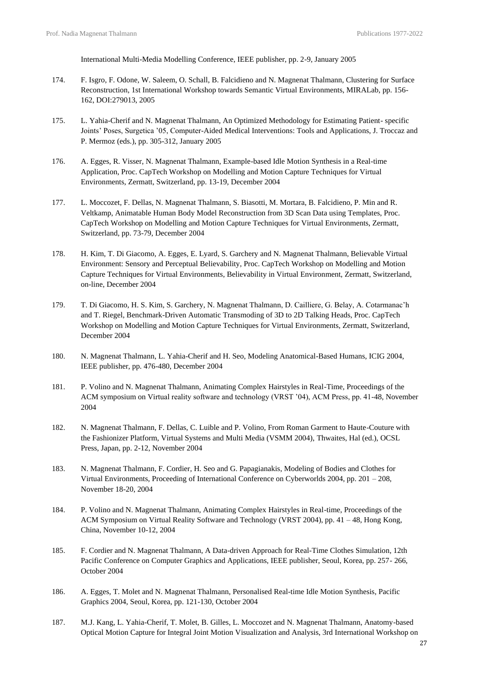International Multi-Media Modelling Conference, IEEE publisher, pp. 2-9, January 2005

- 174. F. Isgro, F. Odone, W. Saleem, O. Schall, B. Falcidieno and N. Magnenat Thalmann, Clustering for Surface Reconstruction, 1st International Workshop towards Semantic Virtual Environments, MIRALab, pp. 156- 162, DOI:279013, 2005
- 175. L. Yahia-Cherif and N. Magnenat Thalmann, An Optimized Methodology for Estimating Patient- specific Joints' Poses, Surgetica '05, Computer-Aided Medical Interventions: Tools and Applications, J. Troccaz and P. Mermoz (eds.), pp. 305-312, January 2005
- 176. A. Egges, R. Visser, N. Magnenat Thalmann, Example-based Idle Motion Synthesis in a Real-time Application, Proc. CapTech Workshop on Modelling and Motion Capture Techniques for Virtual Environments, Zermatt, Switzerland, pp. 13-19, December 2004
- 177. L. Moccozet, F. Dellas, N. Magnenat Thalmann, S. Biasotti, M. Mortara, B. Falcidieno, P. Min and R. Veltkamp, Animatable Human Body Model Reconstruction from 3D Scan Data using Templates, Proc. CapTech Workshop on Modelling and Motion Capture Techniques for Virtual Environments, Zermatt, Switzerland, pp. 73-79, December 2004
- 178. H. Kim, T. Di Giacomo, A. Egges, E. Lyard, S. Garchery and N. Magnenat Thalmann, Believable Virtual Environment: Sensory and Perceptual Believability, Proc. CapTech Workshop on Modelling and Motion Capture Techniques for Virtual Environments, Believability in Virtual Environment, Zermatt, Switzerland, on-line, December 2004
- 179. T. Di Giacomo, H. S. Kim, S. Garchery, N. Magnenat Thalmann, D. Cailliere, G. Belay, A. Cotarmanac'h and T. Riegel, Benchmark-Driven Automatic Transmoding of 3D to 2D Talking Heads, Proc. CapTech Workshop on Modelling and Motion Capture Techniques for Virtual Environments, Zermatt, Switzerland, December 2004
- 180. N. Magnenat Thalmann, L. Yahia-Cherif and H. Seo, Modeling Anatomical-Based Humans, ICIG 2004, IEEE publisher, pp. 476-480, December 2004
- 181. P. Volino and N. Magnenat Thalmann, Animating Complex Hairstyles in Real-Time, Proceedings of the ACM symposium on Virtual reality software and technology (VRST '04), ACM Press, pp. 41-48, November 2004
- 182. N. Magnenat Thalmann, F. Dellas, C. Luible and P. Volino, From Roman Garment to Haute-Couture with the Fashionizer Platform, Virtual Systems and Multi Media (VSMM 2004), Thwaites, Hal (ed.), OCSL Press, Japan, pp. 2-12, November 2004
- 183. N. Magnenat Thalmann, F. Cordier, H. Seo and G. Papagianakis, Modeling of Bodies and Clothes for Virtual Environments, Proceeding of International Conference on Cyberworlds 2004, pp. 201 – 208, November 18-20, 2004
- 184. P. Volino and N. Magnenat Thalmann, Animating Complex Hairstyles in Real-time, Proceedings of the ACM Symposium on Virtual Reality Software and Technology (VRST 2004), pp. 41 – 48, Hong Kong, China, November 10-12, 2004
- 185. F. Cordier and N. Magnenat Thalmann, A Data-driven Approach for Real-Time Clothes Simulation, 12th Pacific Conference on Computer Graphics and Applications, IEEE publisher, Seoul, Korea, pp. 257- 266, October 2004
- 186. A. Egges, T. Molet and N. Magnenat Thalmann, Personalised Real-time Idle Motion Synthesis, Pacific Graphics 2004, Seoul, Korea, pp. 121-130, October 2004
- 187. M.J. Kang, L. Yahia-Cherif, T. Molet, B. Gilles, L. Moccozet and N. Magnenat Thalmann, Anatomy-based Optical Motion Capture for Integral Joint Motion Visualization and Analysis, 3rd International Workshop on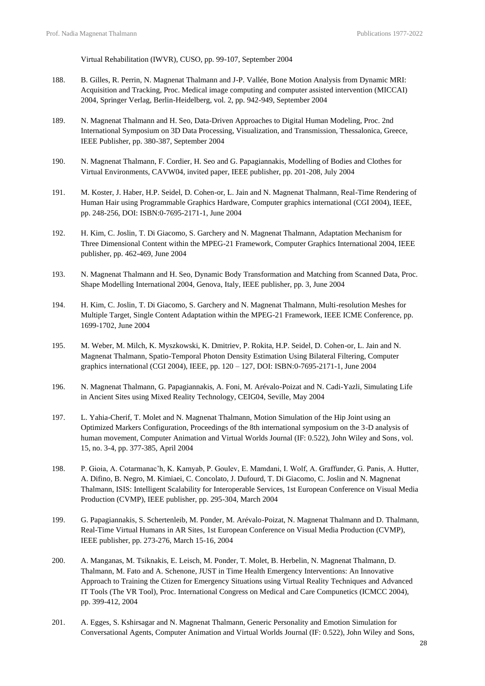Virtual Rehabilitation (IWVR), CUSO, pp. 99-107, September 2004

- 188. B. Gilles, R. Perrin, N. Magnenat Thalmann and J-P. Vallée, Bone Motion Analysis from Dynamic MRI: Acquisition and Tracking, Proc. Medical image computing and computer assisted intervention (MICCAI) 2004, Springer Verlag, Berlin-Heidelberg, vol. 2, pp. 942-949, September 2004
- 189. N. Magnenat Thalmann and H. Seo, Data-Driven Approaches to Digital Human Modeling, Proc. 2nd International Symposium on 3D Data Processing, Visualization, and Transmission, Thessalonica, Greece, IEEE Publisher, pp. 380-387, September 2004
- 190. N. Magnenat Thalmann, F. Cordier, H. Seo and G. Papagiannakis, Modelling of Bodies and Clothes for Virtual Environments, CAVW04, invited paper, IEEE publisher, pp. 201-208, July 2004
- 191. M. Koster, J. Haber, H.P. Seidel, D. Cohen-or, L. Jain and N. Magnenat Thalmann, Real-Time Rendering of Human Hair using Programmable Graphics Hardware, Computer graphics international (CGI 2004), IEEE, pp. 248-256, DOI: ISBN:0-7695-2171-1, June 2004
- 192. H. Kim, C. Joslin, T. Di Giacomo, S. Garchery and N. Magnenat Thalmann, Adaptation Mechanism for Three Dimensional Content within the MPEG-21 Framework, Computer Graphics International 2004, IEEE publisher, pp. 462-469, June 2004
- 193. N. Magnenat Thalmann and H. Seo, Dynamic Body Transformation and Matching from Scanned Data, Proc. Shape Modelling International 2004, Genova, Italy, IEEE publisher, pp. 3, June 2004
- 194. H. Kim, C. Joslin, T. Di Giacomo, S. Garchery and N. Magnenat Thalmann, Multi-resolution Meshes for Multiple Target, Single Content Adaptation within the MPEG-21 Framework, IEEE ICME Conference, pp. 1699-1702, June 2004
- 195. M. Weber, M. Milch, K. Myszkowski, K. Dmitriev, P. Rokita, H.P. Seidel, D. Cohen-or, L. Jain and N. Magnenat Thalmann, Spatio-Temporal Photon Density Estimation Using Bilateral Filtering, Computer graphics international (CGI 2004), IEEE, pp. 120 – 127, DOI: ISBN:0-7695-2171-1, June 2004
- 196. N. Magnenat Thalmann, G. Papagiannakis, A. Foni, M. Arévalo-Poizat and N. Cadi-Yazli, Simulating Life in Ancient Sites using Mixed Reality Technology, CEIG04, Seville, May 2004
- 197. L. Yahia-Cherif, T. Molet and N. Magnenat Thalmann, Motion Simulation of the Hip Joint using an Optimized Markers Configuration, Proceedings of the 8th international symposium on the 3-D analysis of human movement, Computer Animation and Virtual Worlds Journal (IF: 0.522), John Wiley and Sons, vol. 15, no. 3-4, pp. 377-385, April 2004
- 198. P. Gioia, A. Cotarmanac'h, K. Kamyab, P. Goulev, E. Mamdani, I. Wolf, A. Graffunder, G. Panis, A. Hutter, A. Difino, B. Negro, M. Kimiaei, C. Concolato, J. Dufourd, T. Di Giacomo, C. Joslin and N. Magnenat Thalmann, ISIS: Intelligent Scalability for Interoperable Services, 1st European Conference on Visual Media Production (CVMP), IEEE publisher, pp. 295-304, March 2004
- 199. G. Papagiannakis, S. Schertenleib, M. Ponder, M. Arévalo-Poizat, N. Magnenat Thalmann and D. Thalmann, Real-Time Virtual Humans in AR Sites, 1st European Conference on Visual Media Production (CVMP), IEEE publisher, pp. 273-276, March 15-16, 2004
- 200. A. Manganas, M. Tsiknakis, E. Leisch, M. Ponder, T. Molet, B. Herbelin, N. Magnenat Thalmann, D. Thalmann, M. Fato and A. Schenone, JUST in Time Health Emergency Interventions: An Innovative Approach to Training the Ctizen for Emergency Situations using Virtual Reality Techniques and Advanced IT Tools (The VR Tool), Proc. International Congress on Medical and Care Compunetics (ICMCC 2004), pp. 399-412, 2004
- 201. A. Egges, S. Kshirsagar and N. Magnenat Thalmann, Generic Personality and Emotion Simulation for Conversational Agents, Computer Animation and Virtual Worlds Journal (IF: 0.522), John Wiley and Sons,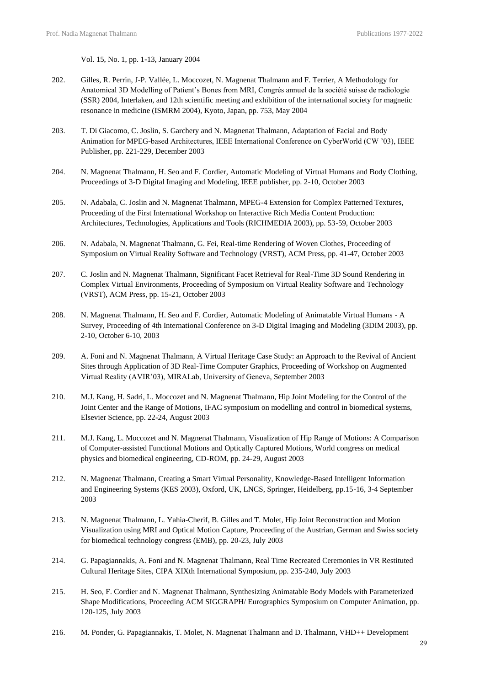Vol. 15, No. 1, pp. 1-13, January 2004

- 202. Gilles, R. Perrin, J-P. Vallée, L. Moccozet, N. Magnenat Thalmann and F. Terrier, A Methodology for Anatomical 3D Modelling of Patient's Bones from MRI, Congrès annuel de la société suisse de radiologie (SSR) 2004, Interlaken, and 12th scientific meeting and exhibition of the international society for magnetic resonance in medicine (ISMRM 2004), Kyoto, Japan, pp. 753, May 2004
- 203. T. Di Giacomo, C. Joslin, S. Garchery and N. Magnenat Thalmann, Adaptation of Facial and Body Animation for MPEG-based Architectures, IEEE International Conference on CyberWorld (CW '03), IEEE Publisher, pp. 221-229, December 2003
- 204. N. Magnenat Thalmann, H. Seo and F. Cordier, Automatic Modeling of Virtual Humans and Body Clothing, Proceedings of 3-D Digital Imaging and Modeling, IEEE publisher, pp. 2-10, October 2003
- 205. N. Adabala, C. Joslin and N. Magnenat Thalmann, MPEG-4 Extension for Complex Patterned Textures, Proceeding of the First International Workshop on Interactive Rich Media Content Production: Architectures, Technologies, Applications and Tools (RICHMEDIA 2003), pp. 53-59, October 2003
- 206. N. Adabala, N. Magnenat Thalmann, G. Fei, Real-time Rendering of Woven Clothes, Proceeding of Symposium on Virtual Reality Software and Technology (VRST), ACM Press, pp. 41-47, October 2003
- 207. C. Joslin and N. Magnenat Thalmann, Significant Facet Retrieval for Real-Time 3D Sound Rendering in Complex Virtual Environments, Proceeding of Symposium on Virtual Reality Software and Technology (VRST), ACM Press, pp. 15-21, October 2003
- 208. N. Magnenat Thalmann, H. Seo and F. Cordier, Automatic Modeling of Animatable Virtual Humans A Survey, Proceeding of 4th International Conference on 3-D Digital Imaging and Modeling (3DIM 2003), pp. 2-10, October 6-10, 2003
- 209. A. Foni and N. Magnenat Thalmann, A Virtual Heritage Case Study: an Approach to the Revival of Ancient Sites through Application of 3D Real-Time Computer Graphics, Proceeding of Workshop on Augmented Virtual Reality (AVIR'03), MIRALab, University of Geneva, September 2003
- 210. M.J. Kang, H. Sadri, L. Moccozet and N. Magnenat Thalmann, Hip Joint Modeling for the Control of the Joint Center and the Range of Motions, IFAC symposium on modelling and control in biomedical systems, Elsevier Science, pp. 22-24, August 2003
- 211. M.J. Kang, L. Moccozet and N. Magnenat Thalmann, Visualization of Hip Range of Motions: A Comparison of Computer-assisted Functional Motions and Optically Captured Motions, World congress on medical physics and biomedical engineering, CD-ROM, pp. 24-29, August 2003
- 212. N. Magnenat Thalmann, Creating a Smart Virtual Personality, Knowledge-Based Intelligent Information and Engineering Systems (KES 2003), Oxford, UK, LNCS, Springer, Heidelberg, pp.15-16, 3-4 September 2003
- 213. N. Magnenat Thalmann, L. Yahia-Cherif, B. Gilles and T. Molet, Hip Joint Reconstruction and Motion Visualization using MRI and Optical Motion Capture, Proceeding of the Austrian, German and Swiss society for biomedical technology congress (EMB), pp. 20-23, July 2003
- 214. G. Papagiannakis, A. Foni and N. Magnenat Thalmann, Real Time Recreated Ceremonies in VR Restituted Cultural Heritage Sites, CIPA XIXth International Symposium, pp. 235-240, July 2003
- 215. H. Seo, F. Cordier and N. Magnenat Thalmann, Synthesizing Animatable Body Models with Parameterized Shape Modifications, Proceeding ACM SIGGRAPH/ Eurographics Symposium on Computer Animation, pp. 120-125, July 2003
- 216. M. Ponder, G. Papagiannakis, T. Molet, N. Magnenat Thalmann and D. Thalmann, VHD++ Development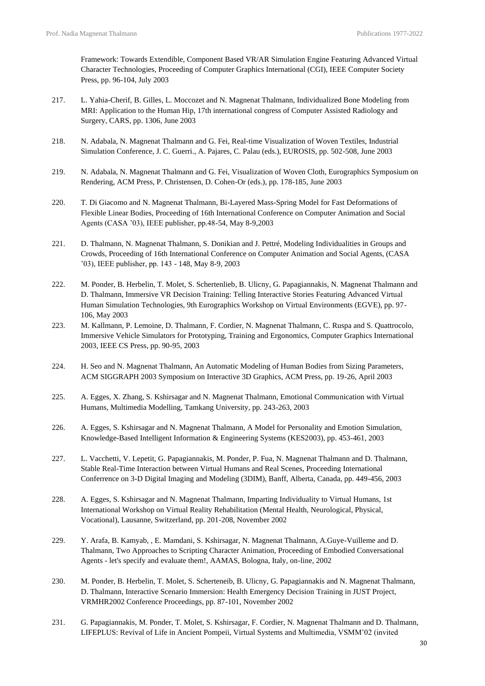Framework: Towards Extendible, Component Based VR/AR Simulation Engine Featuring Advanced Virtual Character Technologies, Proceeding of Computer Graphics International (CGI), IEEE Computer Society Press, pp. 96-104, July 2003

- 217. L. Yahia-Cherif, B. Gilles, L. Moccozet and N. Magnenat Thalmann, Individualized Bone Modeling from MRI: Application to the Human Hip, 17th international congress of Computer Assisted Radiology and Surgery, CARS, pp. 1306, June 2003
- 218. N. Adabala, N. Magnenat Thalmann and G. Fei, Real-time Visualization of Woven Textiles, Industrial Simulation Conference, J. C. Guerri., A. Pajares, C. Palau (eds.), EUROSIS, pp. 502-508, June 2003
- 219. N. Adabala, N. Magnenat Thalmann and G. Fei, Visualization of Woven Cloth, Eurographics Symposium on Rendering, ACM Press, P. Christensen, D. Cohen-Or (eds.), pp. 178-185, June 2003
- 220. T. Di Giacomo and N. Magnenat Thalmann, Bi-Layered Mass-Spring Model for Fast Deformations of Flexible Linear Bodies, Proceeding of 16th International Conference on Computer Animation and Social Agents (CASA '03), IEEE publisher, pp.48-54, May 8-9,2003
- 221. D. Thalmann, N. Magnenat Thalmann, S. Donikian and J. Pettré, Modeling Individualities in Groups and Crowds, Proceeding of 16th International Conference on Computer Animation and Social Agents, (CASA '03), IEEE publisher, pp. 143 - 148, May 8-9, 2003
- 222. M. Ponder, B. Herbelin, T. Molet, S. Schertenlieb, B. Ulicny, G. Papagiannakis, N. Magnenat Thalmann and D. Thalmann, Immersive VR Decision Training: Telling Interactive Stories Featuring Advanced Virtual Human Simulation Technologies, 9th Eurographics Workshop on Virtual Environments (EGVE), pp. 97- 106, May 2003
- 223. M. Kallmann, P. Lemoine, D. Thalmann, F. Cordier, N. Magnenat Thalmann, C. Ruspa and S. Quattrocolo, Immersive Vehicle Simulators for Prototyping, Training and Ergonomics, Computer Graphics International 2003, IEEE CS Press, pp. 90-95, 2003
- 224. H. Seo and N. Magnenat Thalmann, An Automatic Modeling of Human Bodies from Sizing Parameters, ACM SIGGRAPH 2003 Symposium on Interactive 3D Graphics, ACM Press, pp. 19-26, April 2003
- 225. A. Egges, X. Zhang, S. Kshirsagar and N. Magnenat Thalmann, Emotional Communication with Virtual Humans, Multimedia Modelling, Tamkang University, pp. 243-263, 2003
- 226. A. Egges, S. Kshirsagar and N. Magnenat Thalmann, A Model for Personality and Emotion Simulation, Knowledge-Based Intelligent Information & Engineering Systems (KES2003), pp. 453-461, 2003
- 227. L. Vacchetti, V. Lepetit, G. Papagiannakis, M. Ponder, P. Fua, N. Magnenat Thalmann and D. Thalmann, Stable Real-Time Interaction between Virtual Humans and Real Scenes, Proceeding International Conferrence on 3-D Digital Imaging and Modeling (3DIM), Banff, Alberta, Canada, pp. 449-456, 2003
- 228. A. Egges, S. Kshirsagar and N. Magnenat Thalmann, Imparting Individuality to Virtual Humans, 1st International Workshop on Virtual Reality Rehabilitation (Mental Health, Neurological, Physical, Vocational), Lausanne, Switzerland, pp. 201-208, November 2002
- 229. Y. Arafa, B. Kamyab, , E. Mamdani, S. Kshirsagar, N. Magnenat Thalmann, A.Guye-Vuilleme and D. Thalmann, Two Approaches to Scripting Character Animation, Proceeding of Embodied Conversational Agents - let's specify and evaluate them!, AAMAS, Bologna, Italy, on-line, 2002
- 230. M. Ponder, B. Herbelin, T. Molet, S. Scherteneib, B. Ulicny, G. Papagiannakis and N. Magnenat Thalmann, D. Thalmann, Interactive Scenario Immersion: Health Emergency Decision Training in JUST Project, VRMHR2002 Conference Proceedings, pp. 87-101, November 2002
- 231. G. Papagiannakis, M. Ponder, T. Molet, S. Kshirsagar, F. Cordier, N. Magnenat Thalmann and D. Thalmann, LIFEPLUS: Revival of Life in Ancient Pompeii, Virtual Systems and Multimedia, VSMM'02 (invited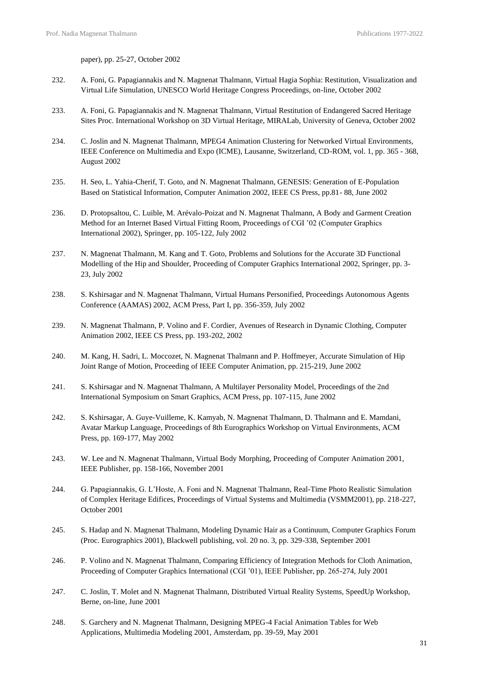paper), pp. 25-27, October 2002

- 232. A. Foni, G. Papagiannakis and N. Magnenat Thalmann, Virtual Hagia Sophia: Restitution, Visualization and Virtual Life Simulation, UNESCO World Heritage Congress Proceedings, on-line, October 2002
- 233. A. Foni, G. Papagiannakis and N. Magnenat Thalmann, Virtual Restitution of Endangered Sacred Heritage Sites Proc. International Workshop on 3D Virtual Heritage, MIRALab, University of Geneva, October 2002
- 234. C. Joslin and N. Magnenat Thalmann, MPEG4 Animation Clustering for Networked Virtual Environments, IEEE Conference on Multimedia and Expo (ICME), Lausanne, Switzerland, CD-ROM, vol. 1, pp. 365 - 368, August 2002
- 235. H. Seo, L. Yahia-Cherif, T. Goto, and N. Magnenat Thalmann, GENESIS: Generation of E-Population Based on Statistical Information, Computer Animation 2002, IEEE CS Press, pp.81- 88, June 2002
- 236. D. Protopsaltou, C. Luible, M. Arévalo-Poizat and N. Magnenat Thalmann, A Body and Garment Creation Method for an Internet Based Virtual Fitting Room, Proceedings of CGI '02 (Computer Graphics International 2002), Springer, pp. 105-122, July 2002
- 237. N. Magnenat Thalmann, M. Kang and T. Goto, Problems and Solutions for the Accurate 3D Functional Modelling of the Hip and Shoulder, Proceeding of Computer Graphics International 2002, Springer, pp. 3- 23, July 2002
- 238. S. Kshirsagar and N. Magnenat Thalmann, Virtual Humans Personified, Proceedings Autonomous Agents Conference (AAMAS) 2002, ACM Press, Part I, pp. 356-359, July 2002
- 239. N. Magnenat Thalmann, P. Volino and F. Cordier, Avenues of Research in Dynamic Clothing, Computer Animation 2002, IEEE CS Press, pp. 193-202, 2002
- 240. M. Kang, H. Sadri, L. Moccozet, N. Magnenat Thalmann and P. Hoffmeyer, Accurate Simulation of Hip Joint Range of Motion, Proceeding of IEEE Computer Animation, pp. 215-219, June 2002
- 241. S. Kshirsagar and N. Magnenat Thalmann, A Multilayer Personality Model, Proceedings of the 2nd International Symposium on Smart Graphics, ACM Press, pp. 107-115, June 2002
- 242. S. Kshirsagar, A. Guye-Vuilleme, K. Kamyab, N. Magnenat Thalmann, D. Thalmann and E. Mamdani, Avatar Markup Language, Proceedings of 8th Eurographics Workshop on Virtual Environments, ACM Press, pp. 169-177, May 2002
- 243. W. Lee and N. Magnenat Thalmann, Virtual Body Morphing, Proceeding of Computer Animation 2001, IEEE Publisher, pp. 158-166, November 2001
- 244. G. Papagiannakis, G. L'Hoste, A. Foni and N. Magnenat Thalmann, Real-Time Photo Realistic Simulation of Complex Heritage Edifices, Proceedings of Virtual Systems and Multimedia (VSMM2001), pp. 218-227, October 2001
- 245. S. Hadap and N. Magnenat Thalmann, Modeling Dynamic Hair as a Continuum, Computer Graphics Forum (Proc. Eurographics 2001), Blackwell publishing, vol. 20 no. 3, pp. 329-338, September 2001
- 246. P. Volino and N. Magnenat Thalmann, Comparing Efficiency of Integration Methods for Cloth Animation, Proceeding of Computer Graphics International (CGI '01), IEEE Publisher, pp. 265-274, July 2001
- 247. C. Joslin, T. Molet and N. Magnenat Thalmann, Distributed Virtual Reality Systems, SpeedUp Workshop, Berne, on-line, June 2001
- 248. S. Garchery and N. Magnenat Thalmann, Designing MPEG-4 Facial Animation Tables for Web Applications, Multimedia Modeling 2001, Amsterdam, pp. 39-59, May 2001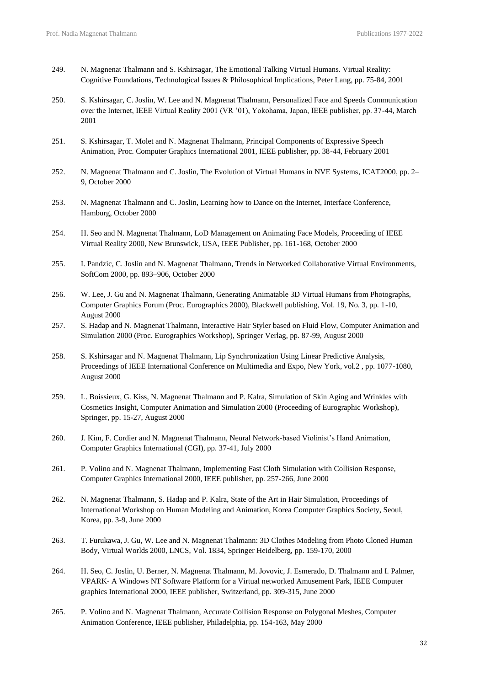- 249. N. Magnenat Thalmann and S. Kshirsagar, The Emotional Talking Virtual Humans. Virtual Reality: Cognitive Foundations, Technological Issues & Philosophical Implications, Peter Lang, pp. 75-84, 2001
- 250. S. Kshirsagar, C. Joslin, W. Lee and N. Magnenat Thalmann, Personalized Face and Speeds Communication over the Internet, IEEE Virtual Reality 2001 (VR '01), Yokohama, Japan, IEEE publisher, pp. 37-44, March 2001
- 251. S. Kshirsagar, T. Molet and N. Magnenat Thalmann, Principal Components of Expressive Speech Animation, Proc. Computer Graphics International 2001, IEEE publisher, pp. 38-44, February 2001
- 252. N. Magnenat Thalmann and C. Joslin, The Evolution of Virtual Humans in NVE Systems, ICAT2000, pp. 2– 9, October 2000
- 253. N. Magnenat Thalmann and C. Joslin, Learning how to Dance on the Internet, Interface Conference, Hamburg, October 2000
- 254. H. Seo and N. Magnenat Thalmann, LoD Management on Animating Face Models, Proceeding of IEEE Virtual Reality 2000, New Brunswick, USA, IEEE Publisher, pp. 161-168, October 2000
- 255. I. Pandzic, C. Joslin and N. Magnenat Thalmann, Trends in Networked Collaborative Virtual Environments, SoftCom 2000, pp. 893–906, October 2000
- 256. W. Lee, J. Gu and N. Magnenat Thalmann, Generating Animatable 3D Virtual Humans from Photographs, Computer Graphics Forum (Proc. Eurographics 2000), Blackwell publishing, Vol. 19, No. 3, pp. 1-10, August 2000
- 257. S. Hadap and N. Magnenat Thalmann, Interactive Hair Styler based on Fluid Flow, Computer Animation and Simulation 2000 (Proc. Eurographics Workshop), Springer Verlag, pp. 87-99, August 2000
- 258. S. Kshirsagar and N. Magnenat Thalmann, Lip Synchronization Using Linear Predictive Analysis, Proceedings of IEEE International Conference on Multimedia and Expo, New York, vol.2 , pp. 1077-1080, August 2000
- 259. L. Boissieux, G. Kiss, N. Magnenat Thalmann and P. Kalra, Simulation of Skin Aging and Wrinkles with Cosmetics Insight, Computer Animation and Simulation 2000 (Proceeding of Eurographic Workshop), Springer, pp. 15-27, August 2000
- 260. J. Kim, F. Cordier and N. Magnenat Thalmann, Neural Network-based Violinist's Hand Animation, Computer Graphics International (CGI), pp. 37-41, July 2000
- 261. P. Volino and N. Magnenat Thalmann, Implementing Fast Cloth Simulation with Collision Response, Computer Graphics International 2000, IEEE publisher, pp. 257-266, June 2000
- 262. N. Magnenat Thalmann, S. Hadap and P. Kalra, State of the Art in Hair Simulation, Proceedings of International Workshop on Human Modeling and Animation, Korea Computer Graphics Society, Seoul, Korea, pp. 3-9, June 2000
- 263. T. Furukawa, J. Gu, W. Lee and N. Magnenat Thalmann: 3D Clothes Modeling from Photo Cloned Human Body, Virtual Worlds 2000, LNCS, Vol. 1834, Springer Heidelberg, pp. 159-170, 2000
- 264. H. Seo, C. Joslin, U. Berner, N. Magnenat Thalmann, M. Jovovic, J. Esmerado, D. Thalmann and I. Palmer, VPARK- A Windows NT Software Platform for a Virtual networked Amusement Park, IEEE Computer graphics International 2000, IEEE publisher, Switzerland, pp. 309-315, June 2000
- 265. P. Volino and N. Magnenat Thalmann, Accurate Collision Response on Polygonal Meshes, Computer Animation Conference, IEEE publisher, Philadelphia, pp. 154-163, May 2000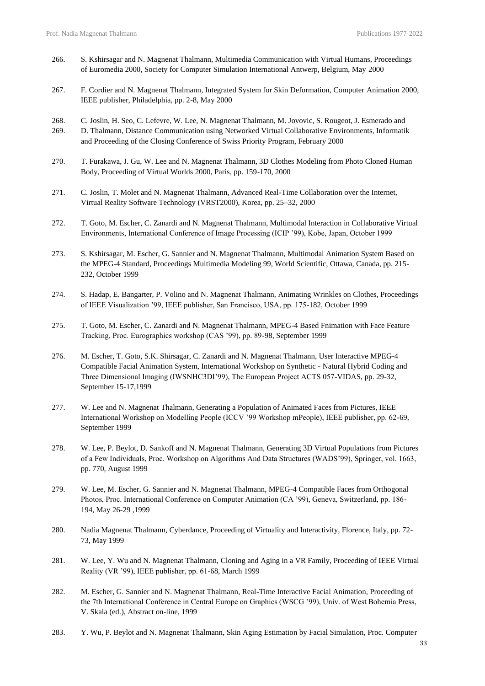- 266. S. Kshirsagar and N. Magnenat Thalmann, Multimedia Communication with Virtual Humans, Proceedings of Euromedia 2000, Society for Computer Simulation International Antwerp, Belgium, May 2000
- 267. F. Cordier and N. Magnenat Thalmann, Integrated System for Skin Deformation, Computer Animation 2000, IEEE publisher, Philadelphia, pp. 2-8, May 2000
- 268. C. Joslin, H. Seo, C. Lefevre, W. Lee, N. Magnenat Thalmann, M. Jovovic, S. Rougeot, J. Esmerado and
- 269. D. Thalmann, Distance Communication using Networked Virtual Collaborative Environments, Informatik and Proceeding of the Closing Conference of Swiss Priority Program, February 2000
- 270. T. Furakawa, J. Gu, W. Lee and N. Magnenat Thalmann, 3D Clothes Modeling from Photo Cloned Human Body, Proceeding of Virtual Worlds 2000, Paris, pp. 159-170, 2000
- 271. C. Joslin, T. Molet and N. Magnenat Thalmann, Advanced Real-Time Collaboration over the Internet, Virtual Reality Software Technology (VRST2000), Korea, pp. 25–32, 2000
- 272. T. Goto, M. Escher, C. Zanardi and N. Magnenat Thalmann, Multimodal Interaction in Collaborative Virtual Environments, International Conference of Image Processing (ICIP '99), Kobe, Japan, October 1999
- 273. S. Kshirsagar, M. Escher, G. Sannier and N. Magnenat Thalmann, Multimodal Animation System Based on the MPEG-4 Standard, Proceedings Multimedia Modeling 99, World Scientific, Ottawa, Canada, pp. 215- 232, October 1999
- 274. S. Hadap, E. Bangarter, P. Volino and N. Magnenat Thalmann, Animating Wrinkles on Clothes, Proceedings of IEEE Visualization '99, IEEE publisher, San Francisco, USA, pp. 175-182, October 1999
- 275. T. Goto, M. Escher, C. Zanardi and N. Magnenat Thalmann, MPEG-4 Based Fnimation with Face Feature Tracking, Proc. Eurographics workshop (CAS '99), pp. 89-98, September 1999
- 276. M. Escher, T. Goto, S.K. Shirsagar, C. Zanardi and N. Magnenat Thalmann, User Interactive MPEG-4 Compatible Facial Animation System, International Workshop on Synthetic - Natural Hybrid Coding and Three Dimensional Imaging (IWSNHC3DI'99), The European Project ACTS 057-VIDAS, pp. 29-32, September 15-17,1999
- 277. W. Lee and N. Magnenat Thalmann, Generating a Population of Animated Faces from Pictures, IEEE International Workshop on Modelling People (ICCV '99 Workshop mPeople), IEEE publisher, pp. 62-69, September 1999
- 278. W. Lee, P. Beylot, D. Sankoff and N. Magnenat Thalmann, Generating 3D Virtual Populations from Pictures of a Few Individuals, Proc. Workshop on Algorithms And Data Structures (WADS'99), Springer, vol. 1663, pp. 770, August 1999
- 279. W. Lee, M. Escher, G. Sannier and N. Magnenat Thalmann, MPEG-4 Compatible Faces from Orthogonal Photos, Proc. International Conference on Computer Animation (CA '99), Geneva, Switzerland, pp. 186- 194, May 26-29 ,1999
- 280. Nadia Magnenat Thalmann, Cyberdance, Proceeding of Virtuality and Interactivity, Florence, Italy, pp. 72- 73, May 1999
- 281. W. Lee, Y. Wu and N. Magnenat Thalmann, Cloning and Aging in a VR Family, Proceeding of IEEE Virtual Reality (VR '99), IEEE publisher, pp. 61-68, March 1999
- 282. M. Escher, G. Sannier and N. Magnenat Thalmann, Real-Time Interactive Facial Animation, Proceeding of the 7th International Conference in Central Europe on Graphics (WSCG '99), Univ. of West Bohemia Press, V. Skala (ed.), Abstract on-line, 1999
- 283. Y. Wu, P. Beylot and N. Magnenat Thalmann, Skin Aging Estimation by Facial Simulation, Proc. Computer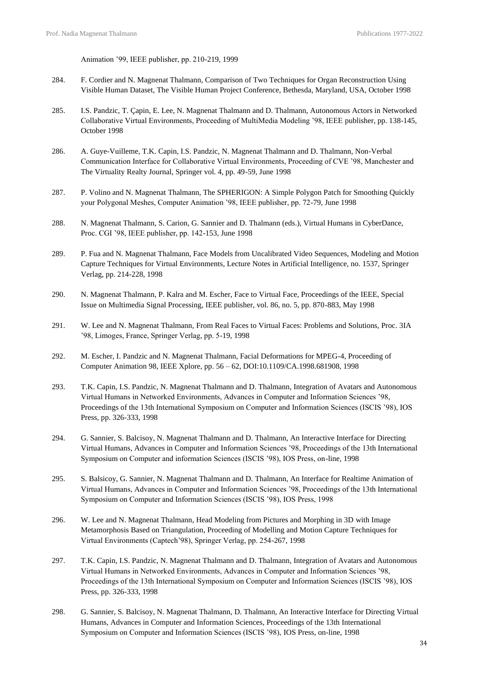Animation '99, IEEE publisher, pp. 210-219, 1999

- 284. F. Cordier and N. Magnenat Thalmann, Comparison of Two Techniques for Organ Reconstruction Using Visible Human Dataset, The Visible Human Project Conference, Bethesda, Maryland, USA, October 1998
- 285. I.S. Pandzic, T. Çapin, E. Lee, N. Magnenat Thalmann and D. Thalmann, Autonomous Actors in Networked Collaborative Virtual Environments, Proceeding of MultiMedia Modeling '98, IEEE publisher, pp. 138-145, October 1998
- 286. A. Guye-Vuilleme, T.K. Capin, I.S. Pandzic, N. Magnenat Thalmann and D. Thalmann, Non-Verbal Communication Interface for Collaborative Virtual Environments, Proceeding of CVE '98, Manchester and The Virtuality Realty Journal, Springer vol. 4, pp. 49-59, June 1998
- 287. P. Volino and N. Magnenat Thalmann, The SPHERIGON: A Simple Polygon Patch for Smoothing Quickly your Polygonal Meshes, Computer Animation '98, IEEE publisher, pp. 72-79, June 1998
- 288. N. Magnenat Thalmann, S. Carion, G. Sannier and D. Thalmann (eds.), Virtual Humans in CyberDance, Proc. CGI '98, IEEE publisher, pp. 142-153, June 1998
- 289. P. Fua and N. Magnenat Thalmann, Face Models from Uncalibrated Video Sequences, Modeling and Motion Capture Techniques for Virtual Environments, Lecture Notes in Artificial Intelligence, no. 1537, Springer Verlag, pp. 214-228, 1998
- 290. N. Magnenat Thalmann, P. Kalra and M. Escher, Face to Virtual Face, Proceedings of the IEEE, Special Issue on Multimedia Signal Processing, IEEE publisher, vol. 86, no. 5, pp. 870-883, May 1998
- 291. W. Lee and N. Magnenat Thalmann, From Real Faces to Virtual Faces: Problems and Solutions, Proc. 3IA '98, Limoges, France, Springer Verlag, pp. 5-19, 1998
- 292. M. Escher, I. Pandzic and N. Magnenat Thalmann, Facial Deformations for MPEG-4, Proceeding of Computer Animation 98, IEEE Xplore, pp. 56 – 62, DOI:10.1109/CA.1998.681908, 1998
- 293. T.K. Capin, I.S. Pandzic, N. Magnenat Thalmann and D. Thalmann, Integration of Avatars and Autonomous Virtual Humans in Networked Environments, Advances in Computer and Information Sciences '98, Proceedings of the 13th International Symposium on Computer and Information Sciences (ISCIS '98), IOS Press, pp. 326-333, 1998
- 294. G. Sannier, S. Balcisoy, N. Magnenat Thalmann and D. Thalmann, An Interactive Interface for Directing Virtual Humans, Advances in Computer and Information Sciences '98, Proceedings of the 13th International Symposium on Computer and information Sciences (ISCIS '98), IOS Press, on-line, 1998
- 295. S. Balsicoy, G. Sannier, N. Magnenat Thalmann and D. Thalmann, An Interface for Realtime Animation of Virtual Humans, Advances in Computer and Information Sciences '98, Proceedings of the 13th International Symposium on Computer and Information Sciences (ISCIS '98), IOS Press, 1998
- 296. W. Lee and N. Magnenat Thalmann, Head Modeling from Pictures and Morphing in 3D with Image Metamorphosis Based on Triangulation, Proceeding of Modelling and Motion Capture Techniques for Virtual Environments (Captech'98), Springer Verlag, pp. 254-267, 1998
- 297. T.K. Capin, I.S. Pandzic, N. Magnenat Thalmann and D. Thalmann, Integration of Avatars and Autonomous Virtual Humans in Networked Environments, Advances in Computer and Information Sciences '98, Proceedings of the 13th International Symposium on Computer and Information Sciences (ISCIS '98), IOS Press, pp. 326-333, 1998
- 298. G. Sannier, S. Balcisoy, N. Magnenat Thalmann, D. Thalmann, An Interactive Interface for Directing Virtual Humans, Advances in Computer and Information Sciences, Proceedings of the 13th International Symposium on Computer and Information Sciences (ISCIS '98), IOS Press, on-line, 1998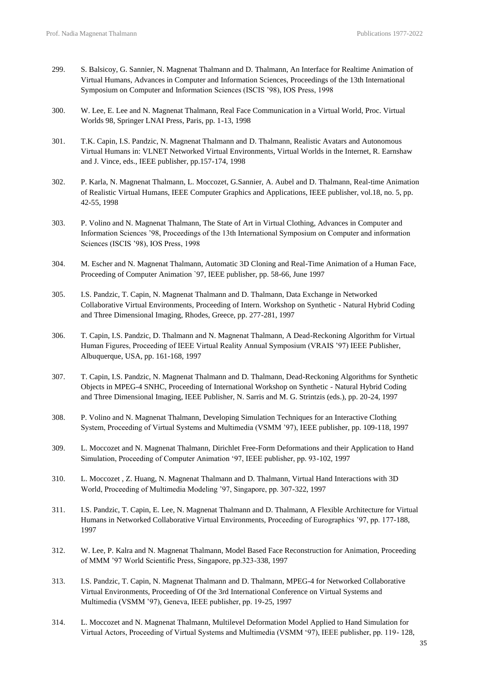- 299. S. Balsicoy, G. Sannier, N. Magnenat Thalmann and D. Thalmann, An Interface for Realtime Animation of Virtual Humans, Advances in Computer and Information Sciences, Proceedings of the 13th International Symposium on Computer and Information Sciences (ISCIS '98), IOS Press, 1998
- 300. W. Lee, E. Lee and N. Magnenat Thalmann, Real Face Communication in a Virtual World, Proc. Virtual Worlds 98, Springer LNAI Press, Paris, pp. 1-13, 1998
- 301. T.K. Capin, I.S. Pandzic, N. Magnenat Thalmann and D. Thalmann, Realistic Avatars and Autonomous Virtual Humans in: VLNET Networked Virtual Environments, Virtual Worlds in the Internet, R. Earnshaw and J. Vince, eds., IEEE publisher, pp.157-174, 1998
- 302. P. Karla, N. Magnenat Thalmann, L. Moccozet, G.Sannier, A. Aubel and D. Thalmann, Real-time Animation of Realistic Virtual Humans, IEEE Computer Graphics and Applications, IEEE publisher, vol.18, no. 5, pp. 42-55, 1998
- 303. P. Volino and N. Magnenat Thalmann, The State of Art in Virtual Clothing, Advances in Computer and Information Sciences '98, Proceedings of the 13th International Symposium on Computer and information Sciences (ISCIS '98), IOS Press, 1998
- 304. M. Escher and N. Magnenat Thalmann, Automatic 3D Cloning and Real-Time Animation of a Human Face, Proceeding of Computer Animation `97, IEEE publisher, pp. 58-66, June 1997
- 305. I.S. Pandzic, T. Capin, N. Magnenat Thalmann and D. Thalmann, Data Exchange in Networked Collaborative Virtual Environments, Proceeding of Intern. Workshop on Synthetic - Natural Hybrid Coding and Three Dimensional Imaging, Rhodes, Greece, pp. 277-281, 1997
- 306. T. Capin, I.S. Pandzic, D. Thalmann and N. Magnenat Thalmann, A Dead-Reckoning Algorithm for Virtual Human Figures, Proceeding of IEEE Virtual Reality Annual Symposium (VRAIS '97) IEEE Publisher, Albuquerque, USA, pp. 161-168, 1997
- 307. T. Capin, I.S. Pandzic, N. Magnenat Thalmann and D. Thalmann, Dead-Reckoning Algorithms for Synthetic Objects in MPEG-4 SNHC, Proceeding of International Workshop on Synthetic - Natural Hybrid Coding and Three Dimensional Imaging, IEEE Publisher, N. Sarris and M. G. Strintzis (eds.), pp. 20-24, 1997
- 308. P. Volino and N. Magnenat Thalmann, Developing Simulation Techniques for an Interactive Clothing System, Proceeding of Virtual Systems and Multimedia (VSMM '97), IEEE publisher, pp. 109-118, 1997
- 309. L. Moccozet and N. Magnenat Thalmann, Dirichlet Free-Form Deformations and their Application to Hand Simulation, Proceeding of Computer Animation '97, IEEE publisher, pp. 93-102, 1997
- 310. L. Moccozet , Z. Huang, N. Magnenat Thalmann and D. Thalmann, Virtual Hand Interactions with 3D World, Proceeding of Multimedia Modeling '97, Singapore, pp. 307-322, 1997
- 311. I.S. Pandzic, T. Capin, E. Lee, N. Magnenat Thalmann and D. Thalmann, A Flexible Architecture for Virtual Humans in Networked Collaborative Virtual Environments, Proceeding of Eurographics '97, pp. 177-188, 1997
- 312. W. Lee, P. Kalra and N. Magnenat Thalmann, Model Based Face Reconstruction for Animation, Proceeding of MMM '97 World Scientific Press, Singapore, pp.323-338, 1997
- 313. I.S. Pandzic, T. Capin, N. Magnenat Thalmann and D. Thalmann, MPEG-4 for Networked Collaborative Virtual Environments, Proceeding of Of the 3rd International Conference on Virtual Systems and Multimedia (VSMM '97), Geneva, IEEE publisher, pp. 19-25, 1997
- 314. L. Moccozet and N. Magnenat Thalmann, Multilevel Deformation Model Applied to Hand Simulation for Virtual Actors, Proceeding of Virtual Systems and Multimedia (VSMM '97), IEEE publisher, pp. 119- 128,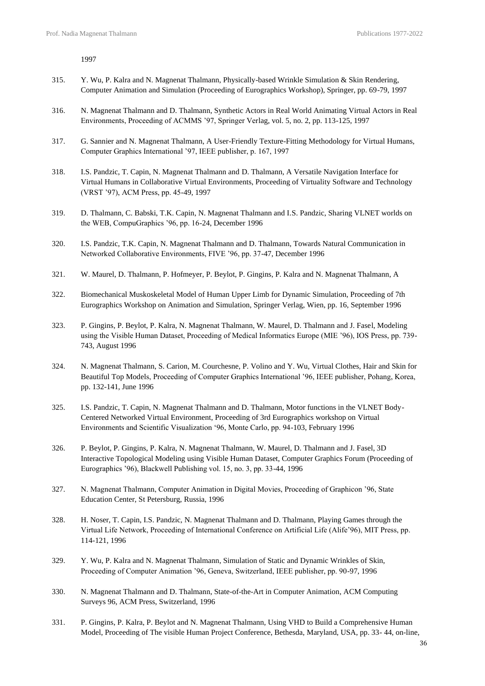1997

- 315. Y. Wu, P. Kalra and N. Magnenat Thalmann, Physically-based Wrinkle Simulation & Skin Rendering, Computer Animation and Simulation (Proceeding of Eurographics Workshop), Springer, pp. 69-79, 1997
- 316. N. Magnenat Thalmann and D. Thalmann, Synthetic Actors in Real World Animating Virtual Actors in Real Environments, Proceeding of ACMMS '97, Springer Verlag, vol. 5, no. 2, pp. 113-125, 1997
- 317. G. Sannier and N. Magnenat Thalmann, A User-Friendly Texture-Fitting Methodology for Virtual Humans, Computer Graphics International '97, IEEE publisher, p. 167, 1997
- 318. I.S. Pandzic, T. Capin, N. Magnenat Thalmann and D. Thalmann, A Versatile Navigation Interface for Virtual Humans in Collaborative Virtual Environments, Proceeding of Virtuality Software and Technology (VRST '97), ACM Press, pp. 45-49, 1997
- 319. D. Thalmann, C. Babski, T.K. Capin, N. Magnenat Thalmann and I.S. Pandzic, Sharing VLNET worlds on the WEB, CompuGraphics '96, pp. 16-24, December 1996
- 320. I.S. Pandzic, T.K. Capin, N. Magnenat Thalmann and D. Thalmann, Towards Natural Communication in Networked Collaborative Environments, FIVE '96, pp. 37-47, December 1996
- 321. W. Maurel, D. Thalmann, P. Hofmeyer, P. Beylot, P. Gingins, P. Kalra and N. Magnenat Thalmann, A
- 322. Biomechanical Muskoskeletal Model of Human Upper Limb for Dynamic Simulation, Proceeding of 7th Eurographics Workshop on Animation and Simulation, Springer Verlag, Wien, pp. 16, September 1996
- 323. P. Gingins, P. Beylot, P. Kalra, N. Magnenat Thalmann, W. Maurel, D. Thalmann and J. Fasel, Modeling using the Visible Human Dataset, Proceeding of Medical Informatics Europe (MIE '96), IOS Press, pp. 739- 743, August 1996
- 324. N. Magnenat Thalmann, S. Carion, M. Courchesne, P. Volino and Y. Wu, Virtual Clothes, Hair and Skin for Beautiful Top Models, Proceeding of Computer Graphics International '96, IEEE publisher, Pohang, Korea, pp. 132-141, June 1996
- 325. I.S. Pandzic, T. Capin, N. Magnenat Thalmann and D. Thalmann, Motor functions in the VLNET Body-Centered Networked Virtual Environment, Proceeding of 3rd Eurographics workshop on Virtual Environments and Scientific Visualization '96, Monte Carlo, pp. 94-103, February 1996
- 326. P. Beylot, P. Gingins, P. Kalra, N. Magnenat Thalmann, W. Maurel, D. Thalmann and J. Fasel, 3D Interactive Topological Modeling using Visible Human Dataset, Computer Graphics Forum (Proceeding of Eurographics '96), Blackwell Publishing vol. 15, no. 3, pp. 33-44, 1996
- 327. N. Magnenat Thalmann, Computer Animation in Digital Movies, Proceeding of Graphicon '96, State Education Center, St Petersburg, Russia, 1996
- 328. H. Noser, T. Capin, I.S. Pandzic, N. Magnenat Thalmann and D. Thalmann, Playing Games through the Virtual Life Network, Proceeding of International Conference on Artificial Life (Alife'96), MIT Press, pp. 114-121, 1996
- 329. Y. Wu, P. Kalra and N. Magnenat Thalmann, Simulation of Static and Dynamic Wrinkles of Skin, Proceeding of Computer Animation '96, Geneva, Switzerland, IEEE publisher, pp. 90-97, 1996
- 330. N. Magnenat Thalmann and D. Thalmann, State-of-the-Art in Computer Animation, ACM Computing Surveys 96, ACM Press, Switzerland, 1996
- 331. P. Gingins, P. Kalra, P. Beylot and N. Magnenat Thalmann, Using VHD to Build a Comprehensive Human Model, Proceeding of The visible Human Project Conference, Bethesda, Maryland, USA, pp. 33- 44, on-line,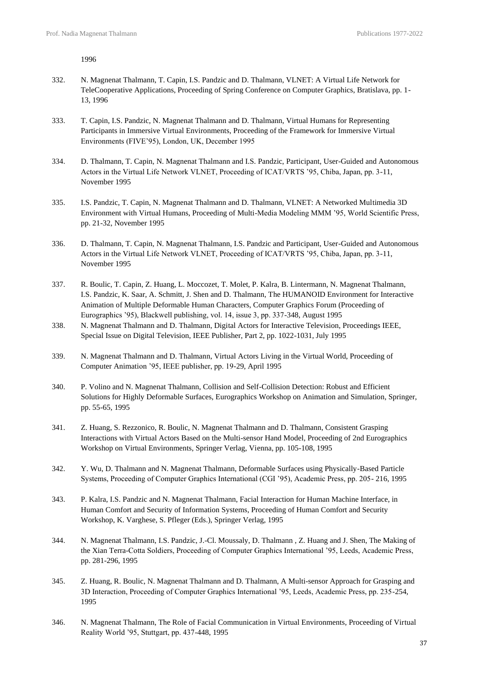1996

- 332. N. Magnenat Thalmann, T. Capin, I.S. Pandzic and D. Thalmann, VLNET: A Virtual Life Network for TeleCooperative Applications, Proceeding of Spring Conference on Computer Graphics, Bratislava, pp. 1- 13, 1996
- 333. T. Capin, I.S. Pandzic, N. Magnenat Thalmann and D. Thalmann, Virtual Humans for Representing Participants in Immersive Virtual Environments, Proceeding of the Framework for Immersive Virtual Environments (FIVE'95), London, UK, December 1995
- 334. D. Thalmann, T. Capin, N. Magnenat Thalmann and I.S. Pandzic, Participant, User-Guided and Autonomous Actors in the Virtual Life Network VLNET, Proceeding of ICAT/VRTS '95, Chiba, Japan, pp. 3-11, November 1995
- 335. I.S. Pandzic, T. Capin, N. Magnenat Thalmann and D. Thalmann, VLNET: A Networked Multimedia 3D Environment with Virtual Humans, Proceeding of Multi-Media Modeling MMM '95, World Scientific Press, pp. 21-32, November 1995
- 336. D. Thalmann, T. Capin, N. Magnenat Thalmann, I.S. Pandzic and Participant, User-Guided and Autonomous Actors in the Virtual Life Network VLNET, Proceeding of ICAT/VRTS '95, Chiba, Japan, pp. 3-11, November 1995
- 337. R. Boulic, T. Capin, Z. Huang, L. Moccozet, T. Molet, P. Kalra, B. Lintermann, N. Magnenat Thalmann, I.S. Pandzic, K. Saar, A. Schmitt, J. Shen and D. Thalmann, The HUMANOID Environment for Interactive Animation of Multiple Deformable Human Characters, Computer Graphics Forum (Proceeding of Eurographics '95), Blackwell publishing, vol. 14, issue 3, pp. 337-348, August 1995
- 338. N. Magnenat Thalmann and D. Thalmann, Digital Actors for Interactive Television, Proceedings IEEE, Special Issue on Digital Television, IEEE Publisher, Part 2, pp. 1022-1031, July 1995
- 339. N. Magnenat Thalmann and D. Thalmann, Virtual Actors Living in the Virtual World, Proceeding of Computer Animation '95, IEEE publisher, pp. 19-29, April 1995
- 340. P. Volino and N. Magnenat Thalmann, Collision and Self-Collision Detection: Robust and Efficient Solutions for Highly Deformable Surfaces, Eurographics Workshop on Animation and Simulation, Springer, pp. 55-65, 1995
- 341. Z. Huang, S. Rezzonico, R. Boulic, N. Magnenat Thalmann and D. Thalmann, Consistent Grasping Interactions with Virtual Actors Based on the Multi-sensor Hand Model, Proceeding of 2nd Eurographics Workshop on Virtual Environments, Springer Verlag, Vienna, pp. 105-108, 1995
- 342. Y. Wu, D. Thalmann and N. Magnenat Thalmann, Deformable Surfaces using Physically-Based Particle Systems, Proceeding of Computer Graphics International (CGI '95), Academic Press, pp. 205- 216, 1995
- 343. P. Kalra, I.S. Pandzic and N. Magnenat Thalmann, Facial Interaction for Human Machine Interface, in Human Comfort and Security of Information Systems, Proceeding of Human Comfort and Security Workshop, K. Varghese, S. Pfleger (Eds.), Springer Verlag, 1995
- 344. N. Magnenat Thalmann, I.S. Pandzic, J.-Cl. Moussaly, D. Thalmann , Z. Huang and J. Shen, The Making of the Xian Terra-Cotta Soldiers, Proceeding of Computer Graphics International '95, Leeds, Academic Press, pp. 281-296, 1995
- 345. Z. Huang, R. Boulic, N. Magnenat Thalmann and D. Thalmann, A Multi-sensor Approach for Grasping and 3D Interaction, Proceeding of Computer Graphics International '95, Leeds, Academic Press, pp. 235-254, 1995
- 346. N. Magnenat Thalmann, The Role of Facial Communication in Virtual Environments, Proceeding of Virtual Reality World '95, Stuttgart, pp. 437-448, 1995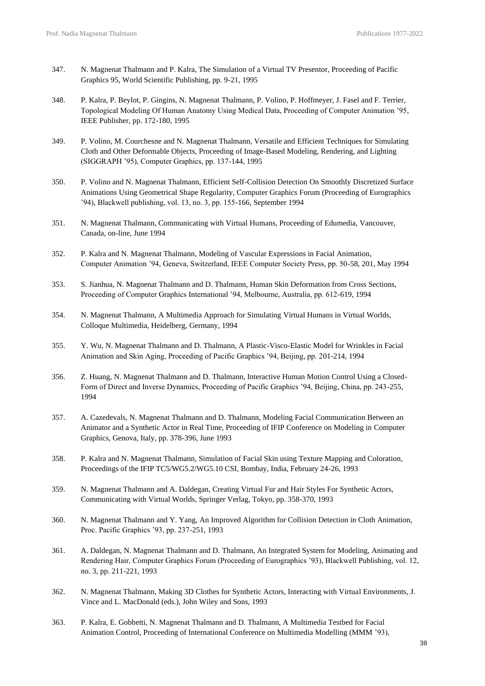- 347. N. Magnenat Thalmann and P. Kalra, The Simulation of a Virtual TV Presentor, Proceeding of Pacific Graphics 95, World Scientific Publishing, pp. 9-21, 1995
- 348. P. Kalra, P. Beylot, P. Gingins, N. Magnenat Thalmann, P. Volino, P. Hoffmeyer, J. Fasel and F. Terrier, Topological Modeling Of Human Anatomy Using Medical Data, Proceeding of Computer Animation '95, IEEE Publisher, pp. 172-180, 1995
- 349. P. Volino, M. Courchesne and N. Magnenat Thalmann, Versatile and Efficient Techniques for Simulating Cloth and Other Deformable Objects, Proceeding of Image-Based Modeling, Rendering, and Lighting (SIGGRAPH '95), Computer Graphics, pp. 137-144, 1995
- 350. P. Volino and N. Magnenat Thalmann, Efficient Self-Collision Detection On Smoothly Discretized Surface Animations Using Geometrical Shape Regularity, Computer Graphics Forum (Proceeding of Eurographics '94), Blackwell publishing, vol. 13, no. 3, pp. 155-166, September 1994
- 351. N. Magnenat Thalmann, Communicating with Virtual Humans, Proceeding of Edumedia, Vancouver, Canada, on-line, June 1994
- 352. P. Kalra and N. Magnenat Thalmann, Modeling of Vascular Expressions in Facial Animation, Computer Animation '94, Geneva, Switzerland, IEEE Computer Society Press, pp. 50-58, 201, May 1994
- 353. S. Jianhua, N. Magnenat Thalmann and D. Thalmann, Human Skin Deformation from Cross Sections, Proceeding of Computer Graphics International '94, Melbourne, Australia, pp. 612-619, 1994
- 354. N. Magnenat Thalmann, A Multimedia Approach for Simulating Virtual Humans in Virtual Worlds, Colloque Multimedia, Heidelberg, Germany, 1994
- 355. Y. Wu, N. Magnenat Thalmann and D. Thalmann, A Plastic-Visco-Elastic Model for Wrinkles in Facial Animation and Skin Aging, Proceeding of Pacific Graphics '94, Beijing, pp. 201-214, 1994
- 356. Z. Huang, N. Magnenat Thalmann and D. Thalmann, Interactive Human Motion Control Using a Closed-Form of Direct and Inverse Dynamics, Proceeding of Pacific Graphics '94, Beijing, China, pp. 243-255, 1994
- 357. A. Cazedevals, N. Magnenat Thalmann and D. Thalmann, Modeling Facial Communication Between an Animator and a Synthetic Actor in Real Time, Proceeding of IFIP Conference on Modeling in Computer Graphics, Genova, Italy, pp. 378-396, June 1993
- 358. P. Kalra and N. Magnenat Thalmann, Simulation of Facial Skin using Texture Mapping and Coloration, Proceedings of the IFIP TC5/WG5.2/WG5.10 CSI, Bombay, India, February 24-26, 1993
- 359. N. Magnenat Thalmann and A. Daldegan, Creating Virtual Fur and Hair Styles For Synthetic Actors, Communicating with Virtual Worlds, Springer Verlag, Tokyo, pp. 358-370, 1993
- 360. N. Magnenat Thalmann and Y. Yang, An Improved Algorithm for Collision Detection in Cloth Animation, Proc. Pacific Graphics '93, pp. 237-251, 1993
- 361. A. Daldegan, N. Magnenat Thalmann and D. Thalmann, An Integrated System for Modeling, Animating and Rendering Hair, Computer Graphics Forum (Proceeding of Eurographics '93), Blackwell Publishing, vol. 12, no. 3, pp. 211-221, 1993
- 362. N. Magnenat Thalmann, Making 3D Clothes for Synthetic Actors, Interacting with Virtual Environments, J. Vince and L. MacDonald (eds.), John Wiley and Sons, 1993
- 363. P. Kalra, E. Gobbetti, N. Magnenat Thalmann and D. Thalmann, A Multimedia Testbed for Facial Animation Control, Proceeding of International Conference on Multimedia Modelling (MMM '93),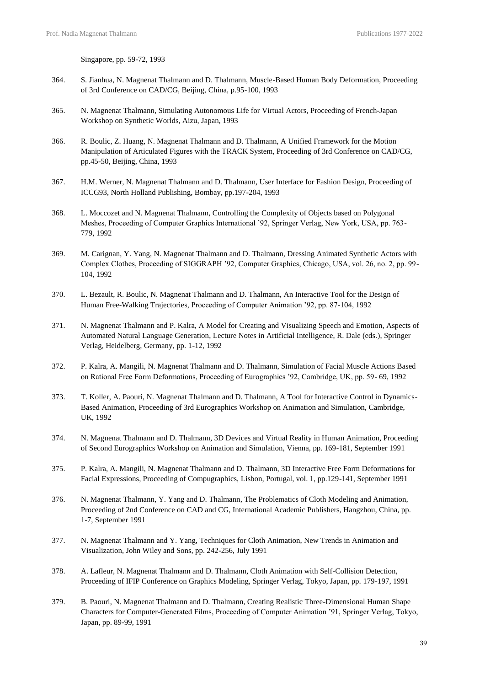Singapore, pp. 59-72, 1993

- 364. S. Jianhua, N. Magnenat Thalmann and D. Thalmann, Muscle-Based Human Body Deformation, Proceeding of 3rd Conference on CAD/CG, Beijing, China, p.95-100, 1993
- 365. N. Magnenat Thalmann, Simulating Autonomous Life for Virtual Actors, Proceeding of French-Japan Workshop on Synthetic Worlds, Aizu, Japan, 1993
- 366. R. Boulic, Z. Huang, N. Magnenat Thalmann and D. Thalmann, A Unified Framework for the Motion Manipulation of Articulated Figures with the TRACK System, Proceeding of 3rd Conference on CAD/CG, pp.45-50, Beijing, China, 1993
- 367. H.M. Werner, N. Magnenat Thalmann and D. Thalmann, User Interface for Fashion Design, Proceeding of ICCG93, North Holland Publishing, Bombay, pp.197-204, 1993
- 368. L. Moccozet and N. Magnenat Thalmann, Controlling the Complexity of Objects based on Polygonal Meshes, Proceeding of Computer Graphics International '92, Springer Verlag, New York, USA, pp. 763- 779, 1992
- 369. M. Carignan, Y. Yang, N. Magnenat Thalmann and D. Thalmann, Dressing Animated Synthetic Actors with Complex Clothes, Proceeding of SIGGRAPH '92, Computer Graphics, Chicago, USA, vol. 26, no. 2, pp. 99- 104, 1992
- 370. L. Bezault, R. Boulic, N. Magnenat Thalmann and D. Thalmann, An Interactive Tool for the Design of Human Free-Walking Trajectories, Proceeding of Computer Animation '92, pp. 87-104, 1992
- 371. N. Magnenat Thalmann and P. Kalra, A Model for Creating and Visualizing Speech and Emotion, Aspects of Automated Natural Language Generation, Lecture Notes in Artificial Intelligence, R. Dale (eds.), Springer Verlag, Heidelberg, Germany, pp. 1-12, 1992
- 372. P. Kalra, A. Mangili, N. Magnenat Thalmann and D. Thalmann, Simulation of Facial Muscle Actions Based on Rational Free Form Deformations, Proceeding of Eurographics '92, Cambridge, UK, pp. 59- 69, 1992
- 373. T. Koller, A. Paouri, N. Magnenat Thalmann and D. Thalmann, A Tool for Interactive Control in Dynamics-Based Animation, Proceeding of 3rd Eurographics Workshop on Animation and Simulation, Cambridge, UK, 1992
- 374. N. Magnenat Thalmann and D. Thalmann, 3D Devices and Virtual Reality in Human Animation, Proceeding of Second Eurographics Workshop on Animation and Simulation, Vienna, pp. 169-181, September 1991
- 375. P. Kalra, A. Mangili, N. Magnenat Thalmann and D. Thalmann, 3D Interactive Free Form Deformations for Facial Expressions, Proceeding of Compugraphics, Lisbon, Portugal, vol. 1, pp.129-141, September 1991
- 376. N. Magnenat Thalmann, Y. Yang and D. Thalmann, The Problematics of Cloth Modeling and Animation, Proceeding of 2nd Conference on CAD and CG, International Academic Publishers, Hangzhou, China, pp. 1-7, September 1991
- 377. N. Magnenat Thalmann and Y. Yang, Techniques for Cloth Animation, New Trends in Animation and Visualization, John Wiley and Sons, pp. 242-256, July 1991
- 378. A. Lafleur, N. Magnenat Thalmann and D. Thalmann, Cloth Animation with Self-Collision Detection, Proceeding of IFIP Conference on Graphics Modeling, Springer Verlag, Tokyo, Japan, pp. 179-197, 1991
- 379. B. Paouri, N. Magnenat Thalmann and D. Thalmann, Creating Realistic Three-Dimensional Human Shape Characters for Computer-Generated Films, Proceeding of Computer Animation '91, Springer Verlag, Tokyo, Japan, pp. 89-99, 1991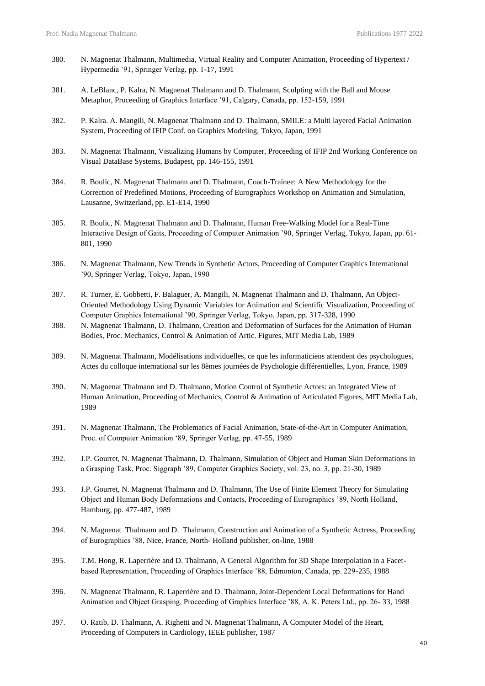- 380. N. Magnenat Thalmann, Multimedia, Virtual Reality and Computer Animation, Proceeding of Hypertext / Hypermedia '91, Springer Verlag, pp. 1-17, 1991
- 381. A. LeBlanc, P. Kalra, N. Magnenat Thalmann and D. Thalmann, Sculpting with the Ball and Mouse Metaphor, Proceeding of Graphics Interface '91, Calgary, Canada, pp. 152-159, 1991
- 382. P. Kalra. A. Mangili, N. Magnenat Thalmann and D. Thalmann, SMILE: a Multi layered Facial Animation System, Proceeding of IFIP Conf. on Graphics Modeling, Tokyo, Japan, 1991
- 383. N. Magnenat Thalmann, Visualizing Humans by Computer, Proceeding of IFIP 2nd Working Conference on Visual DataBase Systems, Budapest, pp. 146-155, 1991
- 384. R. Boulic, N. Magnenat Thalmann and D. Thalmann, Coach-Trainee: A New Methodology for the Correction of Predefined Motions, Proceeding of Eurographics Workshop on Animation and Simulation, Lausanne, Switzerland, pp. E1-E14, 1990
- 385. R. Boulic, N. Magnenat Thalmann and D. Thalmann, Human Free-Walking Model for a Real-Time Interactive Design of Gaits, Proceeding of Computer Animation '90, Springer Verlag, Tokyo, Japan, pp. 61- 801, 1990
- 386. N. Magnenat Thalmann, New Trends in Synthetic Actors, Proceeding of Computer Graphics International '90, Springer Verlag, Tokyo, Japan, 1990
- 387. R. Turner, E. Gobbetti, F. Balaguer, A. Mangili, N. Magnenat Thalmann and D. Thalmann, An Object-Oriented Methodology Using Dynamic Variables for Animation and Scientific Visualization, Proceeding of Computer Graphics International '90, Springer Verlag, Tokyo, Japan, pp. 317-328, 1990
- 388. N. Magnenat Thalmann, D. Thalmann, Creation and Deformation of Surfaces for the Animation of Human Bodies, Proc. Mechanics, Control & Animation of Artic. Figures, MIT Media Lab, 1989
- 389. N. Magnenat Thalmann, Modélisations individuelles, ce que les informaticiens attendent des psychologues, Actes du colloque international sur les 8èmes journées de Psychologie différentielles, Lyon, France, 1989
- 390. N. Magnenat Thalmann and D. Thalmann, Motion Control of Synthetic Actors: an Integrated View of Human Animation, Proceeding of Mechanics, Control & Animation of Articulated Figures, MIT Media Lab, 1989
- 391. N. Magnenat Thalmann, The Problematics of Facial Animation, State-of-the-Art in Computer Animation, Proc. of Computer Animation '89, Springer Verlag, pp. 47-55, 1989
- 392. J.P. Gourret, N. Magnenat Thalmann, D. Thalmann, Simulation of Object and Human Skin Deformations in a Grasping Task, Proc. Siggraph '89, Computer Graphics Society, vol. 23, no. 3, pp. 21-30, 1989
- 393. J.P. Gourret, N. Magnenat Thalmann and D. Thalmann, The Use of Finite Element Theory for Simulating Object and Human Body Deformations and Contacts, Proceeding of Eurographics '89, North Holland, Hamburg, pp. 477-487, 1989
- 394. N. Magnenat Thalmann and D. Thalmann, Construction and Animation of a Synthetic Actress, Proceeding of Eurographics '88, Nice, France, North- Holland publisher, on-line, 1988
- 395. T.M. Hong, R. Laperrière and D. Thalmann, A General Algorithm for 3D Shape Interpolation in a Facetbased Representation, Proceeding of Graphics Interface '88, Edmonton, Canada, pp. 229-235, 1988
- 396. N. Magnenat Thalmann, R. Laperrière and D. Thalmann, Joint-Dependent Local Deformations for Hand Animation and Object Grasping, Proceeding of Graphics Interface '88, A. K. Peters Ltd., pp. 26- 33, 1988
- 397. O. Ratib, D. Thalmann, A. Righetti and N. Magnenat Thalmann, A Computer Model of the Heart, Proceeding of Computers in Cardiology, IEEE publisher, 1987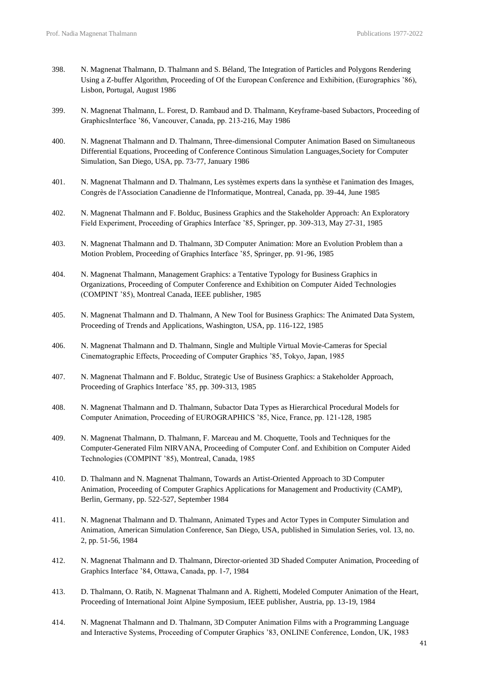- 398. N. Magnenat Thalmann, D. Thalmann and S. Béland, The Integration of Particles and Polygons Rendering Using a Z-buffer Algorithm, Proceeding of Of the European Conference and Exhibition, (Eurographics '86), Lisbon, Portugal, August 1986
- 399. N. Magnenat Thalmann, L. Forest, D. Rambaud and D. Thalmann, Keyframe-based Subactors, Proceeding of GraphicsInterface '86, Vancouver, Canada, pp. 213-216, May 1986
- 400. N. Magnenat Thalmann and D. Thalmann, Three-dimensional Computer Animation Based on Simultaneous Differential Equations, Proceeding of Conference Continous Simulation Languages,Society for Computer Simulation, San Diego, USA, pp. 73-77, January 1986
- 401. N. Magnenat Thalmann and D. Thalmann, Les systèmes experts dans la synthèse et l'animation des Images, Congrès de l'Association Canadienne de l'Informatique, Montreal, Canada, pp. 39-44, June 1985
- 402. N. Magnenat Thalmann and F. Bolduc, Business Graphics and the Stakeholder Approach: An Exploratory Field Experiment, Proceeding of Graphics Interface '85, Springer, pp. 309-313, May 27-31, 1985
- 403. N. Magnenat Thalmann and D. Thalmann, 3D Computer Animation: More an Evolution Problem than a Motion Problem, Proceeding of Graphics Interface '85, Springer, pp. 91-96, 1985
- 404. N. Magnenat Thalmann, Management Graphics: a Tentative Typology for Business Graphics in Organizations, Proceeding of Computer Conference and Exhibition on Computer Aided Technologies (COMPINT '85), Montreal Canada, IEEE publisher, 1985
- 405. N. Magnenat Thalmann and D. Thalmann, A New Tool for Business Graphics: The Animated Data System, Proceeding of Trends and Applications, Washington, USA, pp. 116-122, 1985
- 406. N. Magnenat Thalmann and D. Thalmann, Single and Multiple Virtual Movie-Cameras for Special Cinematographic Effects, Proceeding of Computer Graphics '85, Tokyo, Japan, 1985
- 407. N. Magnenat Thalmann and F. Bolduc, Strategic Use of Business Graphics: a Stakeholder Approach, Proceeding of Graphics Interface '85, pp. 309-313, 1985
- 408. N. Magnenat Thalmann and D. Thalmann, Subactor Data Types as Hierarchical Procedural Models for Computer Animation, Proceeding of EUROGRAPHICS '85, Nice, France, pp. 121-128, 1985
- 409. N. Magnenat Thalmann, D. Thalmann, F. Marceau and M. Choquette, Tools and Techniques for the Computer-Generated Film NIRVANA, Proceeding of Computer Conf. and Exhibition on Computer Aided Technologies (COMPINT '85), Montreal, Canada, 1985
- 410. D. Thalmann and N. Magnenat Thalmann, Towards an Artist-Oriented Approach to 3D Computer Animation, Proceeding of Computer Graphics Applications for Management and Productivity (CAMP), Berlin, Germany, pp. 522-527, September 1984
- 411. N. Magnenat Thalmann and D. Thalmann, Animated Types and Actor Types in Computer Simulation and Animation, American Simulation Conference, San Diego, USA, published in Simulation Series, vol. 13, no. 2, pp. 51-56, 1984
- 412. N. Magnenat Thalmann and D. Thalmann, Director-oriented 3D Shaded Computer Animation, Proceeding of Graphics Interface '84, Ottawa, Canada, pp. 1-7, 1984
- 413. D. Thalmann, O. Ratib, N. Magnenat Thalmann and A. Righetti, Modeled Computer Animation of the Heart, Proceeding of International Joint Alpine Symposium, IEEE publisher, Austria, pp. 13-19, 1984
- 414. N. Magnenat Thalmann and D. Thalmann, 3D Computer Animation Films with a Programming Language and Interactive Systems, Proceeding of Computer Graphics '83, ONLINE Conference, London, UK, 1983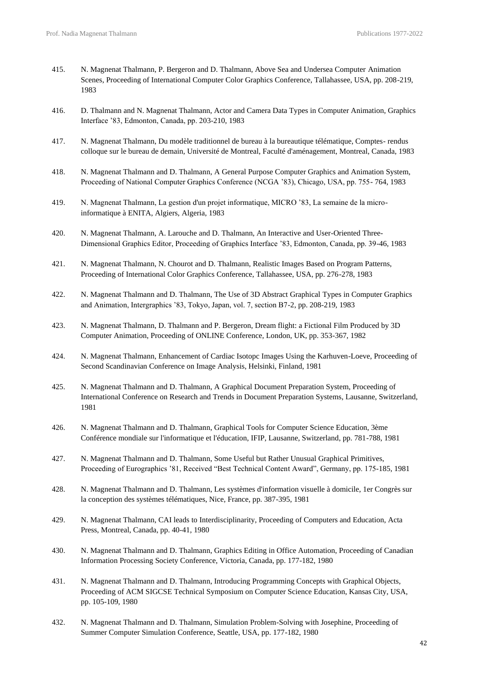- 415. N. Magnenat Thalmann, P. Bergeron and D. Thalmann, Above Sea and Undersea Computer Animation Scenes, Proceeding of International Computer Color Graphics Conference, Tallahassee, USA, pp. 208-219, 1983
- 416. D. Thalmann and N. Magnenat Thalmann, Actor and Camera Data Types in Computer Animation, Graphics Interface '83, Edmonton, Canada, pp. 203-210, 1983
- 417. N. Magnenat Thalmann, Du modèle traditionnel de bureau à la bureautique télématique, Comptes- rendus colloque sur le bureau de demain, Université de Montreal, Faculté d'aménagement, Montreal, Canada, 1983
- 418. N. Magnenat Thalmann and D. Thalmann, A General Purpose Computer Graphics and Animation System, Proceeding of National Computer Graphics Conference (NCGA '83), Chicago, USA, pp. 755- 764, 1983
- 419. N. Magnenat Thalmann, La gestion d'un projet informatique, MICRO '83, La semaine de la microinformatique à ENITA, Algiers, Algeria, 1983
- 420. N. Magnenat Thalmann, A. Larouche and D. Thalmann, An Interactive and User-Oriented Three-Dimensional Graphics Editor, Proceeding of Graphics Interface '83, Edmonton, Canada, pp. 39-46, 1983
- 421. N. Magnenat Thalmann, N. Chourot and D. Thalmann, Realistic Images Based on Program Patterns, Proceeding of International Color Graphics Conference, Tallahassee, USA, pp. 276-278, 1983
- 422. N. Magnenat Thalmann and D. Thalmann, The Use of 3D Abstract Graphical Types in Computer Graphics and Animation, Intergraphics '83, Tokyo, Japan, vol. 7, section B7-2, pp. 208-219, 1983
- 423. N. Magnenat Thalmann, D. Thalmann and P. Bergeron, Dream flight: a Fictional Film Produced by 3D Computer Animation, Proceeding of ONLINE Conference, London, UK, pp. 353-367, 1982
- 424. N. Magnenat Thalmann, Enhancement of Cardiac Isotopc Images Using the Karhuven-Loeve, Proceeding of Second Scandinavian Conference on Image Analysis, Helsinki, Finland, 1981
- 425. N. Magnenat Thalmann and D. Thalmann, A Graphical Document Preparation System, Proceeding of International Conference on Research and Trends in Document Preparation Systems, Lausanne, Switzerland, 1981
- 426. N. Magnenat Thalmann and D. Thalmann, Graphical Tools for Computer Science Education, 3ème Conférence mondiale sur l'informatique et l'éducation, IFIP, Lausanne, Switzerland, pp. 781-788, 1981
- 427. N. Magnenat Thalmann and D. Thalmann, Some Useful but Rather Unusual Graphical Primitives, Proceeding of Eurographics '81, Received "Best Technical Content Award", Germany, pp. 175-185, 1981
- 428. N. Magnenat Thalmann and D. Thalmann, Les systèmes d'information visuelle à domicile, 1er Congrès sur la conception des systèmes télématiques, Nice, France, pp. 387-395, 1981
- 429. N. Magnenat Thalmann, CAI leads to Interdisciplinarity, Proceeding of Computers and Education, Acta Press, Montreal, Canada, pp. 40-41, 1980
- 430. N. Magnenat Thalmann and D. Thalmann, Graphics Editing in Office Automation, Proceeding of Canadian Information Processing Society Conference, Victoria, Canada, pp. 177-182, 1980
- 431. N. Magnenat Thalmann and D. Thalmann, Introducing Programming Concepts with Graphical Objects, Proceeding of ACM SIGCSE Technical Symposium on Computer Science Education, Kansas City, USA, pp. 105-109, 1980
- 432. N. Magnenat Thalmann and D. Thalmann, Simulation Problem-Solving with Josephine, Proceeding of Summer Computer Simulation Conference, Seattle, USA, pp. 177-182, 1980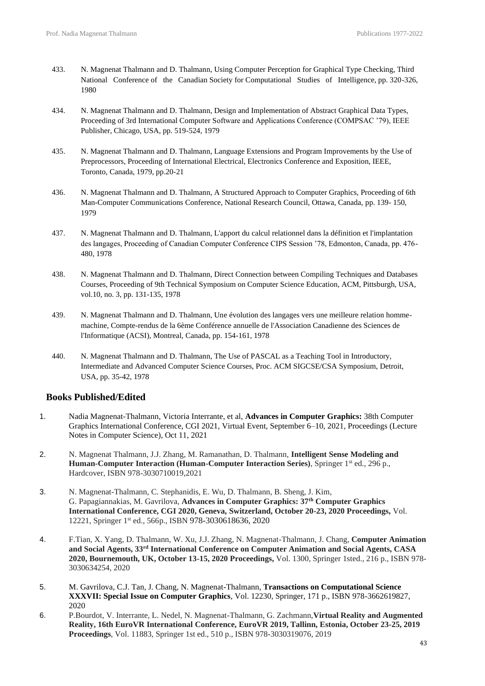- 433. N. Magnenat Thalmann and D. Thalmann, Using Computer Perception for Graphical Type Checking, Third National Conference of the Canadian Society for Computational Studies of Intelligence, pp. 320-326, 1980
- 434. N. Magnenat Thalmann and D. Thalmann, Design and Implementation of Abstract Graphical Data Types, Proceeding of 3rd International Computer Software and Applications Conference (COMPSAC '79), IEEE Publisher, Chicago, USA, pp. 519-524, 1979
- 435. N. Magnenat Thalmann and D. Thalmann, Language Extensions and Program Improvements by the Use of Preprocessors, Proceeding of International Electrical, Electronics Conference and Exposition, IEEE, Toronto, Canada, 1979, pp.20-21
- 436. N. Magnenat Thalmann and D. Thalmann, A Structured Approach to Computer Graphics, Proceeding of 6th Man-Computer Communications Conference, National Research Council, Ottawa, Canada, pp. 139- 150, 1979
- 437. N. Magnenat Thalmann and D. Thalmann, L'apport du calcul relationnel dans la définition et l'implantation des langages, Proceeding of Canadian Computer Conference CIPS Session '78, Edmonton, Canada, pp. 476- 480, 1978
- 438. N. Magnenat Thalmann and D. Thalmann, Direct Connection between Compiling Techniques and Databases Courses, Proceeding of 9th Technical Symposium on Computer Science Education, ACM, Pittsburgh, USA, vol.10, no. 3, pp. 131-135, 1978
- 439. N. Magnenat Thalmann and D. Thalmann, Une évolution des langages vers une meilleure relation hommemachine, Compte-rendus de la 6ème Conférence annuelle de l'Association Canadienne des Sciences de l'Informatique (ACSI), Montreal, Canada, pp. 154-161, 1978
- 440. N. Magnenat Thalmann and D. Thalmann, The Use of PASCAL as a Teaching Tool in Introductory, Intermediate and Advanced Computer Science Courses, Proc. ACM SIGCSE/CSA Symposium, Detroit, USA, pp. 35-42, 1978

## **Books Published/Edited**

- 1. Nadia Magnenat-Thalmann, Victoria Interrante, et al, **Advances in Computer Graphics:** 38th Computer Graphics International Conference, CGI 2021, Virtual Event, September 6–10, 2021, Proceedings (Lecture Notes in Computer Science), Oct 11, 2021
- 2. N. Magnenat Thalmann, J.J. Zhang, M. Ramanathan, D. Thalmann, **Intelligent Sense Modeling and Human-Computer Interaction (Human-Computer Interaction Series), Springer 1st ed., 296 p.,** Hardcover, ISBN 978-3030710019,2021
- 3. N. Magnenat-Thalmann, C. Stephanidis, E. Wu, D. Thalmann, B. Sheng, J. Kim, G. Papagiannakias, M. Gavrilova, **Advances in Computer Graphics: 37th Computer Graphics International Conference, CGI 2020, Geneva, Switzerland, October 20-23, 2020 Proceedings,** Vol. 12221, Springer 1st ed., 566p., ISBN 978-3030618636, 2020
- 4. F.Tian, X. Yang, D. Thalmann, W. Xu, J.J. Zhang, N. Magnenat-Thalmann, J. Chang, **Computer Animation and Social Agents, 33rd International Conference on Computer Animation and Social Agents, CASA 2020, Bournemouth, UK, October 13-15, 2020 Proceedings,** Vol. 1300, Springer 1sted., 216 p., ISBN 978- 3030634254, 2020
- 5. M. Gavrilova, C.J. Tan, J. Chang, N. Magnenat-Thalmann, **Transactions on Computational Science XXXVII: Special Issue on Computer Graphics**, Vol. 12230, Springer, 171 p., ISBN 978-3662619827, 2020
- 6. P.Bourdot, V. Interrante, L. Nedel, N. Magnenat-Thalmann, G. Zachmann,**Virtual Reality and Augmented Reality, 16th EuroVR International Conference, EuroVR 2019, Tallinn, Estonia, October 23-25, 2019 Proceedings**, Vol. 11883, Springer 1st ed., 510 p., ISBN 978-3030319076, 2019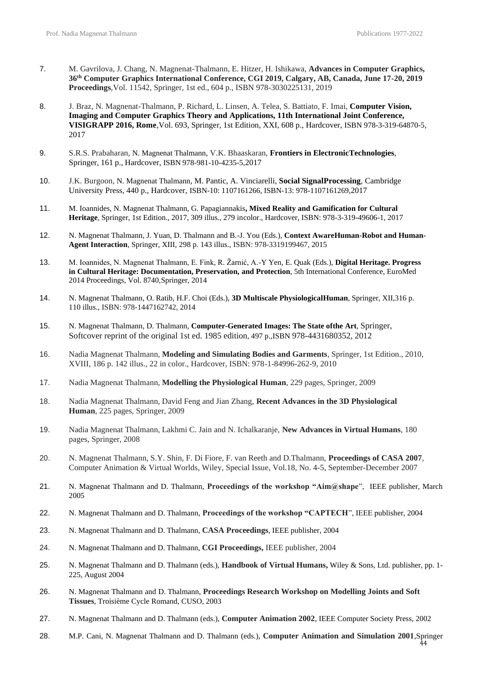- 7. M. Gavrilova, J. Chang, N. Magnenat-Thalmann, E. Hitzer, H. Ishikawa, **Advances in Computer Graphics, 36th Computer Graphics International Conference, CGI 2019, Calgary, AB, Canada, June 17-20, 2019 Proceedings**,Vol. 11542, Springer, 1st ed., 604 p., ISBN 978-3030225131, 2019
- 8. J. Braz, N. Magnenat-Thalmann, P. Richard, L. Linsen, A. Telea, S. Battiato, F. Imai, **Computer Vision, Imaging and Computer Graphics Theory and Applications, 11th International Joint Conference, VISIGRAPP 2016, Rome**,Vol. 693, Springer, 1st Edition, XXI, 608 p., Hardcover, ISBN 978-3-319-64870-5, 2017
- 9. S.R.S. Prabaharan, N. Magnenat Thalmann, V.K. Bhaaskaran, **Frontiers in ElectronicTechnologies**, Springer, 161 p., Hardcover, ISBN 978-981-10-4235-5,2017
- 10. J.K. Burgoon, N. Magnenat Thalmann, M. Pantic, A. Vinciarelli, **Social SignalProcessing**, Cambridge University Press, 440 p., Hardcover, ISBN-10: 1107161266, ISBN-13: 978-1107161269,2017
- 11. M. Ioannides, N. Magnenat Thalmann, G. Papagiannakis**, Mixed Reality and Gamification for Cultural Heritage**, Springer, 1st Edition., 2017, 309 illus., 279 incolor., Hardcover, ISBN: 978-3-319-49606-1, 2017
- 12. N. Magnenat Thalmann, J. Yuan, D. Thalmann and B.-J. You (Eds.), **Context AwareHuman-Robot and Human-Agent Interaction**, Springer, XIII, 298 p. 143 illus., ISBN: 978-3319199467, 2015
- 13. M. Ioannides, N. Magnenat Thalmann, E. Fink, R. Žarnić, A.-Y Yen, E. Quak (Eds.), **Digital Heritage. Progress in Cultural Heritage: Documentation, Preservation, and Protection**, 5th International Conference, EuroMed 2014 Proceedings, Vol. 8740,Springer, 2014
- 14. N. Magnenat Thalmann, O. Ratib, H.F. Choi (Eds.), **3D Multiscale PhysiologicalHuman**, Springer, XII,316 p. 110 illus., ISBN: 978-1447162742, 2014
- 15. N. Magnenat Thalmann, D. Thalmann, **Computer-Generated Images: The State ofthe Art**, Springer, Softcover reprint of the original 1st ed. 1985 edition, 497 p.,ISBN 978-4431680352, 2012
- 16. Nadia Magnenat Thalmann, **Modeling and Simulating Bodies and Garments**, Springer, 1st Edition., 2010, XVIII, 186 p. 142 illus., 22 in color., Hardcover, ISBN: 978-1-84996-262-9, 2010
- 17. Nadia Magnenat Thalmann, **Modelling the Physiological Human**, 229 pages, Springer, 2009
- 18. Nadia Magnenat Thalmann, David Feng and Jian Zhang, **Recent Advances in the 3D Physiological Human**, 225 pages, Springer, 2009
- 19. Nadia Magnenat Thalmann, Lakhmi C. Jain and N. Ichalkaranje, **New Advances in Virtual Humans**, 180 pages, Springer, 2008
- 20. N. Magnenat Thalmann, S.Y. Shin, F. Di Fiore, F. van Reeth and D.Thalmann, **Proceedings of CASA 2007**, Computer Animation & Virtual Worlds, Wiley, Special Issue, Vol.18, No. 4-5, September-December 2007
- 21. N. Magnenat Thalmann and D. Thalmann, **Proceedings of the workshop "Aim@shape**", IEEE publisher, March 2005
- 22. N. Magnenat Thalmann and D. Thalmann, **Proceedings of the workshop "CAPTECH**", IEEE publisher, 2004
- 23. N. Magnenat Thalmann and D. Thalmann, **CASA Proceedings**, IEEE publisher, 2004
- 24. N. Magnenat Thalmann and D. Thalmann, **CGI Proceedings,** IEEE publisher, 2004
- 25. N. Magnenat Thalmann and D. Thalmann (eds.), **Handbook of Virtual Humans,** Wiley & Sons, Ltd. publisher, pp. 1- 225, August 2004
- 26. N. Magnenat Thalmann and D. Thalmann, **Proceedings Research Workshop on Modelling Joints and Soft Tissues**, Troisième Cycle Romand, CUSO, 2003
- 27. N. Magnenat Thalmann and D. Thalmann (eds.), **Computer Animation 2002**, IEEE Computer Society Press, 2002
- 28. M.P. Cani, N. Magnenat Thalmann and D. Thalmann (eds.), **Computer Animation and Simulation 2001**,Springer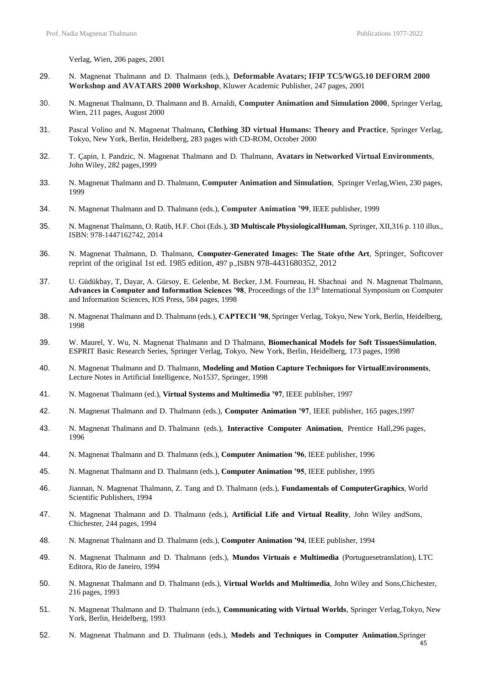Verlag, Wien, 206 pages, 2001

- 29. N. Magnenat Thalmann and D. Thalmann (eds.), **Deformable Avatars; IFIP TC5/WG5.10 DEFORM 2000 Workshop and AVATARS 2000 Workshop**, Kluwer Academic Publisher, 247 pages, 2001
- 30. N. Magnenat Thalmann, D. Thalmann and B. Arnaldi, **Computer Animation and Simulation 2000**, Springer Verlag, Wien, 211 pages, August 2000
- 31. Pascal Volino and N. Magnenat Thalmann*,* **Clothing 3D virtual Humans: Theory and Practice**, Springer Verlag, Tokyo, New York, Berlin, Heidelberg, 283 pages with CD-ROM, October 2000
- 32. T. Çapin, I. Pandzic, N. Magnenat Thalmann and D. Thalmann, **Avatars in Networked Virtual Environments**, John Wiley, 282 pages,1999
- 33. N. Magnenat Thalmann and D. Thalmann, **Computer Animation and Simulation**, Springer Verlag,Wien, 230 pages, 1999
- 34. N. Magnenat Thalmann and D. Thalmann (eds.), **Computer Animation '99**, IEEE publisher, 1999
- 35. N. Magnenat Thalmann, O. Ratib, H.F. Choi (Eds.), **3D Multiscale PhysiologicalHuman**, Springer, XII,316 p. 110 illus., ISBN: 978-1447162742, 2014
- 36. N. Magnenat Thalmann, D. Thalmann, **Computer-Generated Images: The State ofthe Art**, Springer, Softcover reprint of the original 1st ed. 1985 edition, 497 p.,ISBN 978-4431680352, 2012
- 37. U. Güdükbay, T, Dayar, A. Gürsoy, E. Gelenbe, M. Becker, J.M. Fourneau, H. Shachnai and N. Magnenat Thalmann, **Advances in Computer and Information Sciences '98***,* Proceedings of the 13th International Symposium on Computer and Information Sciences, IOS Press, 584 pages, 1998
- 38. N. Magnenat Thalmann and D. Thalmann (eds.), **CAPTECH '98**, Springer Verlag, Tokyo, New York, Berlin, Heidelberg, 1998
- 39. W. Maurel, Y. Wu, N. Magnenat Thalmann and D Thalmann, **Biomechanical Models for Soft TissuesSimulation**, ESPRIT Basic Research Series, Springer Verlag, Tokyo, New York, Berlin, Heidelberg, 173 pages, 1998
- 40. N. Magnenat Thalmann and D. Thalmann, **Modeling and Motion Capture Techniques for VirtualEnvironments**, Lecture Notes in Artificial Intelligence, No1537, Springer, 1998
- 41. N. Magnenat Thalmann (ed.), **Virtual Systems and Multimedia '97**, IEEE publisher, 1997
- 42. N. Magnenat Thalmann and D. Thalmann (eds.), **Computer Animation '97**, IEEE publisher, 165 pages,1997
- 43. N. Magnenat Thalmann and D. Thalmann (eds.), **Interactive Computer Animation**, Prentice Hall,296 pages, 1996
- 44. N. Magnenat Thalmann and D. Thalmann (eds.), **Computer Animation '96**, IEEE publisher, 1996
- 45. N. Magnenat Thalmann and D. Thalmann (eds.), **Computer Animation '95**, IEEE publisher, 1995
- 46. Jiannan, N. Magnenat Thalmann, Z. Tang and D. Thalmann (eds.), **Fundamentals of ComputerGraphics**, World Scientific Publishers, 1994
- 47. N. Magnenat Thalmann and D. Thalmann (eds.), **Artificial Life and Virtual Reality**, John Wiley andSons, Chichester, 244 pages, 1994
- 48. N. Magnenat Thalmann and D. Thalmann (eds.), **Computer Animation '94**, IEEE publisher, 1994
- 49. N. Magnenat Thalmann and D. Thalmann (eds.), **Mundos Virtuais e Multimedia** (Portuguesetranslation), LTC Editora, Rio de Janeiro, 1994
- 50. N. Magnenat Thalmann and D. Thalmann (eds.), **Virtual Worlds and Multimedia**, John Wiley and Sons,Chichester, 216 pages, 1993
- 51. N. Magnenat Thalmann and D. Thalmann (eds.), **Communicating with Virtual Worlds**, Springer Verlag,Tokyo, New York, Berlin, Heidelberg, 1993
- 52. N. Magnenat Thalmann and D. Thalmann (eds.), **Models and Techniques in Computer Animation**,Springer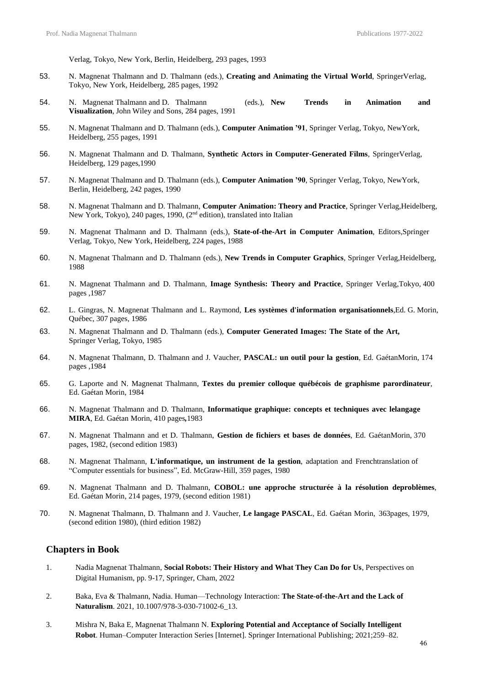Verlag, Tokyo, New York, Berlin, Heidelberg, 293 pages, 1993

- 53. N. Magnenat Thalmann and D. Thalmann (eds.), **Creating and Animating the Virtual World**, SpringerVerlag, Tokyo, New York, Heidelberg, 285 pages, 1992
- 54. N. Magnenat Thalmann and D. Thalmann (eds.), **New Trends in Animation and Visualization**, John Wiley and Sons, 284 pages, 1991
- 55. N. Magnenat Thalmann and D. Thalmann (eds.), **Computer Animation '91**, Springer Verlag, Tokyo, NewYork, Heidelberg, 255 pages, 1991
- 56. N. Magnenat Thalmann and D. Thalmann, **Synthetic Actors in Computer-Generated Films**, SpringerVerlag, Heidelberg, 129 pages,1990
- 57. N. Magnenat Thalmann and D. Thalmann (eds.), **Computer Animation '90**, Springer Verlag, Tokyo, NewYork, Berlin, Heidelberg, 242 pages, 1990
- 58. N. Magnenat Thalmann and D. Thalmann, **Computer Animation: Theory and Practice**, Springer Verlag,Heidelberg, New York, Tokyo), 240 pages, 1990, (2nd edition), translated into Italian
- 59. N. Magnenat Thalmann and D. Thalmann (eds.), **State-of-the-Art in Computer Animation**, Editors,Springer Verlag, Tokyo, New York, Heidelberg, 224 pages, 1988
- 60. N. Magnenat Thalmann and D. Thalmann (eds.), **New Trends in Computer Graphics**, Springer Verlag,Heidelberg, 1988
- 61. N. Magnenat Thalmann and D. Thalmann, **Image Synthesis: Theory and Practice**, Springer Verlag,Tokyo, 400 pages ,1987
- 62. L. Gingras, N. Magnenat Thalmann and L. Raymond, **Les systèmes d'information organisationnels**,Ed. G. Morin, Québec, 307 pages, 1986
- 63. N. Magnenat Thalmann and D. Thalmann (eds.), **Computer Generated Images: The State of the Art,** Springer Verlag, Tokyo, 1985
- 64. N. Magnenat Thalmann, D. Thalmann and J. Vaucher, **PASCAL: un outil pour la gestion**, Ed. GaétanMorin, 174 pages ,1984
- 65. G. Laporte and N. Magnenat Thalmann, **Textes du premier colloque québécois de graphisme parordinateur**, Ed. Gaétan Morin, 1984
- 66. N. Magnenat Thalmann and D. Thalmann, **Informatique graphique: concepts et techniques avec lelangage MIRA**, Ed. Gaétan Morin, 410 pages*,*1983
- 67. N. Magnenat Thalmann and et D. Thalmann, **Gestion de fichiers et bases de données**, Ed. GaétanMorin, 370 pages, 1982, (second edition 1983)
- 68. N. Magnenat Thalmann, **L'informatique, un instrument de la gestion**, adaptation and Frenchtranslation of "Computer essentials for business", Ed. McGraw-Hill, 359 pages, 1980
- 69. N. Magnenat Thalmann and D. Thalmann, **COBOL: une approche structurée à la résolution deproblèmes**, Ed. Gaétan Morin, 214 pages, 1979, (second edition 1981)
- 70. N. Magnenat Thalmann, D. Thalmann and J. Vaucher, **Le langage PASCAL**, Ed. Gaétan Morin, 363pages, 1979, (second edition 1980), (third edition 1982)

## **Chapters in Book**

- 1. Nadia Magnenat Thalmann, **Social Robots: Their History and What They Can Do for Us**, Perspectives on Digital Humanism, pp. 9-17, Springer, Cham, 2022
- 2. Baka, Eva & Thalmann, Nadia. Human—Technology Interaction: **The State-of-the-Art and the Lack of Naturalism**. 2021, 10.1007/978-3-030-71002-6\_13.
- 3. Mishra N, Baka E, Magnenat Thalmann N. **Exploring Potential and Acceptance of Socially Intelligent Robot**. Human–Computer Interaction Series [Internet]. Springer International Publishing; 2021;259–82.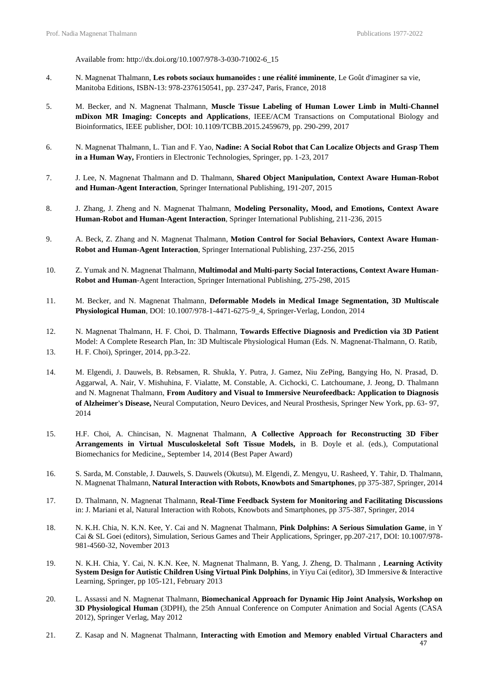Available from: http://dx.doi.org/10.1007/978-3-030-71002-6\_15

- 4. N. Magnenat Thalmann, **Les robots sociaux humanoïdes : une réalité imminente**, Le Goût d'imaginer sa vie, Manitoba Editions, ISBN-13: 978-2376150541, pp. 237-247, Paris, France, 2018
- 5. M. Becker, and N. Magnenat Thalmann, **Muscle Tissue Labeling of Human Lower Limb in Multi-Channel mDixon MR Imaging: Concepts and Applications**, IEEE/ACM Transactions on Computational Biology and Bioinformatics, IEEE publisher, DOI: 10.1109/TCBB.2015.2459679, pp. 290-299, 2017
- 6. N. Magnenat Thalmann, L. Tian and F. Yao, **[Nadine: A Social Robot that Can Localize Objects and](https://www.dropbox.com/s/o5a6qhdzj5jgrqz/Nadine%20-%20A%20Social%20Robot%20-%20Frontiers%20.pdf?dl=0) [Grasp](https://www.dropbox.com/s/o5a6qhdzj5jgrqz/Nadine%20-%20A%20Social%20Robot%20-%20Frontiers%20.pdf?dl=0) [Them](https://www.dropbox.com/s/o5a6qhdzj5jgrqz/Nadine%20-%20A%20Social%20Robot%20-%20Frontiers%20.pdf?dl=0)  [in a Human Way,](https://www.dropbox.com/s/o5a6qhdzj5jgrqz/Nadine%20-%20A%20Social%20Robot%20-%20Frontiers%20.pdf?dl=0)** Frontiers in Electronic Technologies, Springer, pp. 1-23, 2017
- 7. J. Lee, N. Magnenat Thalmann and D. Thalmann, **[Shared Object Manipulation, C](https://www.dropbox.com/s/om1tjn92oop60xr/Shared%20Object%20Manipulation%20-%20Context%20Aware%202015.pdf?dl=0)ontext Aware Human-Robot and Human-Agent Interaction**, Springer International Publishing, 191-207, 2015
- 8. J. Zhang, J. Zheng and N. Magnenat Thalmann, **Modeling Personality, Mood, and Emotions, Context Aware Human-Robot and Human-Agent Interaction**, Springer International Publishing, 211-236, 2015
- 9. A. Beck, Z. Zhang and N. Magnenat Thalmann, **[Motion Control for Social Behaviors, C](https://www.dropbox.com/s/rb4547kx5mhvfuk/Motion%20Control%20for%20Social%20Behavior%20-%20Context%20Aware.pdf?dl=0)ontext Aware Human-Robot and Human-Agent Interaction**, Springer International Publishing, 237-256, 2015
- 10. Z. Yumak and N. Magnenat Thalmann, **Multimodal and Multi-party Social Interactions, Context Aware Human-Robot and Human**-Agent Interaction, Springer International Publishing, 275-298, 2015
- 11. M. Becker, and N. Magnenat Thalmann, **[Deformable Models in Medical Image Segmentation, 3](https://www.dropbox.com/s/649hn8xb70mfhyh/Deformable%20Models%20in%20Medical%20Image%20Segmentation%20-%203D%20Multiscale.pdf?dl=0)D Multiscale Physiological Human**, DOI: 10.1007/978-1-4471-6275-9\_4, Springer-Verlag, London, 2014
- 12. [N. Magnenat Thalmann,](http://link.springer.com/search?facet-author=%22Nadia%2BMagnenat%2BThalmann%22) [H. F. Choi,](http://link.springer.com/search?facet-author=%22Hon%2BFai%2BChoi%22) [D. Thalmann,](http://link.springer.com/search?facet-author=%22Daniel%2BThalmann%22) **[Towards Effective Diagnosis and Prediction via 3D Patient](https://www.dropbox.com/s/xg0k45qfq8ueq9m/Towards%20Effective%20Diagnosis%20-%203D%20Multiscale%202014.pdf?dl=0)** [Model: A Complete Research Plan, I](https://www.dropbox.com/s/xg0k45qfq8ueq9m/Towards%20Effective%20Diagnosis%20-%203D%20Multiscale%202014.pdf?dl=0)n: 3D Multiscale Physiological Human (Eds. [N. Magnenat-Thalmann,](http://link.springer.com/search?facet-author=%22Nadia%2BMagnenat-Thalmann%22) [O. Ratib,](http://link.springer.com/search?facet-author=%22Osman%2BRatib%22) 13. [H. F. Choi\)](http://link.springer.com/search?facet-author=%22Hon%2BFai%2BChoi%22), Springer, 2014, pp.3-22.
- 14. M. Elgendi, J. Dauwels, B. Rebsamen, R. Shukla, Y. Putra, J. Gamez, Niu ZePing, Bangying Ho, N. Prasad, D. Aggarwal, A. Nair, V. Mishuhina, F. Vialatte, M. Constable, A. Cichocki, C. Latchoumane, J. Jeong, D. Thalmann and N. Magnenat Thalmann, **[From Auditory and Visual to Immersive Neurofeedback: Application to Diagnosis](https://www.dropbox.com/s/6lrljob4kxttmsu/From%20Auditory%20-%20Neural%20Computation%202014.pdf?dl=0) [of Alzheimer's Disease,](https://www.dropbox.com/s/6lrljob4kxttmsu/From%20Auditory%20-%20Neural%20Computation%202014.pdf?dl=0)** Neural Computation, Neuro Devices, and Neural Prosthesis, Springer New York, pp. 63- 97, 2014
- 15. H.F. Choi, A. Chincisan, N. Magnenat Thalmann, **[A Collective Approach for Reconstructing 3D Fiber](https://www.dropbox.com/s/en78fik96a93nf7/A%20Collective%20Approach%20for%20Reconstructing%203D%20Fiber%20-%20Computational%20Biomechanics.pdf?dl=0) [Arrangements in Virtual Musculoskeletal Soft Tissue Models,](https://www.dropbox.com/s/en78fik96a93nf7/A%20Collective%20Approach%20for%20Reconstructing%203D%20Fiber%20-%20Computational%20Biomechanics.pdf?dl=0)** in B. Doyle et al. (eds.), Computational Biomechanics for Medicine,, September 14, 2014 (Best Paper Award)
- 16. S. Sarda, M. Constable, J. Dauwels, S. Dauwels (Okutsu), M. Elgendi, Z. Mengyu, U. Rasheed, Y. Tahir, D. Thalmann, N. Magnenat Thalmann, **Natural Interaction with Robots, Knowbots and Smartphones**, pp 375-387, Springer, 2014
- 17. D. Thalmann, N. Magnenat Thalmann, **Real-Time Feedback System for Monitoring and Facilitating [Discussions](https://www.dropbox.com/s/86qy5s8382ghko1/Real-Time%20Feedback%20-%20Natural%20Interaction%202014.pdf?dl=0)** in: J. Mariani et al, Natural Interaction with Robots, Knowbots and Smartphones, pp 375-387, Springer, 2014
- 18. N. K.H. Chia, N. K.N. Kee, Y. Cai and N. Magnenat Thalmann, **Pink Dolphins: A Serious Simulation Game**, in Y Cai & SL Goei (editors), Simulation, Serious Games and Their Applications, Springer, pp.207-217, DOI: 10.1007/978- 981-4560-32, November 2013
- 19. N. K.H. Chia, Y. Cai, N. K.N. Kee, N. Magnenat Thalmann, B. Yang, J. Zheng, D. Thalmann , **Learning Activity System Design for Autistic Children Using Virtual Pink Dolphins**, in Yiyu Cai (editor), 3D Immersive & Interactive Learning, Springer, pp 105-121, February 2013
- 20. L. Assassi and N. Magnenat Thalmann, **Biomechanical Approach for Dynamic Hip Joint Analysis, Workshop on 3D Physiological Human** (3DPH), the 25th Annual Conference on Computer Animation and Social Agents (CASA 2012), Springer Verlag, May 2012
- 21. Z. Kasap and N. Magnenat Thalmann, **Interacting with Emotion and Memory enabled Virtual Characters and**

47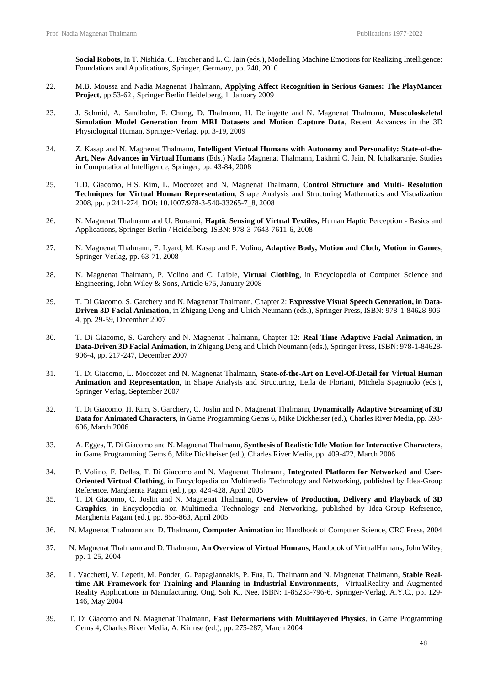**Social Robots**, In T. Nishida, C. Faucher and L. C. Jain (eds.), Modelling Machine Emotions for Realizing Intelligence: Foundations and Applications, Springer, Germany, pp. 240, 2010

- 22. M.B. Moussa and Nadia Magnenat Thalmann, **Applying Affect Recognition in Serious Games: The PlayMancer Project**, pp 53-62 , Springer Berlin Heidelberg, 1 January 2009
- 23. J. Schmid, A. Sandholm, F. Chung, D. Thalmann, H. Delingette and N. Magnenat Thalmann, **Musculoskeletal Simulation Model Generation from MRI Datasets and Motion Capture Data**, Recent Advances in the 3D Physiological Human, Springer-Verlag, pp. 3-19, 2009
- 24. Z. Kasap and N. Magnenat Thalmann, **Intelligent Virtual Humans with Autonomy and Personality: State-of-the-Art, New Advances in Virtual Humans** (Eds.) Nadia Magnenat Thalmann, Lakhmi C. Jain, N. Ichalkaranje, Studies in Computational Intelligence, Springer, pp. 43-84, 2008
- 25. T.D. Giacomo, H.S. Kim, L. Moccozet and N. Magnenat Thalmann, **Control Structure and Multi- Resolution Techniques for Virtual Human Representation**, Shape Analysis and Structuring Mathematics and Visualization 2008, pp. p 241-274, DOI: 10.1007/978-3-540-33265-7\_8, 2008
- 26. N. Magnenat Thalmann and U. Bonanni, **Haptic Sensing of Virtual Textiles,** Human Haptic Perception Basics and Applications, Springer Berlin / Heidelberg, ISBN: 978-3-7643-7611-6, 2008
- 27. N. Magnenat Thalmann, E. Lyard, M. Kasap and P. Volino, **Adaptive Body, Motion and Cloth, Motion in Games**, Springer-Verlag, pp. 63-71, 2008
- 28. N. Magnenat Thalmann, P. Volino and C. Luible, **Virtual Clothing**, in Encyclopedia of Computer Science and Engineering, John Wiley & Sons, Article 675, January 2008
- 29. T. Di Giacomo, S. Garchery and N. Magnenat Thalmann, Chapter 2: **Expressive Visual Speech Generation, in Data-Driven 3D Facial Animation**, in Zhigang Deng and Ulrich Neumann (eds.), Springer Press, ISBN: 978-1-84628-906- 4, pp. 29-59, December 2007
- 30. T. Di Giacomo, S. Garchery and N. Magnenat Thalmann, Chapter 12: **Real-Time Adaptive Facial Animation, in Data-Driven 3D Facial Animation**, in Zhigang Deng and Ulrich Neumann (eds.), Springer Press, ISBN: 978-1-84628- 906-4, pp. 217-247, December 2007
- 31. T. Di Giacomo, L. Moccozet and N. Magnenat Thalmann, **State-of-the-Art on Level-Of-Detail for Virtual Human Animation and Representation**, in Shape Analysis and Structuring, Leila de Floriani, Michela Spagnuolo (eds.), Springer Verlag, September 2007
- 32. T. Di Giacomo, H. Kim, S. Garchery, C. Joslin and N. Magnenat Thalmann, **Dynamically Adaptive Streaming of 3D Data for Animated Characters**, in Game Programming Gems 6, Mike Dickheiser (ed.), Charles River Media, pp. 593- 606, March 2006
- 33. A. Egges, T. Di Giacomo and N. Magnenat Thalmann, **Synthesis of Realistic Idle Motion for Interactive Characters**, in Game Programming Gems 6, Mike Dickheiser (ed.), Charles River Media, pp. 409-422, March 2006
- 34. P. Volino, F. Dellas, T. Di Giacomo and N. Magnenat Thalmann, **Integrated Platform for Networked and User-Oriented Virtual Clothing**, in Encyclopedia on Multimedia Technology and Networking, published by Idea-Group Reference, Margherita Pagani (ed.), pp. 424-428, April 2005
- 35. T. Di Giacomo, C. Joslin and N. Magnenat Thalmann, **Overview of Production, Delivery and Playback of 3D Graphics**, in Encyclopedia on Multimedia Technology and Networking, published by Idea-Group Reference, Margherita Pagani (ed.), pp. 855-863, April 2005
- 36. N. Magnenat Thalmann and D. Thalmann, **Computer Animation** in: Handbook of Computer Science, CRC Press, 2004
- 37. N. Magnenat Thalmann and D. Thalmann, **An Overview of Virtual Humans**, Handbook of VirtualHumans, John Wiley, pp. 1-25, 2004
- 38. L. Vacchetti, V. Lepetit, M. Ponder, G. Papagiannakis, P. Fua, D. Thalmann and N. Magnenat Thalmann, **Stable Realtime AR Framework for Training and Planning in Industrial Environments**, VirtualReality and Augmented Reality Applications in Manufacturing, Ong, Soh K., Nee, ISBN: 1-85233-796-6, Springer-Verlag, A.Y.C., pp. 129- 146, May 2004
- 39. T. Di Giacomo and N. Magnenat Thalmann, **Fast Deformations with Multilayered Physics**, in Game Programming Gems 4, Charles River Media, A. Kirmse (ed.), pp. 275-287, March 2004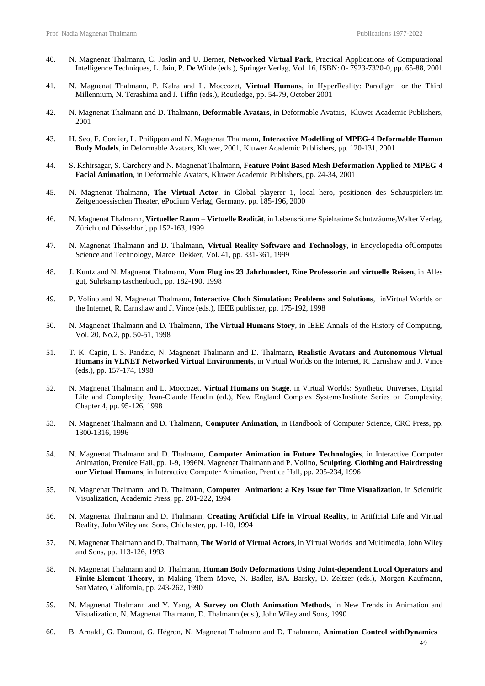- 40. N. Magnenat Thalmann, C. Joslin and U. Berner, **Networked Virtual Park**, Practical Applications of Computational Intelligence Techniques, L. Jain, P. De Wilde (eds.), Springer Verlag, Vol. 16, ISBN: 0- 7923-7320-0, pp. 65-88, 2001
- 41. N. Magnenat Thalmann, P. Kalra and L. Moccozet, **Virtual Humans**, in HyperReality: Paradigm for the Third Millennium, N. Terashima and J. Tiffin (eds.), Routledge, pp. 54-79, October 2001
- 42. N. Magnenat Thalmann and D. Thalmann, **Deformable Avatars**, in Deformable Avatars, Kluwer Academic Publishers, 2001
- 43. H. Seo, F. Cordier, L. Philippon and N. Magnenat Thalmann, **Interactive Modelling of MPEG-4 Deformable Human Body Models**, in Deformable Avatars, Kluwer, 2001, Kluwer Academic Publishers, pp. 120-131, 2001
- 44. S. Kshirsagar, S. Garchery and N. Magnenat Thalmann, **Feature Point Based Mesh Deformation Applied to MPEG-4 Facial Animation**, in Deformable Avatars, Kluwer Academic Publishers, pp. 24-34, 2001
- 45. N. Magnenat Thalmann, **The Virtual Actor**, in Global playerer 1, local hero, positionen des Schauspielers im Zeitgenoessischen Theater, ePodium Verlag, Germany, pp. 185-196, 2000
- 46. N. Magnenat Thalmann, **Virtueller Raum – Virtuelle Realität**, in Lebensräume Spielraüme Schutzräume*,*Walter Verlag, Zürich und Düsseldorf, pp.152-163, 1999
- 47. N. Magnenat Thalmann and D. Thalmann, **Virtual Reality Software and Technology**, in Encyclopedia ofComputer Science and Technology, Marcel Dekker, Vol. 41, pp. 331-361, 1999
- 48. J. Kuntz and N. Magnenat Thalmann, **Vom Flug ins 23 Jahrhundert, Eine Professorin auf virtuelle Reisen**, in Alles gut, Suhrkamp taschenbuch, pp. 182-190, 1998
- 49. P. Volino and N. Magnenat Thalmann, **Interactive Cloth Simulation: Problems and Solutions**, inVirtual Worlds on the Internet, R. Earnshaw and J. Vince (eds.), IEEE publisher, pp. 175-192, 1998
- 50. N. Magnenat Thalmann and D. Thalmann, **The Virtual Humans Story**, in IEEE Annals of the History of Computing, Vol. 20, No.2, pp. 50-51, 1998
- 51. T. K. Capin, I. S. Pandzic, N. Magnenat Thalmann and D. Thalmann, **Realistic Avatars and Autonomous Virtual Humans in VLNET Networked Virtual Environments**, in Virtual Worlds on the Internet, R. Earnshaw and J. Vince (eds.), pp. 157-174, 1998
- 52. N. Magnenat Thalmann and L. Moccozet, **Virtual Humans on Stage**, in Virtual Worlds: Synthetic Universes, Digital Life and Complexity, Jean-Claude Heudin (ed.), New England Complex SystemsInstitute Series on Complexity, Chapter 4, pp. 95-126, 1998
- 53. N. Magnenat Thalmann and D. Thalmann, **Computer Animation**, in Handbook of Computer Science, CRC Press, pp. 1300-1316, 1996
- 54. N. Magnenat Thalmann and D. Thalmann, **Computer Animation in Future Technologies**, in Interactive Computer Animation, Prentice Hall, pp. 1-9, 1996N. Magnenat Thalmann and P. Volino, **Sculpting, Clothing and Hairdressing our Virtual Humans**, in Interactive Computer Animation, Prentice Hall, pp. 205-234, 1996
- 55. N. Magnenat Thalmann and D. Thalmann, **Computer Animation: a Key Issue for Time Visualization**, in Scientific Visualization, Academic Press, pp. 201-222, 1994
- 56. N. Magnenat Thalmann and D. Thalmann, **Creating Artificial Life in Virtual Reality**, in Artificial Life and Virtual Reality, John Wiley and Sons, Chichester, pp. 1-10, 1994
- 57. N. Magnenat Thalmann and D. Thalmann, **The World of Virtual Actors**, in Virtual Worlds and Multimedia, John Wiley and Sons, pp. 113-126, 1993
- 58. N. Magnenat Thalmann and D. Thalmann, **Human Body Deformations Using Joint-dependent Local Operators and Finite-Element Theory**, in Making Them Move, N. Badler, BA. Barsky, D. Zeltzer (eds.), Morgan Kaufmann, SanMateo, California, pp. 243-262, 1990
- 59. N. Magnenat Thalmann and Y. Yang, **A Survey on Cloth Animation Methods**, in New Trends in Animation and Visualization, N. Magnenat Thalmann, D. Thalmann (eds.), John Wiley and Sons, 1990
- 60. B. Arnaldi, G. Dumont, G. Hégron, N. Magnenat Thalmann and D. Thalmann, **Animation Control withDynamics**